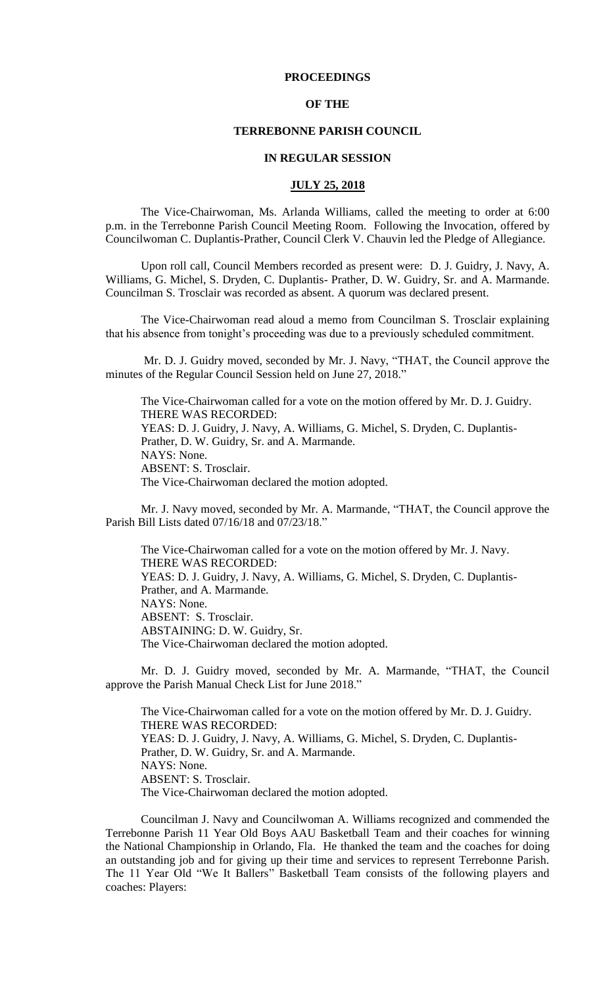## **PROCEEDINGS**

## **OF THE**

#### **TERREBONNE PARISH COUNCIL**

#### **IN REGULAR SESSION**

## **JULY 25, 2018**

The Vice-Chairwoman, Ms. Arlanda Williams, called the meeting to order at 6:00 p.m. in the Terrebonne Parish Council Meeting Room. Following the Invocation, offered by Councilwoman C. Duplantis-Prather, Council Clerk V. Chauvin led the Pledge of Allegiance.

Upon roll call, Council Members recorded as present were: D. J. Guidry, J. Navy, A. Williams, G. Michel, S. Dryden, C. Duplantis- Prather, D. W. Guidry, Sr. and A. Marmande. Councilman S. Trosclair was recorded as absent. A quorum was declared present.

The Vice-Chairwoman read aloud a memo from Councilman S. Trosclair explaining that his absence from tonight's proceeding was due to a previously scheduled commitment.

Mr. D. J. Guidry moved, seconded by Mr. J. Navy, "THAT, the Council approve the minutes of the Regular Council Session held on June 27, 2018."

The Vice-Chairwoman called for a vote on the motion offered by Mr. D. J. Guidry. THERE WAS RECORDED: YEAS: D. J. Guidry, J. Navy, A. Williams, G. Michel, S. Dryden, C. Duplantis-Prather, D. W. Guidry, Sr. and A. Marmande. NAYS: None. ABSENT: S. Trosclair. The Vice-Chairwoman declared the motion adopted.

Mr. J. Navy moved, seconded by Mr. A. Marmande, "THAT, the Council approve the Parish Bill Lists dated 07/16/18 and 07/23/18."

The Vice-Chairwoman called for a vote on the motion offered by Mr. J. Navy. THERE WAS RECORDED: YEAS: D. J. Guidry, J. Navy, A. Williams, G. Michel, S. Dryden, C. Duplantis-Prather, and A. Marmande. NAYS: None. ABSENT: S. Trosclair. ABSTAINING: D. W. Guidry, Sr. The Vice-Chairwoman declared the motion adopted.

Mr. D. J. Guidry moved, seconded by Mr. A. Marmande, "THAT, the Council approve the Parish Manual Check List for June 2018."

The Vice-Chairwoman called for a vote on the motion offered by Mr. D. J. Guidry. THERE WAS RECORDED: YEAS: D. J. Guidry, J. Navy, A. Williams, G. Michel, S. Dryden, C. Duplantis-Prather, D. W. Guidry, Sr. and A. Marmande. NAYS: None. ABSENT: S. Trosclair. The Vice-Chairwoman declared the motion adopted.

Councilman J. Navy and Councilwoman A. Williams recognized and commended the Terrebonne Parish 11 Year Old Boys AAU Basketball Team and their coaches for winning the National Championship in Orlando, Fla. He thanked the team and the coaches for doing an outstanding job and for giving up their time and services to represent Terrebonne Parish. The 11 Year Old "We It Ballers" Basketball Team consists of the following players and coaches: Players: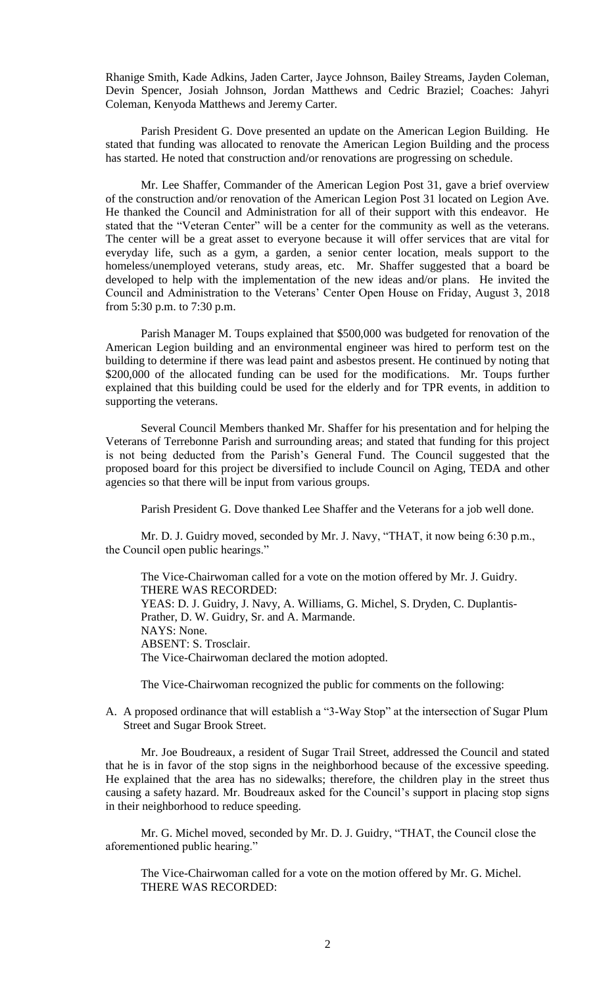Rhanige Smith, Kade Adkins, Jaden Carter, Jayce Johnson, Bailey Streams, Jayden Coleman, Devin Spencer, Josiah Johnson, Jordan Matthews and Cedric Braziel; Coaches: Jahyri Coleman, Kenyoda Matthews and Jeremy Carter.

Parish President G. Dove presented an update on the American Legion Building. He stated that funding was allocated to renovate the American Legion Building and the process has started. He noted that construction and/or renovations are progressing on schedule.

Mr. Lee Shaffer, Commander of the American Legion Post 31, gave a brief overview of the construction and/or renovation of the American Legion Post 31 located on Legion Ave. He thanked the Council and Administration for all of their support with this endeavor. He stated that the "Veteran Center" will be a center for the community as well as the veterans. The center will be a great asset to everyone because it will offer services that are vital for everyday life, such as a gym, a garden, a senior center location, meals support to the homeless/unemployed veterans, study areas, etc. Mr. Shaffer suggested that a board be developed to help with the implementation of the new ideas and/or plans. He invited the Council and Administration to the Veterans' Center Open House on Friday, August 3, 2018 from 5:30 p.m. to 7:30 p.m.

Parish Manager M. Toups explained that \$500,000 was budgeted for renovation of the American Legion building and an environmental engineer was hired to perform test on the building to determine if there was lead paint and asbestos present. He continued by noting that \$200,000 of the allocated funding can be used for the modifications. Mr. Toups further explained that this building could be used for the elderly and for TPR events, in addition to supporting the veterans.

Several Council Members thanked Mr. Shaffer for his presentation and for helping the Veterans of Terrebonne Parish and surrounding areas; and stated that funding for this project is not being deducted from the Parish's General Fund. The Council suggested that the proposed board for this project be diversified to include Council on Aging, TEDA and other agencies so that there will be input from various groups.

Parish President G. Dove thanked Lee Shaffer and the Veterans for a job well done.

Mr. D. J. Guidry moved, seconded by Mr. J. Navy, "THAT, it now being 6:30 p.m., the Council open public hearings."

The Vice-Chairwoman called for a vote on the motion offered by Mr. J. Guidry. THERE WAS RECORDED: YEAS: D. J. Guidry, J. Navy, A. Williams, G. Michel, S. Dryden, C. Duplantis-Prather, D. W. Guidry, Sr. and A. Marmande. NAYS: None. ABSENT: S. Trosclair. The Vice-Chairwoman declared the motion adopted.

The Vice-Chairwoman recognized the public for comments on the following:

A. A proposed ordinance that will establish a "3-Way Stop" at the intersection of Sugar Plum Street and Sugar Brook Street.

Mr. Joe Boudreaux, a resident of Sugar Trail Street, addressed the Council and stated that he is in favor of the stop signs in the neighborhood because of the excessive speeding. He explained that the area has no sidewalks; therefore, the children play in the street thus causing a safety hazard. Mr. Boudreaux asked for the Council's support in placing stop signs in their neighborhood to reduce speeding.

Mr. G. Michel moved, seconded by Mr. D. J. Guidry, "THAT, the Council close the aforementioned public hearing."

The Vice-Chairwoman called for a vote on the motion offered by Mr. G. Michel. THERE WAS RECORDED: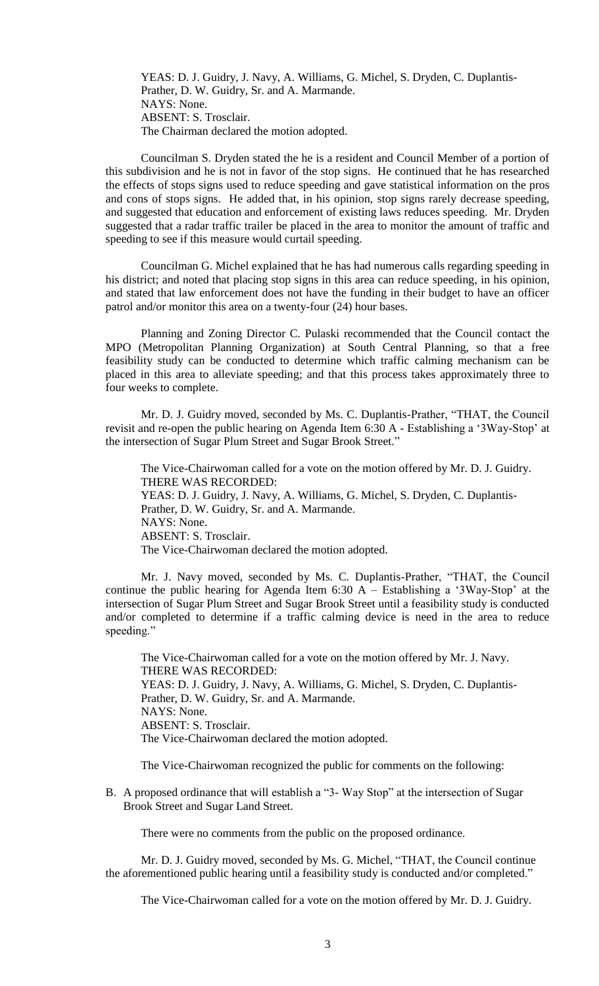YEAS: D. J. Guidry, J. Navy, A. Williams, G. Michel, S. Dryden, C. Duplantis-Prather, D. W. Guidry, Sr. and A. Marmande. NAYS: None. ABSENT: S. Trosclair. The Chairman declared the motion adopted.

Councilman S. Dryden stated the he is a resident and Council Member of a portion of this subdivision and he is not in favor of the stop signs. He continued that he has researched the effects of stops signs used to reduce speeding and gave statistical information on the pros and cons of stops signs. He added that, in his opinion, stop signs rarely decrease speeding, and suggested that education and enforcement of existing laws reduces speeding. Mr. Dryden suggested that a radar traffic trailer be placed in the area to monitor the amount of traffic and speeding to see if this measure would curtail speeding.

Councilman G. Michel explained that he has had numerous calls regarding speeding in his district; and noted that placing stop signs in this area can reduce speeding, in his opinion, and stated that law enforcement does not have the funding in their budget to have an officer patrol and/or monitor this area on a twenty-four (24) hour bases.

Planning and Zoning Director C. Pulaski recommended that the Council contact the MPO (Metropolitan Planning Organization) at South Central Planning, so that a free feasibility study can be conducted to determine which traffic calming mechanism can be placed in this area to alleviate speeding; and that this process takes approximately three to four weeks to complete.

Mr. D. J. Guidry moved, seconded by Ms. C. Duplantis-Prather, "THAT, the Council revisit and re-open the public hearing on Agenda Item 6:30 A - Establishing a '3Way-Stop' at the intersection of Sugar Plum Street and Sugar Brook Street."

The Vice-Chairwoman called for a vote on the motion offered by Mr. D. J. Guidry. THERE WAS RECORDED: YEAS: D. J. Guidry, J. Navy, A. Williams, G. Michel, S. Dryden, C. Duplantis-Prather, D. W. Guidry, Sr. and A. Marmande. NAYS: None. ABSENT: S. Trosclair. The Vice-Chairwoman declared the motion adopted.

Mr. J. Navy moved, seconded by Ms. C. Duplantis-Prather, "THAT, the Council continue the public hearing for Agenda Item 6:30 A – Establishing a '3Way-Stop' at the intersection of Sugar Plum Street and Sugar Brook Street until a feasibility study is conducted and/or completed to determine if a traffic calming device is need in the area to reduce speeding."

The Vice-Chairwoman called for a vote on the motion offered by Mr. J. Navy. THERE WAS RECORDED: YEAS: D. J. Guidry, J. Navy, A. Williams, G. Michel, S. Dryden, C. Duplantis-Prather, D. W. Guidry, Sr. and A. Marmande. NAYS: None. ABSENT: S. Trosclair. The Vice-Chairwoman declared the motion adopted.

The Vice-Chairwoman recognized the public for comments on the following:

B. A proposed ordinance that will establish a "3- Way Stop" at the intersection of Sugar Brook Street and Sugar Land Street.

There were no comments from the public on the proposed ordinance.

Mr. D. J. Guidry moved, seconded by Ms. G. Michel, "THAT, the Council continue the aforementioned public hearing until a feasibility study is conducted and/or completed."

The Vice-Chairwoman called for a vote on the motion offered by Mr. D. J. Guidry.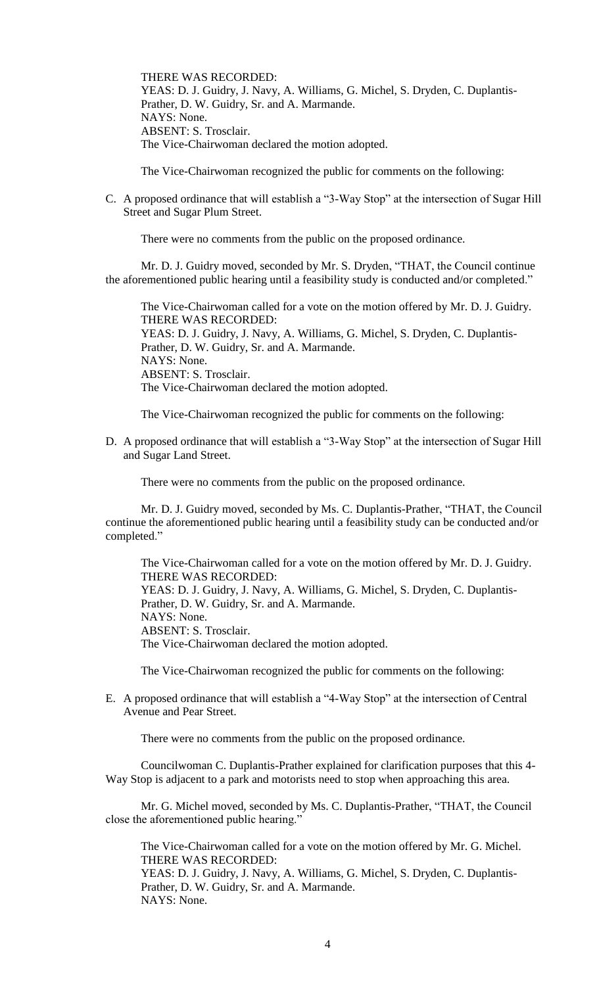THERE WAS RECORDED: YEAS: D. J. Guidry, J. Navy, A. Williams, G. Michel, S. Dryden, C. Duplantis-Prather, D. W. Guidry, Sr. and A. Marmande. NAYS: None. ABSENT: S. Trosclair. The Vice-Chairwoman declared the motion adopted.

The Vice-Chairwoman recognized the public for comments on the following:

C. A proposed ordinance that will establish a "3-Way Stop" at the intersection of Sugar Hill Street and Sugar Plum Street.

There were no comments from the public on the proposed ordinance.

Mr. D. J. Guidry moved, seconded by Mr. S. Dryden, "THAT, the Council continue the aforementioned public hearing until a feasibility study is conducted and/or completed."

The Vice-Chairwoman called for a vote on the motion offered by Mr. D. J. Guidry. THERE WAS RECORDED: YEAS: D. J. Guidry, J. Navy, A. Williams, G. Michel, S. Dryden, C. Duplantis-Prather, D. W. Guidry, Sr. and A. Marmande. NAYS: None. ABSENT: S. Trosclair. The Vice-Chairwoman declared the motion adopted.

The Vice-Chairwoman recognized the public for comments on the following:

D. A proposed ordinance that will establish a "3-Way Stop" at the intersection of Sugar Hill and Sugar Land Street.

There were no comments from the public on the proposed ordinance.

Mr. D. J. Guidry moved, seconded by Ms. C. Duplantis-Prather, "THAT, the Council continue the aforementioned public hearing until a feasibility study can be conducted and/or completed."

The Vice-Chairwoman called for a vote on the motion offered by Mr. D. J. Guidry. THERE WAS RECORDED: YEAS: D. J. Guidry, J. Navy, A. Williams, G. Michel, S. Dryden, C. Duplantis-Prather, D. W. Guidry, Sr. and A. Marmande. NAYS: None. ABSENT: S. Trosclair. The Vice-Chairwoman declared the motion adopted.

The Vice-Chairwoman recognized the public for comments on the following:

E. A proposed ordinance that will establish a "4-Way Stop" at the intersection of Central Avenue and Pear Street.

There were no comments from the public on the proposed ordinance.

Councilwoman C. Duplantis-Prather explained for clarification purposes that this 4- Way Stop is adjacent to a park and motorists need to stop when approaching this area.

Mr. G. Michel moved, seconded by Ms. C. Duplantis-Prather, "THAT, the Council close the aforementioned public hearing."

The Vice-Chairwoman called for a vote on the motion offered by Mr. G. Michel. THERE WAS RECORDED: YEAS: D. J. Guidry, J. Navy, A. Williams, G. Michel, S. Dryden, C. Duplantis-Prather, D. W. Guidry, Sr. and A. Marmande. NAYS: None.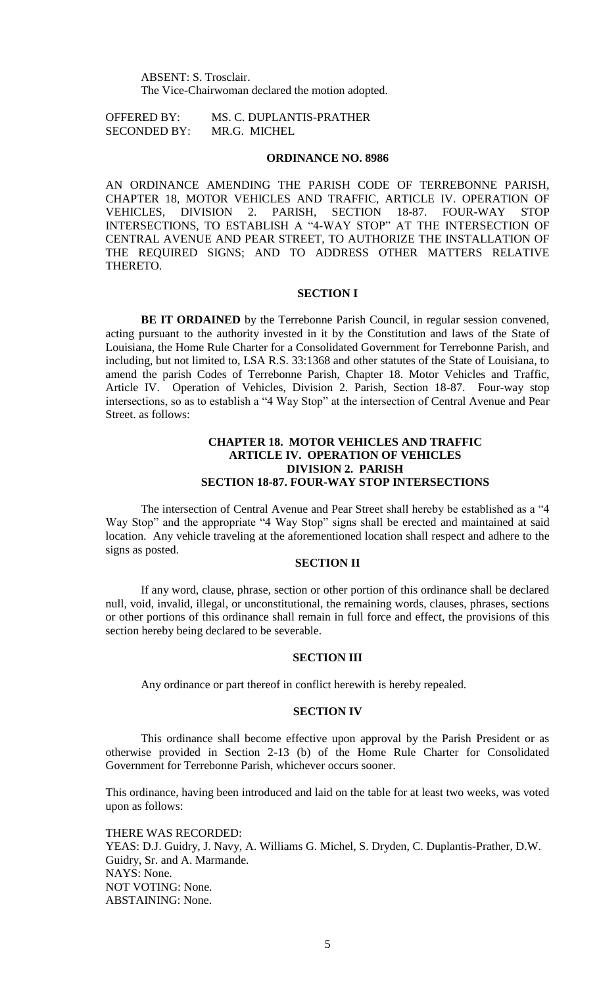ABSENT: S. Trosclair. The Vice-Chairwoman declared the motion adopted.

OFFERED BY: MS. C. DUPLANTIS-PRATHER SECONDED BY: MR.G. MICHEL

#### **ORDINANCE NO. 8986**

AN ORDINANCE AMENDING THE PARISH CODE OF TERREBONNE PARISH, CHAPTER 18, MOTOR VEHICLES AND TRAFFIC, ARTICLE IV. OPERATION OF VEHICLES, DIVISION 2. PARISH, SECTION 18-87. FOUR-WAY STOP INTERSECTIONS, TO ESTABLISH A "4-WAY STOP" AT THE INTERSECTION OF CENTRAL AVENUE AND PEAR STREET, TO AUTHORIZE THE INSTALLATION OF THE REQUIRED SIGNS; AND TO ADDRESS OTHER MATTERS RELATIVE THERETO.

## **SECTION I**

**BE IT ORDAINED** by the Terrebonne Parish Council, in regular session convened, acting pursuant to the authority invested in it by the Constitution and laws of the State of Louisiana, the Home Rule Charter for a Consolidated Government for Terrebonne Parish, and including, but not limited to, LSA R.S. 33:1368 and other statutes of the State of Louisiana, to amend the parish Codes of Terrebonne Parish, Chapter 18. Motor Vehicles and Traffic, Article IV. Operation of Vehicles, Division 2. Parish, Section 18-87. Four-way stop intersections, so as to establish a "4 Way Stop" at the intersection of Central Avenue and Pear Street. as follows:

## **CHAPTER 18. MOTOR VEHICLES AND TRAFFIC ARTICLE IV. OPERATION OF VEHICLES DIVISION 2. PARISH SECTION 18-87. FOUR-WAY STOP INTERSECTIONS**

The intersection of Central Avenue and Pear Street shall hereby be established as a "4 Way Stop" and the appropriate "4 Way Stop" signs shall be erected and maintained at said location. Any vehicle traveling at the aforementioned location shall respect and adhere to the signs as posted.

## **SECTION II**

If any word, clause, phrase, section or other portion of this ordinance shall be declared null, void, invalid, illegal, or unconstitutional, the remaining words, clauses, phrases, sections or other portions of this ordinance shall remain in full force and effect, the provisions of this section hereby being declared to be severable.

### **SECTION III**

Any ordinance or part thereof in conflict herewith is hereby repealed.

## **SECTION IV**

This ordinance shall become effective upon approval by the Parish President or as otherwise provided in Section 2-13 (b) of the Home Rule Charter for Consolidated Government for Terrebonne Parish, whichever occurs sooner.

This ordinance, having been introduced and laid on the table for at least two weeks, was voted upon as follows:

THERE WAS RECORDED: YEAS: D.J. Guidry, J. Navy, A. Williams G. Michel, S. Dryden, C. Duplantis-Prather, D.W. Guidry, Sr. and A. Marmande. NAYS: None. NOT VOTING: None. ABSTAINING: None.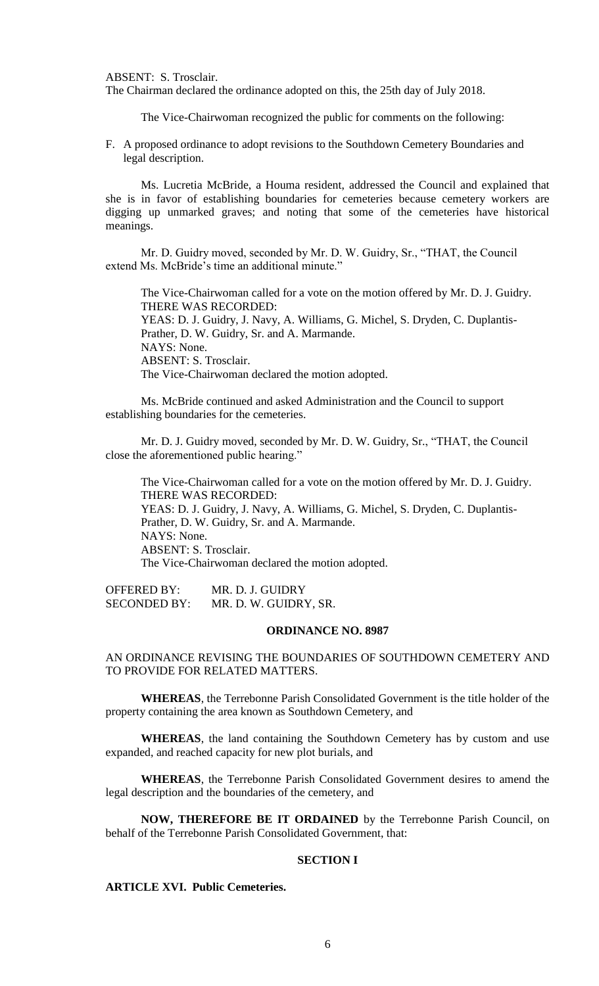ABSENT: S. Trosclair.

The Chairman declared the ordinance adopted on this, the 25th day of July 2018.

The Vice-Chairwoman recognized the public for comments on the following:

F. A proposed ordinance to adopt revisions to the Southdown Cemetery Boundaries and legal description.

Ms. Lucretia McBride, a Houma resident, addressed the Council and explained that she is in favor of establishing boundaries for cemeteries because cemetery workers are digging up unmarked graves; and noting that some of the cemeteries have historical meanings.

Mr. D. Guidry moved, seconded by Mr. D. W. Guidry, Sr., "THAT, the Council extend Ms. McBride's time an additional minute."

The Vice-Chairwoman called for a vote on the motion offered by Mr. D. J. Guidry. THERE WAS RECORDED: YEAS: D. J. Guidry, J. Navy, A. Williams, G. Michel, S. Dryden, C. Duplantis-Prather, D. W. Guidry, Sr. and A. Marmande. NAYS: None. ABSENT: S. Trosclair. The Vice-Chairwoman declared the motion adopted.

Ms. McBride continued and asked Administration and the Council to support establishing boundaries for the cemeteries.

Mr. D. J. Guidry moved, seconded by Mr. D. W. Guidry, Sr., "THAT, the Council close the aforementioned public hearing."

The Vice-Chairwoman called for a vote on the motion offered by Mr. D. J. Guidry. THERE WAS RECORDED: YEAS: D. J. Guidry, J. Navy, A. Williams, G. Michel, S. Dryden, C. Duplantis-Prather, D. W. Guidry, Sr. and A. Marmande. NAYS: None. ABSENT: S. Trosclair. The Vice-Chairwoman declared the motion adopted.

OFFERED BY: MR. D. J. GUIDRY SECONDED BY: MR. D. W. GUIDRY, SR.

#### **ORDINANCE NO. 8987**

# AN ORDINANCE REVISING THE BOUNDARIES OF SOUTHDOWN CEMETERY AND TO PROVIDE FOR RELATED MATTERS.

**WHEREAS**, the Terrebonne Parish Consolidated Government is the title holder of the property containing the area known as Southdown Cemetery, and

**WHEREAS**, the land containing the Southdown Cemetery has by custom and use expanded, and reached capacity for new plot burials, and

**WHEREAS**, the Terrebonne Parish Consolidated Government desires to amend the legal description and the boundaries of the cemetery, and

**NOW, THEREFORE BE IT ORDAINED** by the Terrebonne Parish Council, on behalf of the Terrebonne Parish Consolidated Government, that:

#### **SECTION I**

# **ARTICLE XVI. Public Cemeteries.**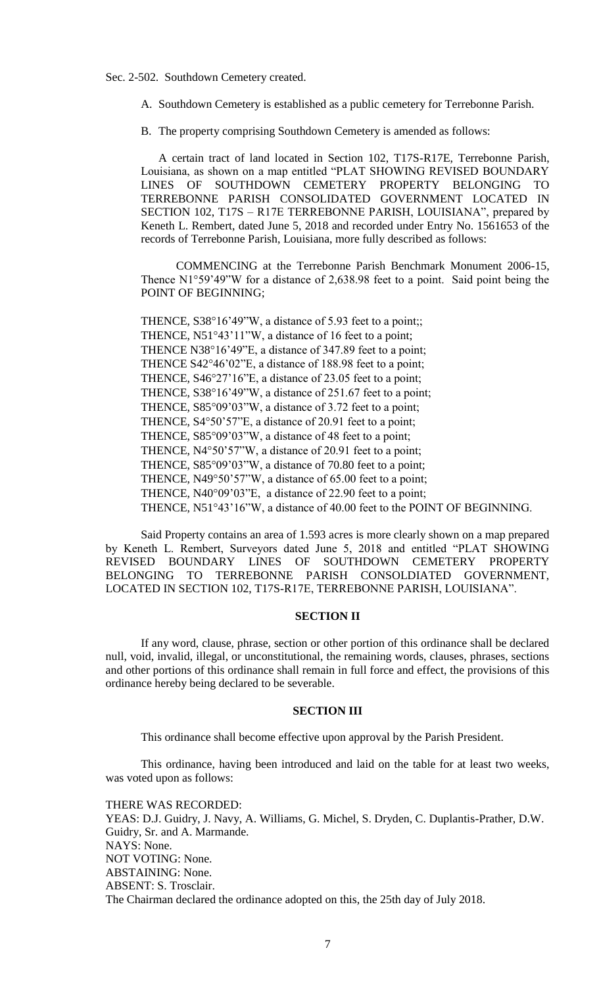Sec. 2-502. Southdown Cemetery created.

A. Southdown Cemetery is established as a public cemetery for Terrebonne Parish.

B. The property comprising Southdown Cemetery is amended as follows:

A certain tract of land located in Section 102, T17S-R17E, Terrebonne Parish, Louisiana, as shown on a map entitled "PLAT SHOWING REVISED BOUNDARY LINES OF SOUTHDOWN CEMETERY PROPERTY BELONGING TO TERREBONNE PARISH CONSOLIDATED GOVERNMENT LOCATED IN SECTION 102, T17S – R17E TERREBONNE PARISH, LOUISIANA", prepared by Keneth L. Rembert, dated June 5, 2018 and recorded under Entry No. 1561653 of the records of Terrebonne Parish, Louisiana, more fully described as follows:

COMMENCING at the Terrebonne Parish Benchmark Monument 2006-15, Thence N1°59'49"W for a distance of 2,638.98 feet to a point. Said point being the POINT OF BEGINNING;

THENCE,  $S38^{\circ}16'49''W$ , a distance of 5.93 feet to a point;; THENCE,  $N51^{\circ}43'11''W$ , a distance of 16 feet to a point; THENCE N38°16'49"E, a distance of 347.89 feet to a point; THENCE S42°46'02"E, a distance of 188.98 feet to a point; THENCE, S46°27'16"E, a distance of 23.05 feet to a point; THENCE, S38°16'49"W, a distance of 251.67 feet to a point; THENCE, S85°09'03"W, a distance of 3.72 feet to a point; THENCE, S4°50'57"E, a distance of 20.91 feet to a point; THENCE, S85°09'03"W, a distance of 48 feet to a point; THENCE,  $N4^{\circ}50'57''W$ , a distance of 20.91 feet to a point; THENCE, S85°09'03"W, a distance of 70.80 feet to a point; THENCE, N49°50'57"W, a distance of 65.00 feet to a point; THENCE, N40°09'03"E, a distance of 22.90 feet to a point; THENCE, N51°43'16"W, a distance of 40.00 feet to the POINT OF BEGINNING.

Said Property contains an area of 1.593 acres is more clearly shown on a map prepared by Keneth L. Rembert, Surveyors dated June 5, 2018 and entitled "PLAT SHOWING REVISED BOUNDARY LINES OF SOUTHDOWN CEMETERY PROPERTY BELONGING TO TERREBONNE PARISH CONSOLDIATED GOVERNMENT, LOCATED IN SECTION 102, T17S-R17E, TERREBONNE PARISH, LOUISIANA".

# **SECTION II**

If any word, clause, phrase, section or other portion of this ordinance shall be declared null, void, invalid, illegal, or unconstitutional, the remaining words, clauses, phrases, sections and other portions of this ordinance shall remain in full force and effect, the provisions of this ordinance hereby being declared to be severable.

## **SECTION III**

This ordinance shall become effective upon approval by the Parish President.

This ordinance, having been introduced and laid on the table for at least two weeks, was voted upon as follows:

THERE WAS RECORDED:

YEAS: D.J. Guidry, J. Navy, A. Williams, G. Michel, S. Dryden, C. Duplantis-Prather, D.W. Guidry, Sr. and A. Marmande. NAYS: None. NOT VOTING: None. ABSTAINING: None. ABSENT: S. Trosclair. The Chairman declared the ordinance adopted on this, the 25th day of July 2018.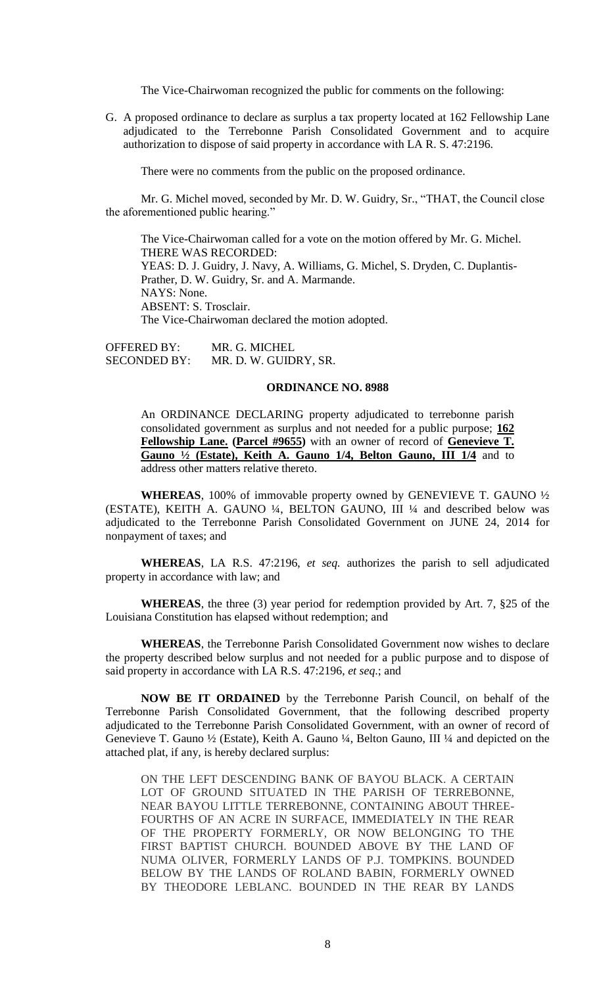The Vice-Chairwoman recognized the public for comments on the following:

G. A proposed ordinance to declare as surplus a tax property located at 162 Fellowship Lane adjudicated to the Terrebonne Parish Consolidated Government and to acquire authorization to dispose of said property in accordance with LA R. S. 47:2196.

There were no comments from the public on the proposed ordinance.

Mr. G. Michel moved, seconded by Mr. D. W. Guidry, Sr., "THAT, the Council close the aforementioned public hearing."

The Vice-Chairwoman called for a vote on the motion offered by Mr. G. Michel. THERE WAS RECORDED: YEAS: D. J. Guidry, J. Navy, A. Williams, G. Michel, S. Dryden, C. Duplantis-Prather, D. W. Guidry, Sr. and A. Marmande. NAYS: None. ABSENT: S. Trosclair. The Vice-Chairwoman declared the motion adopted.

OFFERED BY: MR. G. MICHEL SECONDED BY: MR. D. W. GUIDRY, SR.

#### **ORDINANCE NO. 8988**

An ORDINANCE DECLARING property adjudicated to terrebonne parish consolidated government as surplus and not needed for a public purpose; **162 Fellowship Lane. (Parcel #9655)** with an owner of record of **Genevieve T. Gauno ½ (Estate), Keith A. Gauno 1/4, Belton Gauno, III 1/4** and to address other matters relative thereto.

**WHEREAS**, 100% of immovable property owned by GENEVIEVE T. GAUNO ½ (ESTATE), KEITH A. GAUNO ¼, BELTON GAUNO, III ¼ and described below was adjudicated to the Terrebonne Parish Consolidated Government on JUNE 24, 2014 for nonpayment of taxes; and

**WHEREAS**, LA R.S. 47:2196, *et seq.* authorizes the parish to sell adjudicated property in accordance with law; and

**WHEREAS**, the three (3) year period for redemption provided by Art. 7, §25 of the Louisiana Constitution has elapsed without redemption; and

**WHEREAS**, the Terrebonne Parish Consolidated Government now wishes to declare the property described below surplus and not needed for a public purpose and to dispose of said property in accordance with LA R.S. 47:2196, *et seq*.; and

**NOW BE IT ORDAINED** by the Terrebonne Parish Council, on behalf of the Terrebonne Parish Consolidated Government, that the following described property adjudicated to the Terrebonne Parish Consolidated Government, with an owner of record of Genevieve T. Gauno ½ (Estate), Keith A. Gauno ¼, Belton Gauno, III ¼ and depicted on the attached plat, if any, is hereby declared surplus:

ON THE LEFT DESCENDING BANK OF BAYOU BLACK. A CERTAIN LOT OF GROUND SITUATED IN THE PARISH OF TERREBONNE, NEAR BAYOU LITTLE TERREBONNE, CONTAINING ABOUT THREE-FOURTHS OF AN ACRE IN SURFACE, IMMEDIATELY IN THE REAR OF THE PROPERTY FORMERLY, OR NOW BELONGING TO THE FIRST BAPTIST CHURCH. BOUNDED ABOVE BY THE LAND OF NUMA OLIVER, FORMERLY LANDS OF P.J. TOMPKINS. BOUNDED BELOW BY THE LANDS OF ROLAND BABIN, FORMERLY OWNED BY THEODORE LEBLANC. BOUNDED IN THE REAR BY LANDS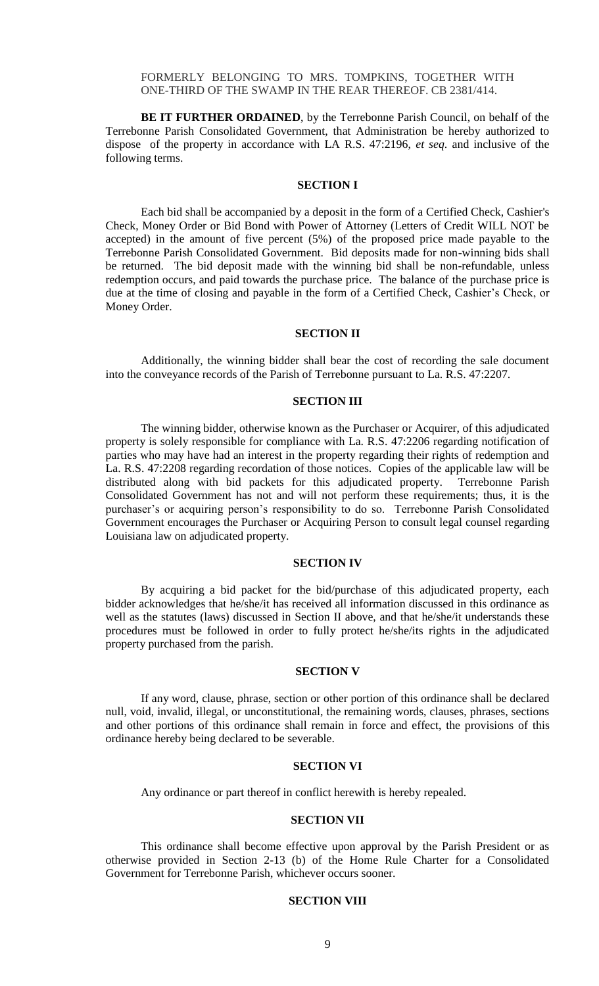FORMERLY BELONGING TO MRS. TOMPKINS, TOGETHER WITH ONE-THIRD OF THE SWAMP IN THE REAR THEREOF. CB 2381/414.

**BE IT FURTHER ORDAINED**, by the Terrebonne Parish Council, on behalf of the Terrebonne Parish Consolidated Government, that Administration be hereby authorized to dispose of the property in accordance with LA R.S. 47:2196, *et seq*. and inclusive of the following terms.

#### **SECTION I**

Each bid shall be accompanied by a deposit in the form of a Certified Check, Cashier's Check, Money Order or Bid Bond with Power of Attorney (Letters of Credit WILL NOT be accepted) in the amount of five percent (5%) of the proposed price made payable to the Terrebonne Parish Consolidated Government. Bid deposits made for non-winning bids shall be returned. The bid deposit made with the winning bid shall be non-refundable, unless redemption occurs, and paid towards the purchase price. The balance of the purchase price is due at the time of closing and payable in the form of a Certified Check, Cashier's Check, or Money Order.

# **SECTION II**

Additionally, the winning bidder shall bear the cost of recording the sale document into the conveyance records of the Parish of Terrebonne pursuant to La. R.S. 47:2207.

## **SECTION III**

The winning bidder, otherwise known as the Purchaser or Acquirer, of this adjudicated property is solely responsible for compliance with La. R.S. 47:2206 regarding notification of parties who may have had an interest in the property regarding their rights of redemption and La. R.S. 47:2208 regarding recordation of those notices. Copies of the applicable law will be distributed along with bid packets for this adjudicated property. Terrebonne Parish Consolidated Government has not and will not perform these requirements; thus, it is the purchaser's or acquiring person's responsibility to do so. Terrebonne Parish Consolidated Government encourages the Purchaser or Acquiring Person to consult legal counsel regarding Louisiana law on adjudicated property.

#### **SECTION IV**

By acquiring a bid packet for the bid/purchase of this adjudicated property, each bidder acknowledges that he/she/it has received all information discussed in this ordinance as well as the statutes (laws) discussed in Section II above, and that he/she/it understands these procedures must be followed in order to fully protect he/she/its rights in the adjudicated property purchased from the parish.

## **SECTION V**

If any word, clause, phrase, section or other portion of this ordinance shall be declared null, void, invalid, illegal, or unconstitutional, the remaining words, clauses, phrases, sections and other portions of this ordinance shall remain in force and effect, the provisions of this ordinance hereby being declared to be severable.

#### **SECTION VI**

Any ordinance or part thereof in conflict herewith is hereby repealed.

#### **SECTION VII**

This ordinance shall become effective upon approval by the Parish President or as otherwise provided in Section 2-13 (b) of the Home Rule Charter for a Consolidated Government for Terrebonne Parish, whichever occurs sooner.

#### **SECTION VIII**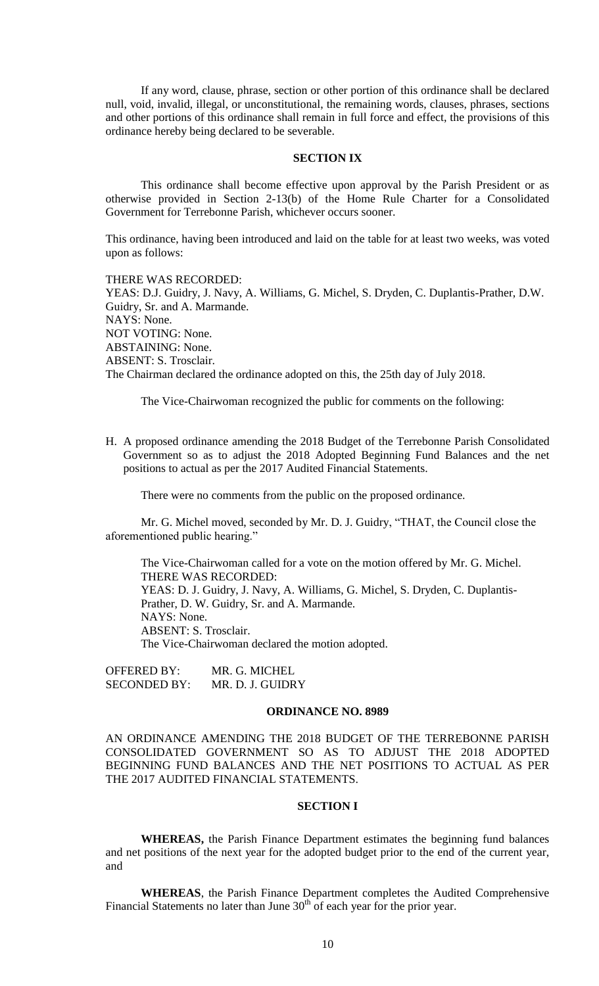If any word, clause, phrase, section or other portion of this ordinance shall be declared null, void, invalid, illegal, or unconstitutional, the remaining words, clauses, phrases, sections and other portions of this ordinance shall remain in full force and effect, the provisions of this ordinance hereby being declared to be severable.

## **SECTION IX**

This ordinance shall become effective upon approval by the Parish President or as otherwise provided in Section 2-13(b) of the Home Rule Charter for a Consolidated Government for Terrebonne Parish, whichever occurs sooner.

This ordinance, having been introduced and laid on the table for at least two weeks, was voted upon as follows:

#### THERE WAS RECORDED:

YEAS: D.J. Guidry, J. Navy, A. Williams, G. Michel, S. Dryden, C. Duplantis-Prather, D.W. Guidry, Sr. and A. Marmande. NAYS: None. NOT VOTING: None. ABSTAINING: None. ABSENT: S. Trosclair. The Chairman declared the ordinance adopted on this, the 25th day of July 2018.

The Vice-Chairwoman recognized the public for comments on the following:

H. A proposed ordinance amending the 2018 Budget of the Terrebonne Parish Consolidated Government so as to adjust the 2018 Adopted Beginning Fund Balances and the net positions to actual as per the 2017 Audited Financial Statements.

There were no comments from the public on the proposed ordinance.

Mr. G. Michel moved, seconded by Mr. D. J. Guidry, "THAT, the Council close the aforementioned public hearing."

The Vice-Chairwoman called for a vote on the motion offered by Mr. G. Michel. THERE WAS RECORDED: YEAS: D. J. Guidry, J. Navy, A. Williams, G. Michel, S. Dryden, C. Duplantis-Prather, D. W. Guidry, Sr. and A. Marmande. NAYS: None. ABSENT: S. Trosclair. The Vice-Chairwoman declared the motion adopted.

OFFERED BY: MR. G. MICHEL SECONDED BY: MR. D. J. GUIDRY

#### **ORDINANCE NO. 8989**

AN ORDINANCE AMENDING THE 2018 BUDGET OF THE TERREBONNE PARISH CONSOLIDATED GOVERNMENT SO AS TO ADJUST THE 2018 ADOPTED BEGINNING FUND BALANCES AND THE NET POSITIONS TO ACTUAL AS PER THE 2017 AUDITED FINANCIAL STATEMENTS.

#### **SECTION I**

**WHEREAS,** the Parish Finance Department estimates the beginning fund balances and net positions of the next year for the adopted budget prior to the end of the current year, and

**WHEREAS**, the Parish Finance Department completes the Audited Comprehensive Financial Statements no later than June  $30<sup>th</sup>$  of each year for the prior year.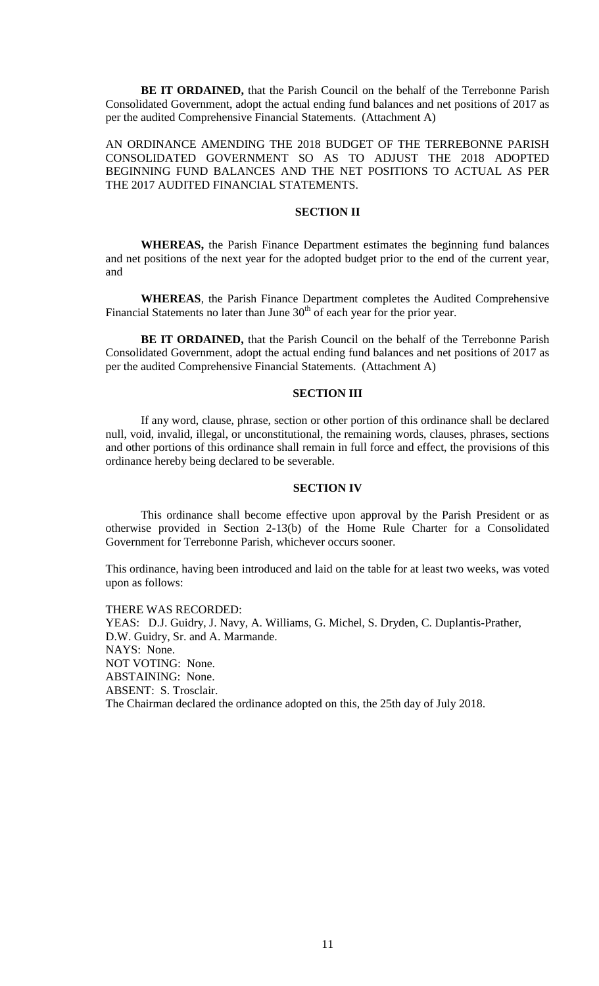**BE IT ORDAINED,** that the Parish Council on the behalf of the Terrebonne Parish Consolidated Government, adopt the actual ending fund balances and net positions of 2017 as per the audited Comprehensive Financial Statements. (Attachment A)

AN ORDINANCE AMENDING THE 2018 BUDGET OF THE TERREBONNE PARISH CONSOLIDATED GOVERNMENT SO AS TO ADJUST THE 2018 ADOPTED BEGINNING FUND BALANCES AND THE NET POSITIONS TO ACTUAL AS PER THE 2017 AUDITED FINANCIAL STATEMENTS.

## **SECTION II**

**WHEREAS,** the Parish Finance Department estimates the beginning fund balances and net positions of the next year for the adopted budget prior to the end of the current year, and

**WHEREAS**, the Parish Finance Department completes the Audited Comprehensive Financial Statements no later than June  $30<sup>th</sup>$  of each year for the prior year.

**BE IT ORDAINED,** that the Parish Council on the behalf of the Terrebonne Parish Consolidated Government, adopt the actual ending fund balances and net positions of 2017 as per the audited Comprehensive Financial Statements. (Attachment A)

## **SECTION III**

If any word, clause, phrase, section or other portion of this ordinance shall be declared null, void, invalid, illegal, or unconstitutional, the remaining words, clauses, phrases, sections and other portions of this ordinance shall remain in full force and effect, the provisions of this ordinance hereby being declared to be severable.

### **SECTION IV**

This ordinance shall become effective upon approval by the Parish President or as otherwise provided in Section 2-13(b) of the Home Rule Charter for a Consolidated Government for Terrebonne Parish, whichever occurs sooner.

This ordinance, having been introduced and laid on the table for at least two weeks, was voted upon as follows:

THERE WAS RECORDED: YEAS: D.J. Guidry, J. Navy, A. Williams, G. Michel, S. Dryden, C. Duplantis-Prather, D.W. Guidry, Sr. and A. Marmande. NAYS: None. NOT VOTING: None. ABSTAINING: None. ABSENT: S. Trosclair. The Chairman declared the ordinance adopted on this, the 25th day of July 2018.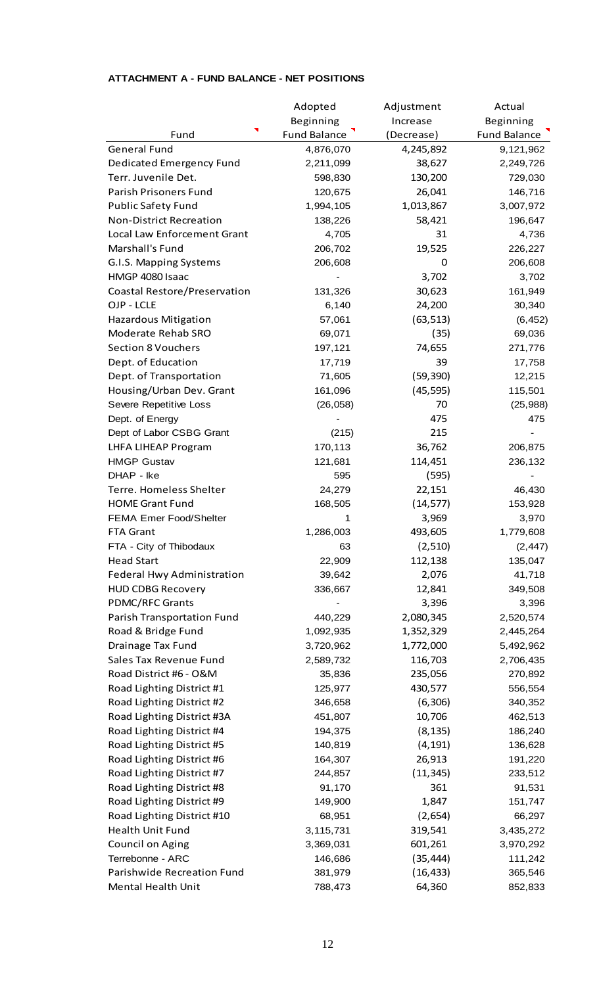|                                | Adopted             | Adjustment | Actual              |
|--------------------------------|---------------------|------------|---------------------|
|                                | Beginning           | Increase   | Beginning           |
| Fund                           | <b>Fund Balance</b> | (Decrease) | <b>Fund Balance</b> |
| <b>General Fund</b>            | 4,876,070           | 4,245,892  | 9,121,962           |
| Dedicated Emergency Fund       | 2,211,099           | 38,627     | 2,249,726           |
| Terr. Juvenile Det.            | 598,830             | 130,200    | 729,030             |
| Parish Prisoners Fund          | 120,675             | 26,041     | 146,716             |
| <b>Public Safety Fund</b>      | 1,994,105           | 1,013,867  | 3,007,972           |
| <b>Non-District Recreation</b> | 138,226             | 58,421     | 196,647             |
| Local Law Enforcement Grant    | 4,705               | 31         | 4,736               |
| Marshall's Fund                | 206,702             | 19,525     | 226,227             |
| G.I.S. Mapping Systems         | 206,608             | 0          | 206,608             |
| HMGP 4080 Isaac                |                     | 3,702      | 3,702               |
| Coastal Restore/Preservation   | 131,326             | 30,623     | 161,949             |
| OJP - LCLE                     | 6,140               | 24,200     | 30,340              |
| <b>Hazardous Mitigation</b>    | 57,061              | (63, 513)  | (6, 452)            |
| Moderate Rehab SRO             | 69,071              | (35)       | 69,036              |
| <b>Section 8 Vouchers</b>      | 197,121             | 74,655     | 271,776             |
| Dept. of Education             | 17,719              | 39         | 17,758              |
| Dept. of Transportation        | 71,605              | (59, 390)  | 12,215              |
| Housing/Urban Dev. Grant       | 161,096             | (45, 595)  | 115,501             |
| Severe Repetitive Loss         | (26, 058)           | 70         | (25, 988)           |
| Dept. of Energy                |                     | 475        | 475                 |
| Dept of Labor CSBG Grant       | (215)               | 215        |                     |
| LHFA LIHEAP Program            | 170,113             | 36,762     | 206,875             |
| <b>HMGP Gustav</b>             | 121,681             | 114,451    | 236,132             |
| DHAP - Ike                     | 595                 | (595)      |                     |
| Terre. Homeless Shelter        | 24,279              | 22,151     | 46,430              |
| <b>HOME Grant Fund</b>         | 168,505             | (14, 577)  | 153,928             |
| <b>FEMA Emer Food/Shelter</b>  | 1                   | 3,969      | 3,970               |
| <b>FTA Grant</b>               | 1,286,003           | 493,605    | 1,779,608           |
| FTA - City of Thibodaux        | 63                  | (2,510)    | (2, 447)            |
| <b>Head Start</b>              | 22,909              | 112,138    | 135,047             |
| Federal Hwy Administration     | 39,642              | 2,076      | 41,718              |
| <b>HUD CDBG Recovery</b>       | 336,667             | 12,841     | 349,508             |
| <b>PDMC/RFC Grants</b>         |                     | 3,396      | 3,396               |
| Parish Transportation Fund     | 440,229             | 2,080,345  | 2,520,574           |
| Road & Bridge Fund             | 1,092,935           | 1,352,329  | 2,445,264           |
| Drainage Tax Fund              | 3,720,962           | 1,772,000  | 5,492,962           |
| Sales Tax Revenue Fund         | 2,589,732           | 116,703    | 2,706,435           |
| Road District #6 - O&M         | 35,836              | 235,056    | 270,892             |
| Road Lighting District #1      | 125,977             | 430,577    | 556,554             |
| Road Lighting District #2      | 346,658             | (6,306)    | 340,352             |
| Road Lighting District #3A     | 451,807             | 10,706     | 462,513             |
| Road Lighting District #4      | 194,375             | (8, 135)   | 186,240             |
| Road Lighting District #5      | 140,819             | (4, 191)   | 136,628             |
| Road Lighting District #6      | 164,307             | 26,913     | 191,220             |
| Road Lighting District #7      | 244,857             | (11, 345)  | 233,512             |
| Road Lighting District #8      | 91,170              | 361        | 91,531              |
| Road Lighting District #9      | 149,900             | 1,847      | 151,747             |
| Road Lighting District #10     | 68,951              | (2,654)    | 66,297              |
| <b>Health Unit Fund</b>        | 3,115,731           | 319,541    | 3,435,272           |
| Council on Aging               | 3,369,031           | 601,261    | 3,970,292           |
| Terrebonne - ARC               | 146,686             | (35, 444)  | 111,242             |
| Parishwide Recreation Fund     | 381,979             | (16, 433)  | 365,546             |
| Mental Health Unit             | 788,473             | 64,360     | 852,833             |
|                                |                     |            |                     |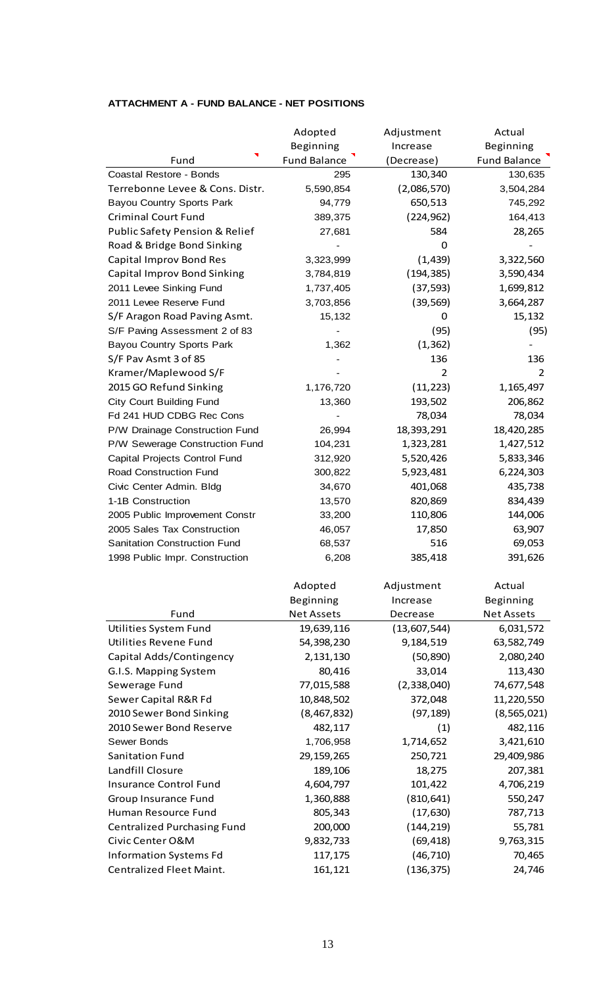|                                     | Adopted             | Adjustment   | Actual              |
|-------------------------------------|---------------------|--------------|---------------------|
|                                     | Beginning           | Increase     | Beginning           |
| Fund                                | <b>Fund Balance</b> | (Decrease)   | <b>Fund Balance</b> |
| Coastal Restore - Bonds             | 295                 | 130,340      | 130,635             |
| Terrebonne Levee & Cons. Distr.     | 5,590,854           | (2,086,570)  | 3,504,284           |
| <b>Bayou Country Sports Park</b>    | 94,779              | 650,513      | 745,292             |
| <b>Criminal Court Fund</b>          | 389,375             | (224, 962)   | 164,413             |
| Public Safety Pension & Relief      | 27,681              | 584          | 28,265              |
| Road & Bridge Bond Sinking          |                     | 0            |                     |
| Capital Improv Bond Res             | 3,323,999           | (1, 439)     | 3,322,560           |
| Capital Improv Bond Sinking         | 3,784,819           | (194, 385)   | 3,590,434           |
| 2011 Levee Sinking Fund             | 1,737,405           | (37, 593)    | 1,699,812           |
| 2011 Levee Reserve Fund             | 3,703,856           | (39, 569)    | 3,664,287           |
| S/F Aragon Road Paving Asmt.        | 15,132              | 0            | 15,132              |
| S/F Paving Assessment 2 of 83       |                     | (95)         | (95)                |
| <b>Bayou Country Sports Park</b>    | 1,362               | (1, 362)     |                     |
| S/F Pav Asmt 3 of 85                |                     | 136          | 136                 |
| Kramer/Maplewood S/F                |                     | 2            | $\overline{2}$      |
| 2015 GO Refund Sinking              | 1,176,720           | (11, 223)    | 1,165,497           |
| <b>City Court Building Fund</b>     | 13,360              | 193,502      | 206,862             |
| Fd 241 HUD CDBG Rec Cons            |                     | 78,034       | 78,034              |
| P/W Drainage Construction Fund      | 26,994              | 18,393,291   | 18,420,285          |
| P/W Sewerage Construction Fund      | 104,231             | 1,323,281    | 1,427,512           |
| Capital Projects Control Fund       | 312,920             | 5,520,426    | 5,833,346           |
| Road Construction Fund              | 300,822             | 5,923,481    | 6,224,303           |
| Civic Center Admin. Bldg            | 34,670              | 401,068      | 435,738             |
| 1-1B Construction                   | 13,570              | 820,869      | 834,439             |
| 2005 Public Improvement Constr      | 33,200              | 110,806      | 144,006             |
| 2005 Sales Tax Construction         | 46,057              | 17,850       | 63,907              |
| <b>Sanitation Construction Fund</b> | 68,537              | 516          | 69,053              |
| 1998 Public Impr. Construction      | 6,208               | 385,418      | 391,626             |
|                                     |                     |              |                     |
|                                     | Adopted             | Adjustment   | Actual              |
|                                     | Beginning           | Increase     | Beginning           |
| Fund                                | <b>Net Assets</b>   | Decrease     | <b>Net Assets</b>   |
| Utilities System Fund               | 19,639,116          | (13,607,544) | 6,031,572           |
| Utilities Revene Fund               | 54,398,230          | 9,184,519    | 63,582,749          |
| Capital Adds/Contingency            | 2,131,130           | (50, 890)    | 2,080,240           |
| G.I.S. Mapping System               | 80,416              | 33,014       | 113,430             |
| Sewerage Fund                       | 77,015,588          | (2,338,040)  | 74,677,548          |
| Sewer Capital R&R Fd                | 10,848,502          | 372,048      | 11,220,550          |
| 2010 Sewer Bond Sinking             | (8,467,832)         | (97, 189)    | (8, 565, 021)       |
| 2010 Sewer Bond Reserve             | 482,117             | (1)          | 482,116             |
| Sewer Bonds                         | 1,706,958           | 1,714,652    | 3,421,610           |
| <b>Sanitation Fund</b>              | 29, 159, 265        | 250,721      | 29,409,986          |
| Landfill Closure                    | 189,106             | 18,275       | 207,381             |
| <b>Insurance Control Fund</b>       | 4,604,797           | 101,422      | 4,706,219           |
| Group Insurance Fund                | 1,360,888           | (810, 641)   | 550,247             |

Human Resource Fund **805,343** (17,630) 787,713

Centralized Purchasing Fund 200,000 (144,219) 55,781<br>Civic Center O&M 9,832,733 (69,418) 9,763,315 Civic Center O&M 9,832,733 (69,418) 9,763,315 Information Systems Fd 117,175 (46,710) 70,465 Centralized Fleet Maint. 161,121 (136,375) 24,746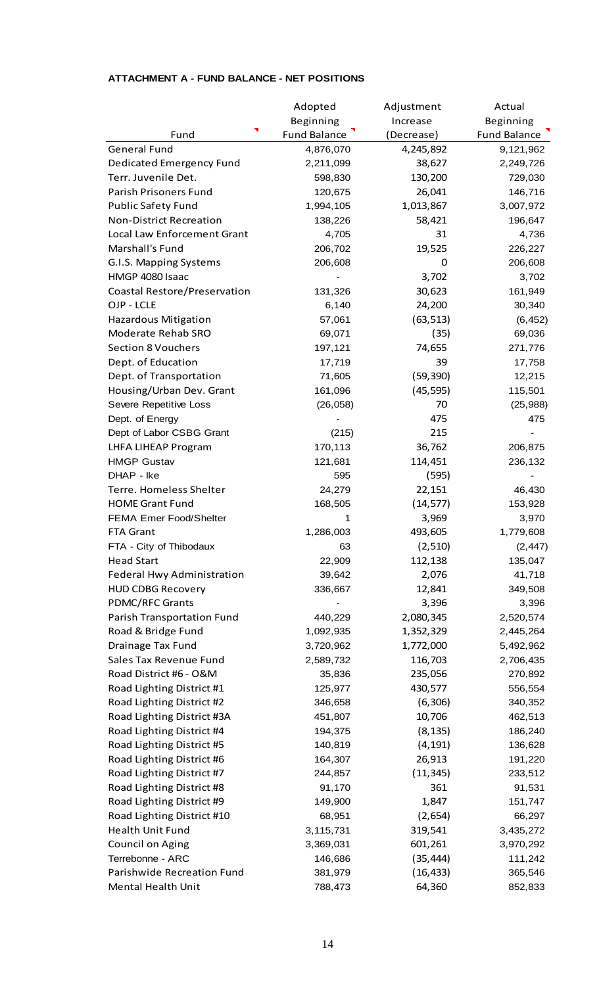|                                | Adopted             | Adjustment | Actual              |
|--------------------------------|---------------------|------------|---------------------|
|                                | Beginning           | Increase   | Beginning           |
| Fund                           | <b>Fund Balance</b> | (Decrease) | <b>Fund Balance</b> |
| <b>General Fund</b>            | 4,876,070           | 4,245,892  | 9,121,962           |
| Dedicated Emergency Fund       | 2,211,099           | 38,627     | 2,249,726           |
| Terr. Juvenile Det.            | 598,830             | 130,200    | 729,030             |
| Parish Prisoners Fund          | 120,675             | 26,041     | 146,716             |
| <b>Public Safety Fund</b>      | 1,994,105           | 1,013,867  | 3,007,972           |
| <b>Non-District Recreation</b> | 138,226             | 58,421     | 196,647             |
| Local Law Enforcement Grant    | 4,705               | 31         | 4,736               |
| Marshall's Fund                | 206,702             | 19,525     | 226,227             |
| G.I.S. Mapping Systems         | 206,608             | 0          | 206,608             |
| HMGP 4080 Isaac                |                     | 3,702      | 3,702               |
| Coastal Restore/Preservation   | 131,326             | 30,623     | 161,949             |
| OJP - LCLE                     | 6,140               | 24,200     | 30,340              |
| <b>Hazardous Mitigation</b>    | 57,061              | (63, 513)  | (6, 452)            |
| Moderate Rehab SRO             | 69,071              | (35)       | 69,036              |
| <b>Section 8 Vouchers</b>      | 197,121             | 74,655     | 271,776             |
| Dept. of Education             | 17,719              | 39         | 17,758              |
| Dept. of Transportation        | 71,605              | (59, 390)  | 12,215              |
| Housing/Urban Dev. Grant       | 161,096             | (45, 595)  | 115,501             |
| Severe Repetitive Loss         | (26, 058)           | 70         | (25, 988)           |
| Dept. of Energy                |                     | 475        | 475                 |
| Dept of Labor CSBG Grant       | (215)               | 215        |                     |
| LHFA LIHEAP Program            | 170,113             | 36,762     | 206,875             |
| <b>HMGP Gustav</b>             | 121,681             | 114,451    | 236,132             |
| DHAP - Ike                     | 595                 | (595)      |                     |
| Terre. Homeless Shelter        | 24,279              | 22,151     | 46,430              |
| <b>HOME Grant Fund</b>         | 168,505             | (14, 577)  | 153,928             |
| <b>FEMA Emer Food/Shelter</b>  | 1                   | 3,969      | 3,970               |
| FTA Grant                      | 1,286,003           | 493,605    | 1,779,608           |
| FTA - City of Thibodaux        | 63                  | (2,510)    | (2, 447)            |
| <b>Head Start</b>              | 22,909              | 112,138    | 135,047             |
| Federal Hwy Administration     | 39,642              | 2,076      | 41,718              |
| <b>HUD CDBG Recovery</b>       | 336,667             | 12,841     | 349,508             |
| PDMC/RFC Grants                |                     | 3,396      | 3,396               |
| Parish Transportation Fund     | 440,229             | 2,080,345  | 2,520,574           |
| Road & Bridge Fund             | 1,092,935           | 1,352,329  | 2,445,264           |
| Drainage Tax Fund              | 3,720,962           | 1,772,000  | 5,492,962           |
| Sales Tax Revenue Fund         | 2,589,732           | 116,703    | 2,706,435           |
| Road District #6 - O&M         | 35,836              | 235,056    | 270,892             |
| Road Lighting District #1      | 125,977             | 430,577    | 556,554             |
| Road Lighting District #2      | 346,658             | (6,306)    | 340,352             |
| Road Lighting District #3A     | 451,807             | 10,706     | 462,513             |
| Road Lighting District #4      | 194,375             | (8, 135)   | 186,240             |
| Road Lighting District #5      | 140,819             | (4, 191)   | 136,628             |
| Road Lighting District #6      | 164,307             | 26,913     | 191,220             |
| Road Lighting District #7      | 244,857             | (11, 345)  | 233,512             |
| Road Lighting District #8      | 91,170              | 361        | 91,531              |
| Road Lighting District #9      | 149,900             | 1,847      | 151,747             |
| Road Lighting District #10     | 68,951              | (2,654)    | 66,297              |
| <b>Health Unit Fund</b>        | 3,115,731           | 319,541    | 3,435,272           |
| Council on Aging               | 3,369,031           | 601,261    | 3,970,292           |
| Terrebonne - ARC               | 146,686             | (35, 444)  | 111,242             |
| Parishwide Recreation Fund     | 381,979             | (16, 433)  | 365,546             |
| Mental Health Unit             | 788,473             | 64,360     | 852,833             |
|                                |                     |            |                     |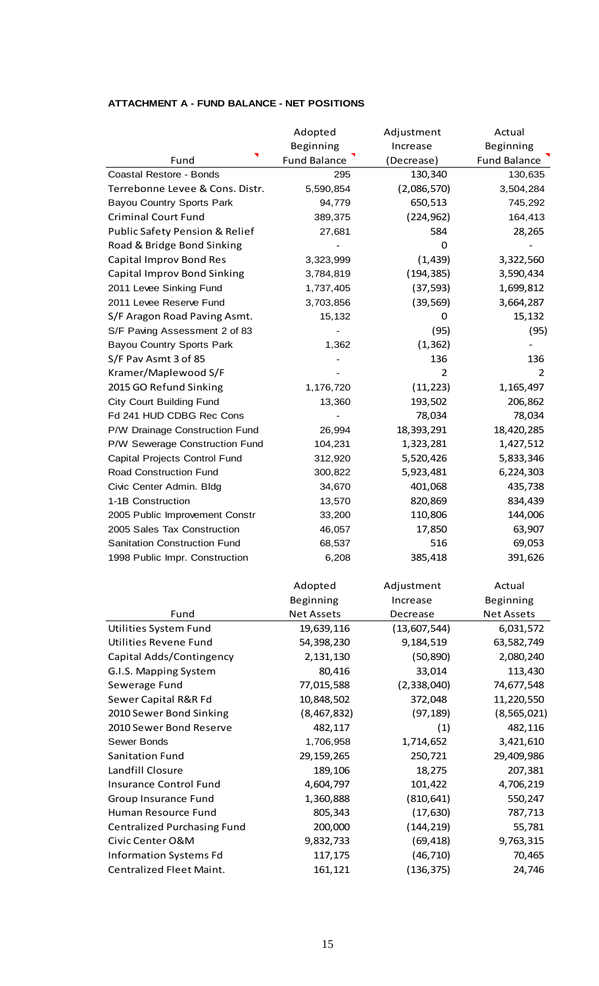| Beginning<br>Beginning<br>Increase<br><b>Fund Balance</b><br><b>Fund Balance</b><br>Fund<br>(Decrease)<br>130,340<br>Coastal Restore - Bonds<br>130,635<br>295<br>Terrebonne Levee & Cons. Distr.<br>5,590,854<br>(2,086,570)<br>3,504,284<br><b>Bayou Country Sports Park</b><br>94,779<br>650,513<br>745,292<br><b>Criminal Court Fund</b><br>(224, 962)<br>164,413<br>389,375<br>Public Safety Pension & Relief<br>28,265<br>27,681<br>584<br>Road & Bridge Bond Sinking<br>0<br>Capital Improv Bond Res<br>(1, 439)<br>3,322,560<br>3,323,999<br>(194, 385)<br>Capital Improv Bond Sinking<br>3,590,434<br>3,784,819<br>2011 Levee Sinking Fund<br>1,737,405<br>(37, 593)<br>1,699,812<br>3,664,287<br>2011 Levee Reserve Fund<br>3,703,856<br>(39, 569)<br>15,132<br>15,132<br>S/F Aragon Road Paving Asmt.<br>0<br>(95)<br>(95)<br>S/F Paving Assessment 2 of 83<br>(1, 362)<br><b>Bayou Country Sports Park</b><br>1,362<br>S/F Pav Asmt 3 of 85<br>136<br>136<br>$\overline{2}$<br>Kramer/Maplewood S/F<br>$\overline{2}$<br>2015 GO Refund Sinking<br>(11, 223)<br>1,176,720<br>1,165,497<br><b>City Court Building Fund</b><br>193,502<br>206,862<br>13,360<br>Fd 241 HUD CDBG Rec Cons<br>78,034<br>78,034<br>18,393,291<br>18,420,285<br>P/W Drainage Construction Fund<br>26,994<br>P/W Sewerage Construction Fund<br>1,323,281<br>1,427,512<br>104,231<br>Capital Projects Control Fund<br>312,920<br>5,520,426<br>5,833,346<br>Road Construction Fund<br>300,822<br>5,923,481<br>6,224,303<br>401,068<br>435,738<br>Civic Center Admin. Bldg<br>34,670<br>1-1B Construction<br>820,869<br>834,439<br>13,570<br>110,806<br>144,006<br>2005 Public Improvement Constr<br>33,200<br>17,850<br>63,907<br>2005 Sales Tax Construction<br>46,057<br><b>Sanitation Construction Fund</b><br>68,537<br>516<br>69,053<br>385,418<br>391,626<br>1998 Public Impr. Construction<br>6,208<br>Adopted<br>Adjustment<br>Actual<br>Beginning<br>Beginning<br>Increase<br>Fund<br><b>Net Assets</b><br><b>Net Assets</b><br>Decrease<br><b>Utilities System Fund</b><br>(13,607,544)<br>19,639,116<br>6,031,572<br>Utilities Revene Fund<br>54,398,230<br>9,184,519<br>63,582,749<br>Capital Adds/Contingency<br>2,131,130<br>(50, 890)<br>2,080,240<br>G.I.S. Mapping System<br>80,416<br>33,014<br>113,430<br>(2,338,040)<br>Sewerage Fund<br>77,015,588<br>74,677,548<br>Sewer Capital R&R Fd<br>10,848,502<br>372,048<br>11,220,550<br>2010 Sewer Bond Sinking<br>(8, 565, 021)<br>(8,467,832)<br>(97, 189)<br>2010 Sewer Bond Reserve<br>482,117<br>(1)<br>482,116<br>Sewer Bonds<br>1,706,958<br>3,421,610<br>1,714,652<br>Sanitation Fund<br>29, 159, 265<br>250,721<br>29,409,986<br>Landfill Closure<br>189,106<br>18,275<br>207,381<br>4,604,797<br>101,422<br><b>Insurance Control Fund</b><br>4,706,219 |                      | Adopted   | Adjustment | Actual  |
|--------------------------------------------------------------------------------------------------------------------------------------------------------------------------------------------------------------------------------------------------------------------------------------------------------------------------------------------------------------------------------------------------------------------------------------------------------------------------------------------------------------------------------------------------------------------------------------------------------------------------------------------------------------------------------------------------------------------------------------------------------------------------------------------------------------------------------------------------------------------------------------------------------------------------------------------------------------------------------------------------------------------------------------------------------------------------------------------------------------------------------------------------------------------------------------------------------------------------------------------------------------------------------------------------------------------------------------------------------------------------------------------------------------------------------------------------------------------------------------------------------------------------------------------------------------------------------------------------------------------------------------------------------------------------------------------------------------------------------------------------------------------------------------------------------------------------------------------------------------------------------------------------------------------------------------------------------------------------------------------------------------------------------------------------------------------------------------------------------------------------------------------------------------------------------------------------------------------------------------------------------------------------------------------------------------------------------------------------------------------------------------------------------------------------------------------------------------------------------------------------------------------------------------------------------------------------------------------------------------------------------------------------------------------------------------------------------------------------------------------------------------------------------------------------------------------|----------------------|-----------|------------|---------|
|                                                                                                                                                                                                                                                                                                                                                                                                                                                                                                                                                                                                                                                                                                                                                                                                                                                                                                                                                                                                                                                                                                                                                                                                                                                                                                                                                                                                                                                                                                                                                                                                                                                                                                                                                                                                                                                                                                                                                                                                                                                                                                                                                                                                                                                                                                                                                                                                                                                                                                                                                                                                                                                                                                                                                                                                                    |                      |           |            |         |
|                                                                                                                                                                                                                                                                                                                                                                                                                                                                                                                                                                                                                                                                                                                                                                                                                                                                                                                                                                                                                                                                                                                                                                                                                                                                                                                                                                                                                                                                                                                                                                                                                                                                                                                                                                                                                                                                                                                                                                                                                                                                                                                                                                                                                                                                                                                                                                                                                                                                                                                                                                                                                                                                                                                                                                                                                    |                      |           |            |         |
|                                                                                                                                                                                                                                                                                                                                                                                                                                                                                                                                                                                                                                                                                                                                                                                                                                                                                                                                                                                                                                                                                                                                                                                                                                                                                                                                                                                                                                                                                                                                                                                                                                                                                                                                                                                                                                                                                                                                                                                                                                                                                                                                                                                                                                                                                                                                                                                                                                                                                                                                                                                                                                                                                                                                                                                                                    |                      |           |            |         |
|                                                                                                                                                                                                                                                                                                                                                                                                                                                                                                                                                                                                                                                                                                                                                                                                                                                                                                                                                                                                                                                                                                                                                                                                                                                                                                                                                                                                                                                                                                                                                                                                                                                                                                                                                                                                                                                                                                                                                                                                                                                                                                                                                                                                                                                                                                                                                                                                                                                                                                                                                                                                                                                                                                                                                                                                                    |                      |           |            |         |
|                                                                                                                                                                                                                                                                                                                                                                                                                                                                                                                                                                                                                                                                                                                                                                                                                                                                                                                                                                                                                                                                                                                                                                                                                                                                                                                                                                                                                                                                                                                                                                                                                                                                                                                                                                                                                                                                                                                                                                                                                                                                                                                                                                                                                                                                                                                                                                                                                                                                                                                                                                                                                                                                                                                                                                                                                    |                      |           |            |         |
|                                                                                                                                                                                                                                                                                                                                                                                                                                                                                                                                                                                                                                                                                                                                                                                                                                                                                                                                                                                                                                                                                                                                                                                                                                                                                                                                                                                                                                                                                                                                                                                                                                                                                                                                                                                                                                                                                                                                                                                                                                                                                                                                                                                                                                                                                                                                                                                                                                                                                                                                                                                                                                                                                                                                                                                                                    |                      |           |            |         |
|                                                                                                                                                                                                                                                                                                                                                                                                                                                                                                                                                                                                                                                                                                                                                                                                                                                                                                                                                                                                                                                                                                                                                                                                                                                                                                                                                                                                                                                                                                                                                                                                                                                                                                                                                                                                                                                                                                                                                                                                                                                                                                                                                                                                                                                                                                                                                                                                                                                                                                                                                                                                                                                                                                                                                                                                                    |                      |           |            |         |
|                                                                                                                                                                                                                                                                                                                                                                                                                                                                                                                                                                                                                                                                                                                                                                                                                                                                                                                                                                                                                                                                                                                                                                                                                                                                                                                                                                                                                                                                                                                                                                                                                                                                                                                                                                                                                                                                                                                                                                                                                                                                                                                                                                                                                                                                                                                                                                                                                                                                                                                                                                                                                                                                                                                                                                                                                    |                      |           |            |         |
|                                                                                                                                                                                                                                                                                                                                                                                                                                                                                                                                                                                                                                                                                                                                                                                                                                                                                                                                                                                                                                                                                                                                                                                                                                                                                                                                                                                                                                                                                                                                                                                                                                                                                                                                                                                                                                                                                                                                                                                                                                                                                                                                                                                                                                                                                                                                                                                                                                                                                                                                                                                                                                                                                                                                                                                                                    |                      |           |            |         |
|                                                                                                                                                                                                                                                                                                                                                                                                                                                                                                                                                                                                                                                                                                                                                                                                                                                                                                                                                                                                                                                                                                                                                                                                                                                                                                                                                                                                                                                                                                                                                                                                                                                                                                                                                                                                                                                                                                                                                                                                                                                                                                                                                                                                                                                                                                                                                                                                                                                                                                                                                                                                                                                                                                                                                                                                                    |                      |           |            |         |
|                                                                                                                                                                                                                                                                                                                                                                                                                                                                                                                                                                                                                                                                                                                                                                                                                                                                                                                                                                                                                                                                                                                                                                                                                                                                                                                                                                                                                                                                                                                                                                                                                                                                                                                                                                                                                                                                                                                                                                                                                                                                                                                                                                                                                                                                                                                                                                                                                                                                                                                                                                                                                                                                                                                                                                                                                    |                      |           |            |         |
|                                                                                                                                                                                                                                                                                                                                                                                                                                                                                                                                                                                                                                                                                                                                                                                                                                                                                                                                                                                                                                                                                                                                                                                                                                                                                                                                                                                                                                                                                                                                                                                                                                                                                                                                                                                                                                                                                                                                                                                                                                                                                                                                                                                                                                                                                                                                                                                                                                                                                                                                                                                                                                                                                                                                                                                                                    |                      |           |            |         |
|                                                                                                                                                                                                                                                                                                                                                                                                                                                                                                                                                                                                                                                                                                                                                                                                                                                                                                                                                                                                                                                                                                                                                                                                                                                                                                                                                                                                                                                                                                                                                                                                                                                                                                                                                                                                                                                                                                                                                                                                                                                                                                                                                                                                                                                                                                                                                                                                                                                                                                                                                                                                                                                                                                                                                                                                                    |                      |           |            |         |
|                                                                                                                                                                                                                                                                                                                                                                                                                                                                                                                                                                                                                                                                                                                                                                                                                                                                                                                                                                                                                                                                                                                                                                                                                                                                                                                                                                                                                                                                                                                                                                                                                                                                                                                                                                                                                                                                                                                                                                                                                                                                                                                                                                                                                                                                                                                                                                                                                                                                                                                                                                                                                                                                                                                                                                                                                    |                      |           |            |         |
|                                                                                                                                                                                                                                                                                                                                                                                                                                                                                                                                                                                                                                                                                                                                                                                                                                                                                                                                                                                                                                                                                                                                                                                                                                                                                                                                                                                                                                                                                                                                                                                                                                                                                                                                                                                                                                                                                                                                                                                                                                                                                                                                                                                                                                                                                                                                                                                                                                                                                                                                                                                                                                                                                                                                                                                                                    |                      |           |            |         |
|                                                                                                                                                                                                                                                                                                                                                                                                                                                                                                                                                                                                                                                                                                                                                                                                                                                                                                                                                                                                                                                                                                                                                                                                                                                                                                                                                                                                                                                                                                                                                                                                                                                                                                                                                                                                                                                                                                                                                                                                                                                                                                                                                                                                                                                                                                                                                                                                                                                                                                                                                                                                                                                                                                                                                                                                                    |                      |           |            |         |
|                                                                                                                                                                                                                                                                                                                                                                                                                                                                                                                                                                                                                                                                                                                                                                                                                                                                                                                                                                                                                                                                                                                                                                                                                                                                                                                                                                                                                                                                                                                                                                                                                                                                                                                                                                                                                                                                                                                                                                                                                                                                                                                                                                                                                                                                                                                                                                                                                                                                                                                                                                                                                                                                                                                                                                                                                    |                      |           |            |         |
|                                                                                                                                                                                                                                                                                                                                                                                                                                                                                                                                                                                                                                                                                                                                                                                                                                                                                                                                                                                                                                                                                                                                                                                                                                                                                                                                                                                                                                                                                                                                                                                                                                                                                                                                                                                                                                                                                                                                                                                                                                                                                                                                                                                                                                                                                                                                                                                                                                                                                                                                                                                                                                                                                                                                                                                                                    |                      |           |            |         |
|                                                                                                                                                                                                                                                                                                                                                                                                                                                                                                                                                                                                                                                                                                                                                                                                                                                                                                                                                                                                                                                                                                                                                                                                                                                                                                                                                                                                                                                                                                                                                                                                                                                                                                                                                                                                                                                                                                                                                                                                                                                                                                                                                                                                                                                                                                                                                                                                                                                                                                                                                                                                                                                                                                                                                                                                                    |                      |           |            |         |
|                                                                                                                                                                                                                                                                                                                                                                                                                                                                                                                                                                                                                                                                                                                                                                                                                                                                                                                                                                                                                                                                                                                                                                                                                                                                                                                                                                                                                                                                                                                                                                                                                                                                                                                                                                                                                                                                                                                                                                                                                                                                                                                                                                                                                                                                                                                                                                                                                                                                                                                                                                                                                                                                                                                                                                                                                    |                      |           |            |         |
|                                                                                                                                                                                                                                                                                                                                                                                                                                                                                                                                                                                                                                                                                                                                                                                                                                                                                                                                                                                                                                                                                                                                                                                                                                                                                                                                                                                                                                                                                                                                                                                                                                                                                                                                                                                                                                                                                                                                                                                                                                                                                                                                                                                                                                                                                                                                                                                                                                                                                                                                                                                                                                                                                                                                                                                                                    |                      |           |            |         |
|                                                                                                                                                                                                                                                                                                                                                                                                                                                                                                                                                                                                                                                                                                                                                                                                                                                                                                                                                                                                                                                                                                                                                                                                                                                                                                                                                                                                                                                                                                                                                                                                                                                                                                                                                                                                                                                                                                                                                                                                                                                                                                                                                                                                                                                                                                                                                                                                                                                                                                                                                                                                                                                                                                                                                                                                                    |                      |           |            |         |
|                                                                                                                                                                                                                                                                                                                                                                                                                                                                                                                                                                                                                                                                                                                                                                                                                                                                                                                                                                                                                                                                                                                                                                                                                                                                                                                                                                                                                                                                                                                                                                                                                                                                                                                                                                                                                                                                                                                                                                                                                                                                                                                                                                                                                                                                                                                                                                                                                                                                                                                                                                                                                                                                                                                                                                                                                    |                      |           |            |         |
|                                                                                                                                                                                                                                                                                                                                                                                                                                                                                                                                                                                                                                                                                                                                                                                                                                                                                                                                                                                                                                                                                                                                                                                                                                                                                                                                                                                                                                                                                                                                                                                                                                                                                                                                                                                                                                                                                                                                                                                                                                                                                                                                                                                                                                                                                                                                                                                                                                                                                                                                                                                                                                                                                                                                                                                                                    |                      |           |            |         |
|                                                                                                                                                                                                                                                                                                                                                                                                                                                                                                                                                                                                                                                                                                                                                                                                                                                                                                                                                                                                                                                                                                                                                                                                                                                                                                                                                                                                                                                                                                                                                                                                                                                                                                                                                                                                                                                                                                                                                                                                                                                                                                                                                                                                                                                                                                                                                                                                                                                                                                                                                                                                                                                                                                                                                                                                                    |                      |           |            |         |
|                                                                                                                                                                                                                                                                                                                                                                                                                                                                                                                                                                                                                                                                                                                                                                                                                                                                                                                                                                                                                                                                                                                                                                                                                                                                                                                                                                                                                                                                                                                                                                                                                                                                                                                                                                                                                                                                                                                                                                                                                                                                                                                                                                                                                                                                                                                                                                                                                                                                                                                                                                                                                                                                                                                                                                                                                    |                      |           |            |         |
|                                                                                                                                                                                                                                                                                                                                                                                                                                                                                                                                                                                                                                                                                                                                                                                                                                                                                                                                                                                                                                                                                                                                                                                                                                                                                                                                                                                                                                                                                                                                                                                                                                                                                                                                                                                                                                                                                                                                                                                                                                                                                                                                                                                                                                                                                                                                                                                                                                                                                                                                                                                                                                                                                                                                                                                                                    |                      |           |            |         |
|                                                                                                                                                                                                                                                                                                                                                                                                                                                                                                                                                                                                                                                                                                                                                                                                                                                                                                                                                                                                                                                                                                                                                                                                                                                                                                                                                                                                                                                                                                                                                                                                                                                                                                                                                                                                                                                                                                                                                                                                                                                                                                                                                                                                                                                                                                                                                                                                                                                                                                                                                                                                                                                                                                                                                                                                                    |                      |           |            |         |
|                                                                                                                                                                                                                                                                                                                                                                                                                                                                                                                                                                                                                                                                                                                                                                                                                                                                                                                                                                                                                                                                                                                                                                                                                                                                                                                                                                                                                                                                                                                                                                                                                                                                                                                                                                                                                                                                                                                                                                                                                                                                                                                                                                                                                                                                                                                                                                                                                                                                                                                                                                                                                                                                                                                                                                                                                    |                      |           |            |         |
|                                                                                                                                                                                                                                                                                                                                                                                                                                                                                                                                                                                                                                                                                                                                                                                                                                                                                                                                                                                                                                                                                                                                                                                                                                                                                                                                                                                                                                                                                                                                                                                                                                                                                                                                                                                                                                                                                                                                                                                                                                                                                                                                                                                                                                                                                                                                                                                                                                                                                                                                                                                                                                                                                                                                                                                                                    |                      |           |            |         |
|                                                                                                                                                                                                                                                                                                                                                                                                                                                                                                                                                                                                                                                                                                                                                                                                                                                                                                                                                                                                                                                                                                                                                                                                                                                                                                                                                                                                                                                                                                                                                                                                                                                                                                                                                                                                                                                                                                                                                                                                                                                                                                                                                                                                                                                                                                                                                                                                                                                                                                                                                                                                                                                                                                                                                                                                                    |                      |           |            |         |
|                                                                                                                                                                                                                                                                                                                                                                                                                                                                                                                                                                                                                                                                                                                                                                                                                                                                                                                                                                                                                                                                                                                                                                                                                                                                                                                                                                                                                                                                                                                                                                                                                                                                                                                                                                                                                                                                                                                                                                                                                                                                                                                                                                                                                                                                                                                                                                                                                                                                                                                                                                                                                                                                                                                                                                                                                    |                      |           |            |         |
|                                                                                                                                                                                                                                                                                                                                                                                                                                                                                                                                                                                                                                                                                                                                                                                                                                                                                                                                                                                                                                                                                                                                                                                                                                                                                                                                                                                                                                                                                                                                                                                                                                                                                                                                                                                                                                                                                                                                                                                                                                                                                                                                                                                                                                                                                                                                                                                                                                                                                                                                                                                                                                                                                                                                                                                                                    |                      |           |            |         |
|                                                                                                                                                                                                                                                                                                                                                                                                                                                                                                                                                                                                                                                                                                                                                                                                                                                                                                                                                                                                                                                                                                                                                                                                                                                                                                                                                                                                                                                                                                                                                                                                                                                                                                                                                                                                                                                                                                                                                                                                                                                                                                                                                                                                                                                                                                                                                                                                                                                                                                                                                                                                                                                                                                                                                                                                                    |                      |           |            |         |
|                                                                                                                                                                                                                                                                                                                                                                                                                                                                                                                                                                                                                                                                                                                                                                                                                                                                                                                                                                                                                                                                                                                                                                                                                                                                                                                                                                                                                                                                                                                                                                                                                                                                                                                                                                                                                                                                                                                                                                                                                                                                                                                                                                                                                                                                                                                                                                                                                                                                                                                                                                                                                                                                                                                                                                                                                    |                      |           |            |         |
|                                                                                                                                                                                                                                                                                                                                                                                                                                                                                                                                                                                                                                                                                                                                                                                                                                                                                                                                                                                                                                                                                                                                                                                                                                                                                                                                                                                                                                                                                                                                                                                                                                                                                                                                                                                                                                                                                                                                                                                                                                                                                                                                                                                                                                                                                                                                                                                                                                                                                                                                                                                                                                                                                                                                                                                                                    |                      |           |            |         |
|                                                                                                                                                                                                                                                                                                                                                                                                                                                                                                                                                                                                                                                                                                                                                                                                                                                                                                                                                                                                                                                                                                                                                                                                                                                                                                                                                                                                                                                                                                                                                                                                                                                                                                                                                                                                                                                                                                                                                                                                                                                                                                                                                                                                                                                                                                                                                                                                                                                                                                                                                                                                                                                                                                                                                                                                                    |                      |           |            |         |
|                                                                                                                                                                                                                                                                                                                                                                                                                                                                                                                                                                                                                                                                                                                                                                                                                                                                                                                                                                                                                                                                                                                                                                                                                                                                                                                                                                                                                                                                                                                                                                                                                                                                                                                                                                                                                                                                                                                                                                                                                                                                                                                                                                                                                                                                                                                                                                                                                                                                                                                                                                                                                                                                                                                                                                                                                    |                      |           |            |         |
|                                                                                                                                                                                                                                                                                                                                                                                                                                                                                                                                                                                                                                                                                                                                                                                                                                                                                                                                                                                                                                                                                                                                                                                                                                                                                                                                                                                                                                                                                                                                                                                                                                                                                                                                                                                                                                                                                                                                                                                                                                                                                                                                                                                                                                                                                                                                                                                                                                                                                                                                                                                                                                                                                                                                                                                                                    |                      |           |            |         |
|                                                                                                                                                                                                                                                                                                                                                                                                                                                                                                                                                                                                                                                                                                                                                                                                                                                                                                                                                                                                                                                                                                                                                                                                                                                                                                                                                                                                                                                                                                                                                                                                                                                                                                                                                                                                                                                                                                                                                                                                                                                                                                                                                                                                                                                                                                                                                                                                                                                                                                                                                                                                                                                                                                                                                                                                                    |                      |           |            |         |
|                                                                                                                                                                                                                                                                                                                                                                                                                                                                                                                                                                                                                                                                                                                                                                                                                                                                                                                                                                                                                                                                                                                                                                                                                                                                                                                                                                                                                                                                                                                                                                                                                                                                                                                                                                                                                                                                                                                                                                                                                                                                                                                                                                                                                                                                                                                                                                                                                                                                                                                                                                                                                                                                                                                                                                                                                    |                      |           |            |         |
|                                                                                                                                                                                                                                                                                                                                                                                                                                                                                                                                                                                                                                                                                                                                                                                                                                                                                                                                                                                                                                                                                                                                                                                                                                                                                                                                                                                                                                                                                                                                                                                                                                                                                                                                                                                                                                                                                                                                                                                                                                                                                                                                                                                                                                                                                                                                                                                                                                                                                                                                                                                                                                                                                                                                                                                                                    |                      |           |            |         |
|                                                                                                                                                                                                                                                                                                                                                                                                                                                                                                                                                                                                                                                                                                                                                                                                                                                                                                                                                                                                                                                                                                                                                                                                                                                                                                                                                                                                                                                                                                                                                                                                                                                                                                                                                                                                                                                                                                                                                                                                                                                                                                                                                                                                                                                                                                                                                                                                                                                                                                                                                                                                                                                                                                                                                                                                                    |                      |           |            |         |
|                                                                                                                                                                                                                                                                                                                                                                                                                                                                                                                                                                                                                                                                                                                                                                                                                                                                                                                                                                                                                                                                                                                                                                                                                                                                                                                                                                                                                                                                                                                                                                                                                                                                                                                                                                                                                                                                                                                                                                                                                                                                                                                                                                                                                                                                                                                                                                                                                                                                                                                                                                                                                                                                                                                                                                                                                    |                      |           |            |         |
|                                                                                                                                                                                                                                                                                                                                                                                                                                                                                                                                                                                                                                                                                                                                                                                                                                                                                                                                                                                                                                                                                                                                                                                                                                                                                                                                                                                                                                                                                                                                                                                                                                                                                                                                                                                                                                                                                                                                                                                                                                                                                                                                                                                                                                                                                                                                                                                                                                                                                                                                                                                                                                                                                                                                                                                                                    |                      |           |            |         |
|                                                                                                                                                                                                                                                                                                                                                                                                                                                                                                                                                                                                                                                                                                                                                                                                                                                                                                                                                                                                                                                                                                                                                                                                                                                                                                                                                                                                                                                                                                                                                                                                                                                                                                                                                                                                                                                                                                                                                                                                                                                                                                                                                                                                                                                                                                                                                                                                                                                                                                                                                                                                                                                                                                                                                                                                                    |                      |           |            |         |
|                                                                                                                                                                                                                                                                                                                                                                                                                                                                                                                                                                                                                                                                                                                                                                                                                                                                                                                                                                                                                                                                                                                                                                                                                                                                                                                                                                                                                                                                                                                                                                                                                                                                                                                                                                                                                                                                                                                                                                                                                                                                                                                                                                                                                                                                                                                                                                                                                                                                                                                                                                                                                                                                                                                                                                                                                    | Group Insurance Fund | 1,360,888 | (810, 641) | 550,247 |

Human Resource Fund 805,343 (17,630) 787,713 Centralized Purchasing Fund 200,000 (144,219) 55,781 Civic Center O&M 9,832,733 (69,418) 9,763,315 Information Systems Fd 117,175 (46,710) 70,465 Centralized Fleet Maint. 161,121 (136,375) 24,746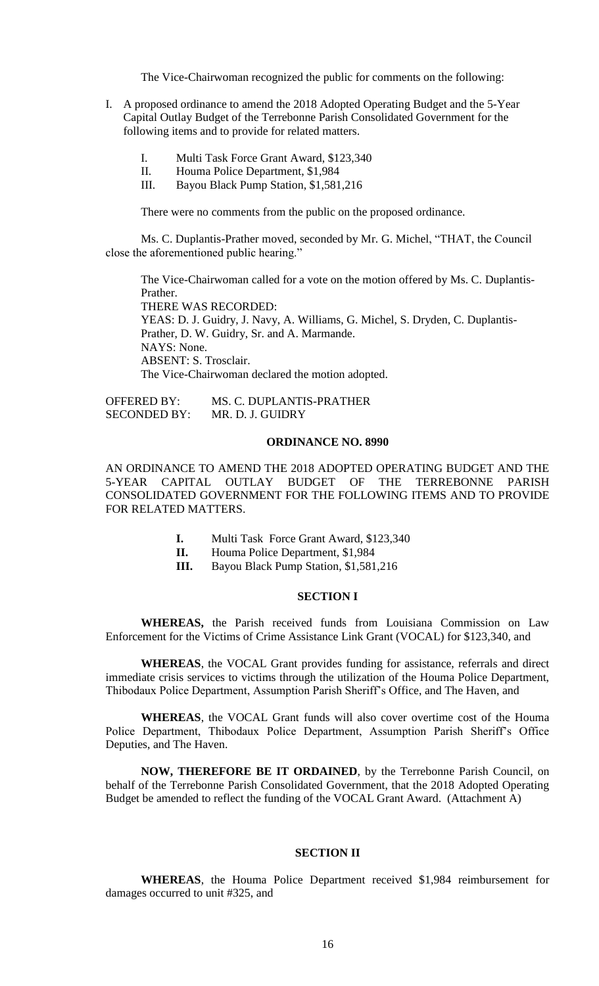The Vice-Chairwoman recognized the public for comments on the following:

- I. A proposed ordinance to amend the 2018 Adopted Operating Budget and the 5-Year Capital Outlay Budget of the Terrebonne Parish Consolidated Government for the following items and to provide for related matters.
	- I. Multi Task Force Grant Award, \$123,340
	- II. Houma Police Department, \$1,984
	- III. Bayou Black Pump Station, \$1,581,216

There were no comments from the public on the proposed ordinance.

Ms. C. Duplantis-Prather moved, seconded by Mr. G. Michel, "THAT, the Council close the aforementioned public hearing."

The Vice-Chairwoman called for a vote on the motion offered by Ms. C. Duplantis-Prather.

THERE WAS RECORDED:

YEAS: D. J. Guidry, J. Navy, A. Williams, G. Michel, S. Dryden, C. Duplantis-Prather, D. W. Guidry, Sr. and A. Marmande. NAYS: None. ABSENT: S. Trosclair. The Vice-Chairwoman declared the motion adopted.

OFFERED BY: MS. C. DUPLANTIS-PRATHER SECONDED BY: MR. D. J. GUIDRY

#### **ORDINANCE NO. 8990**

AN ORDINANCE TO AMEND THE 2018 ADOPTED OPERATING BUDGET AND THE 5-YEAR CAPITAL OUTLAY BUDGET OF THE TERREBONNE PARISH CONSOLIDATED GOVERNMENT FOR THE FOLLOWING ITEMS AND TO PROVIDE FOR RELATED MATTERS.

- **I.** Multi Task Force Grant Award, \$123,340
- **II.** Houma Police Department, \$1,984
- **III.** Bayou Black Pump Station, \$1,581,216

### **SECTION I**

**WHEREAS,** the Parish received funds from Louisiana Commission on Law Enforcement for the Victims of Crime Assistance Link Grant (VOCAL) for \$123,340, and

**WHEREAS**, the VOCAL Grant provides funding for assistance, referrals and direct immediate crisis services to victims through the utilization of the Houma Police Department, Thibodaux Police Department, Assumption Parish Sheriff's Office, and The Haven, and

**WHEREAS**, the VOCAL Grant funds will also cover overtime cost of the Houma Police Department, Thibodaux Police Department, Assumption Parish Sheriff's Office Deputies, and The Haven.

**NOW, THEREFORE BE IT ORDAINED**, by the Terrebonne Parish Council, on behalf of the Terrebonne Parish Consolidated Government, that the 2018 Adopted Operating Budget be amended to reflect the funding of the VOCAL Grant Award. (Attachment A)

# **SECTION II**

**WHEREAS**, the Houma Police Department received \$1,984 reimbursement for damages occurred to unit #325, and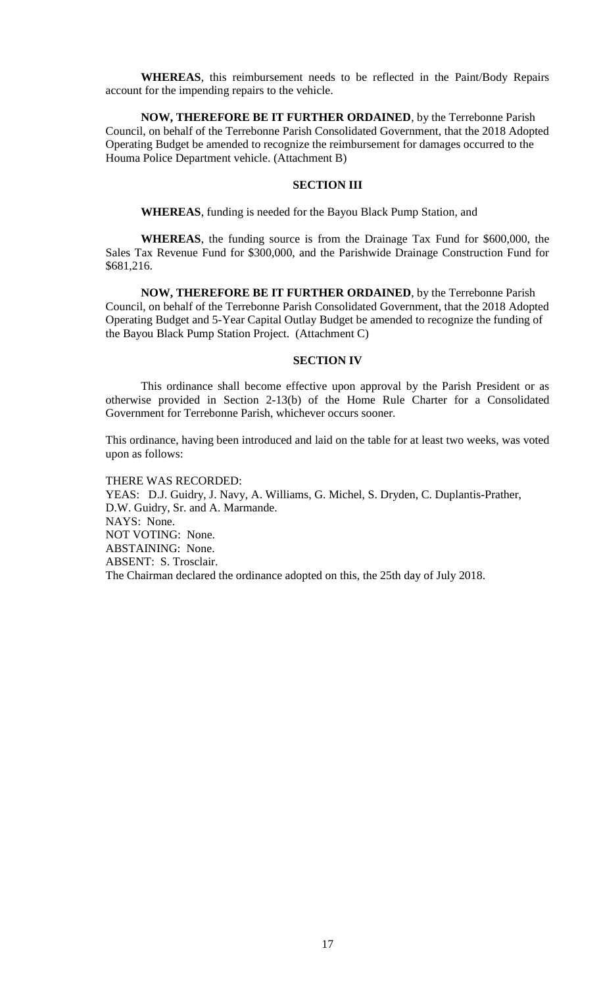**WHEREAS**, this reimbursement needs to be reflected in the Paint/Body Repairs account for the impending repairs to the vehicle.

**NOW, THEREFORE BE IT FURTHER ORDAINED**, by the Terrebonne Parish Council, on behalf of the Terrebonne Parish Consolidated Government, that the 2018 Adopted Operating Budget be amended to recognize the reimbursement for damages occurred to the Houma Police Department vehicle. (Attachment B)

## **SECTION III**

**WHEREAS**, funding is needed for the Bayou Black Pump Station, and

**WHEREAS**, the funding source is from the Drainage Tax Fund for \$600,000, the Sales Tax Revenue Fund for \$300,000, and the Parishwide Drainage Construction Fund for \$681,216.

**NOW, THEREFORE BE IT FURTHER ORDAINED**, by the Terrebonne Parish Council, on behalf of the Terrebonne Parish Consolidated Government, that the 2018 Adopted Operating Budget and 5-Year Capital Outlay Budget be amended to recognize the funding of the Bayou Black Pump Station Project. (Attachment C)

## **SECTION IV**

This ordinance shall become effective upon approval by the Parish President or as otherwise provided in Section 2-13(b) of the Home Rule Charter for a Consolidated Government for Terrebonne Parish, whichever occurs sooner.

This ordinance, having been introduced and laid on the table for at least two weeks, was voted upon as follows:

THERE WAS RECORDED: YEAS: D.J. Guidry, J. Navy, A. Williams, G. Michel, S. Dryden, C. Duplantis-Prather, D.W. Guidry, Sr. and A. Marmande. NAYS: None. NOT VOTING: None. ABSTAINING: None. ABSENT: S. Trosclair. The Chairman declared the ordinance adopted on this, the 25th day of July 2018.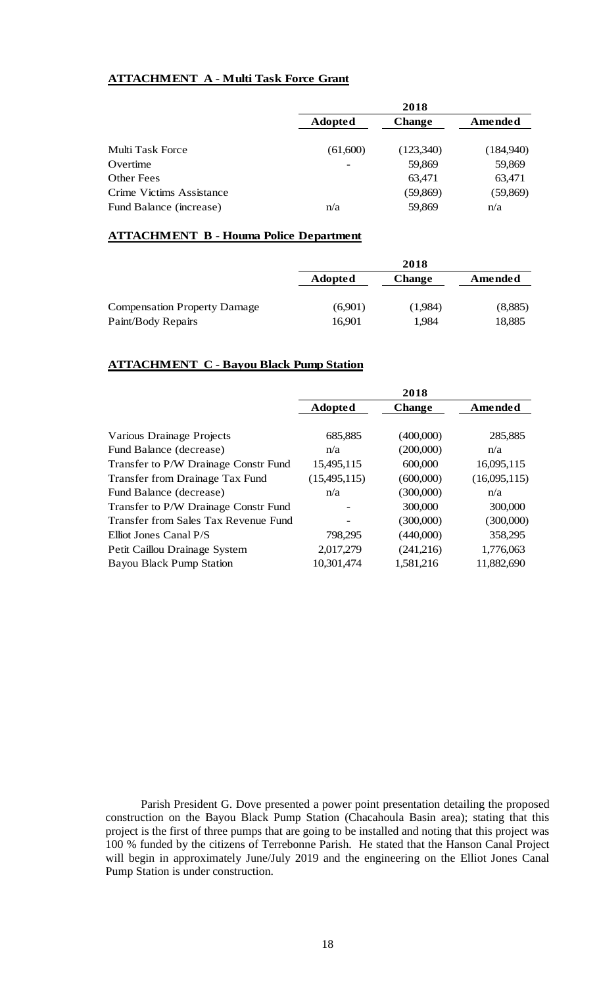# **ATTACHMENT A - Multi Task Force Grant**

|                          | 2018           |               |           |
|--------------------------|----------------|---------------|-----------|
|                          | <b>Adopted</b> | <b>Change</b> | Amended   |
| Multi Task Force         | (61,600)       | (123,340)     | (184,940) |
| Overtime                 |                | 59,869        | 59,869    |
| Other Fees               |                | 63,471        | 63,471    |
| Crime Victims Assistance |                | (59, 869)     | (59, 869) |
| Fund Balance (increase)  | n/a            | 59,869        | n/a       |

## **ATTACHMENT B - Houma Police Department**

|                                                           | 2018              |                  |                   |
|-----------------------------------------------------------|-------------------|------------------|-------------------|
|                                                           | <b>Adopted</b>    | <b>Change</b>    | Amended           |
| <b>Compensation Property Damage</b><br>Paint/Body Repairs | (6,901)<br>16,901 | (1,984)<br>1,984 | (8,885)<br>18,885 |

## **ATTACHMENT C - Bayou Black Pump Station**

|                                      |                | 2018          |              |
|--------------------------------------|----------------|---------------|--------------|
|                                      | <b>Adopted</b> | <b>Change</b> | Amended      |
|                                      |                |               |              |
| Various Drainage Projects            | 685,885        | (400,000)     | 285,885      |
| Fund Balance (decrease)              | n/a            | (200,000)     | n/a          |
| Transfer to P/W Drainage Constr Fund | 15,495,115     | 600,000       | 16,095,115   |
| Transfer from Drainage Tax Fund      | (15,495,115)   | (600,000)     | (16,095,115) |
| Fund Balance (decrease)              | n/a            | (300,000)     | n/a          |
| Transfer to P/W Drainage Constr Fund |                | 300,000       | 300,000      |
| Transfer from Sales Tax Revenue Fund |                | (300,000)     | (300,000)    |
| Elliot Jones Canal P/S               | 798,295        | (440,000)     | 358,295      |
| Petit Caillou Drainage System        | 2,017,279      | (241,216)     | 1,776,063    |
| <b>Bayou Black Pump Station</b>      | 10,301,474     | 1,581,216     | 11,882,690   |

Parish President G. Dove presented a power point presentation detailing the proposed construction on the Bayou Black Pump Station (Chacahoula Basin area); stating that this project is the first of three pumps that are going to be installed and noting that this project was 100 % funded by the citizens of Terrebonne Parish. He stated that the Hanson Canal Project will begin in approximately June/July 2019 and the engineering on the Elliot Jones Canal Pump Station is under construction.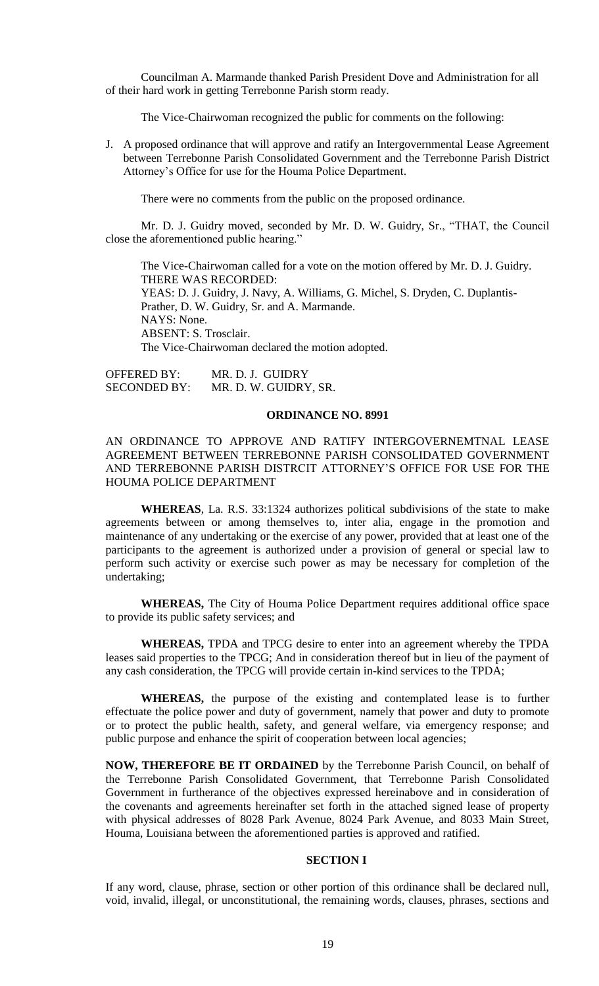Councilman A. Marmande thanked Parish President Dove and Administration for all of their hard work in getting Terrebonne Parish storm ready.

The Vice-Chairwoman recognized the public for comments on the following:

J. A proposed ordinance that will approve and ratify an Intergovernmental Lease Agreement between Terrebonne Parish Consolidated Government and the Terrebonne Parish District Attorney's Office for use for the Houma Police Department.

There were no comments from the public on the proposed ordinance.

Mr. D. J. Guidry moved, seconded by Mr. D. W. Guidry, Sr., "THAT, the Council close the aforementioned public hearing."

The Vice-Chairwoman called for a vote on the motion offered by Mr. D. J. Guidry. THERE WAS RECORDED: YEAS: D. J. Guidry, J. Navy, A. Williams, G. Michel, S. Dryden, C. Duplantis-Prather, D. W. Guidry, Sr. and A. Marmande. NAYS: None. ABSENT: S. Trosclair. The Vice-Chairwoman declared the motion adopted.

OFFERED BY: MR. D. J. GUIDRY SECONDED BY: MR. D. W. GUIDRY, SR.

## **ORDINANCE NO. 8991**

# AN ORDINANCE TO APPROVE AND RATIFY INTERGOVERNEMTNAL LEASE AGREEMENT BETWEEN TERREBONNE PARISH CONSOLIDATED GOVERNMENT AND TERREBONNE PARISH DISTRCIT ATTORNEY'S OFFICE FOR USE FOR THE HOUMA POLICE DEPARTMENT

**WHEREAS**, La. R.S. 33:1324 authorizes political subdivisions of the state to make agreements between or among themselves to, inter alia, engage in the promotion and maintenance of any undertaking or the exercise of any power, provided that at least one of the participants to the agreement is authorized under a provision of general or special law to perform such activity or exercise such power as may be necessary for completion of the undertaking;

**WHEREAS,** The City of Houma Police Department requires additional office space to provide its public safety services; and

**WHEREAS,** TPDA and TPCG desire to enter into an agreement whereby the TPDA leases said properties to the TPCG; And in consideration thereof but in lieu of the payment of any cash consideration, the TPCG will provide certain in-kind services to the TPDA;

**WHEREAS,** the purpose of the existing and contemplated lease is to further effectuate the police power and duty of government, namely that power and duty to promote or to protect the public health, safety, and general welfare, via emergency response; and public purpose and enhance the spirit of cooperation between local agencies;

**NOW, THEREFORE BE IT ORDAINED** by the Terrebonne Parish Council, on behalf of the Terrebonne Parish Consolidated Government, that Terrebonne Parish Consolidated Government in furtherance of the objectives expressed hereinabove and in consideration of the covenants and agreements hereinafter set forth in the attached signed lease of property with physical addresses of 8028 Park Avenue, 8024 Park Avenue, and 8033 Main Street, Houma, Louisiana between the aforementioned parties is approved and ratified.

## **SECTION I**

If any word, clause, phrase, section or other portion of this ordinance shall be declared null, void, invalid, illegal, or unconstitutional, the remaining words, clauses, phrases, sections and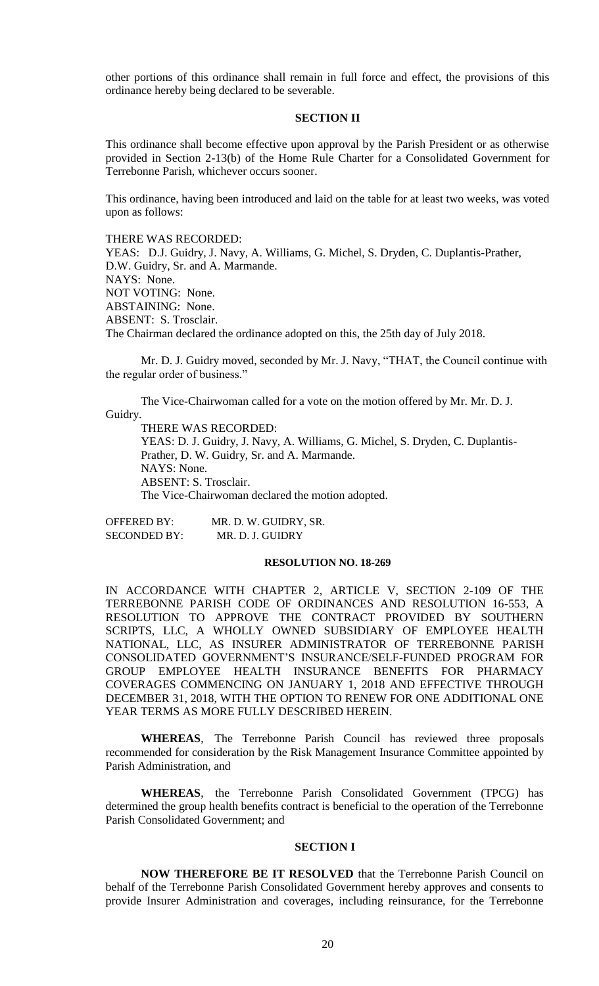other portions of this ordinance shall remain in full force and effect, the provisions of this ordinance hereby being declared to be severable.

#### **SECTION II**

This ordinance shall become effective upon approval by the Parish President or as otherwise provided in Section 2-13(b) of the Home Rule Charter for a Consolidated Government for Terrebonne Parish, whichever occurs sooner.

This ordinance, having been introduced and laid on the table for at least two weeks, was voted upon as follows:

THERE WAS RECORDED:

YEAS: D.J. Guidry, J. Navy, A. Williams, G. Michel, S. Dryden, C. Duplantis-Prather, D.W. Guidry, Sr. and A. Marmande. NAYS: None. NOT VOTING: None. ABSTAINING: None. ABSENT: S. Trosclair. The Chairman declared the ordinance adopted on this, the 25th day of July 2018.

Mr. D. J. Guidry moved, seconded by Mr. J. Navy, "THAT, the Council continue with the regular order of business."

The Vice-Chairwoman called for a vote on the motion offered by Mr. Mr. D. J. Guidry.

THERE WAS RECORDED:

YEAS: D. J. Guidry, J. Navy, A. Williams, G. Michel, S. Dryden, C. Duplantis-Prather, D. W. Guidry, Sr. and A. Marmande. NAYS: None. ABSENT: S. Trosclair. The Vice-Chairwoman declared the motion adopted.

OFFERED BY: MR. D. W. GUIDRY, SR. SECONDED BY: MR. D. J. GUIDRY

## **RESOLUTION NO. 18-269**

IN ACCORDANCE WITH CHAPTER 2, ARTICLE V, SECTION 2-109 OF THE TERREBONNE PARISH CODE OF ORDINANCES AND RESOLUTION 16-553, A RESOLUTION TO APPROVE THE CONTRACT PROVIDED BY SOUTHERN SCRIPTS, LLC, A WHOLLY OWNED SUBSIDIARY OF EMPLOYEE HEALTH NATIONAL, LLC, AS INSURER ADMINISTRATOR OF TERREBONNE PARISH CONSOLIDATED GOVERNMENT'S INSURANCE/SELF-FUNDED PROGRAM FOR GROUP EMPLOYEE HEALTH INSURANCE BENEFITS FOR PHARMACY COVERAGES COMMENCING ON JANUARY 1, 2018 AND EFFECTIVE THROUGH DECEMBER 31, 2018, WITH THE OPTION TO RENEW FOR ONE ADDITIONAL ONE YEAR TERMS AS MORE FULLY DESCRIBED HEREIN.

**WHEREAS**, The Terrebonne Parish Council has reviewed three proposals recommended for consideration by the Risk Management Insurance Committee appointed by Parish Administration, and

**WHEREAS**, the Terrebonne Parish Consolidated Government (TPCG) has determined the group health benefits contract is beneficial to the operation of the Terrebonne Parish Consolidated Government; and

#### **SECTION I**

**NOW THEREFORE BE IT RESOLVED** that the Terrebonne Parish Council on behalf of the Terrebonne Parish Consolidated Government hereby approves and consents to provide Insurer Administration and coverages, including reinsurance, for the Terrebonne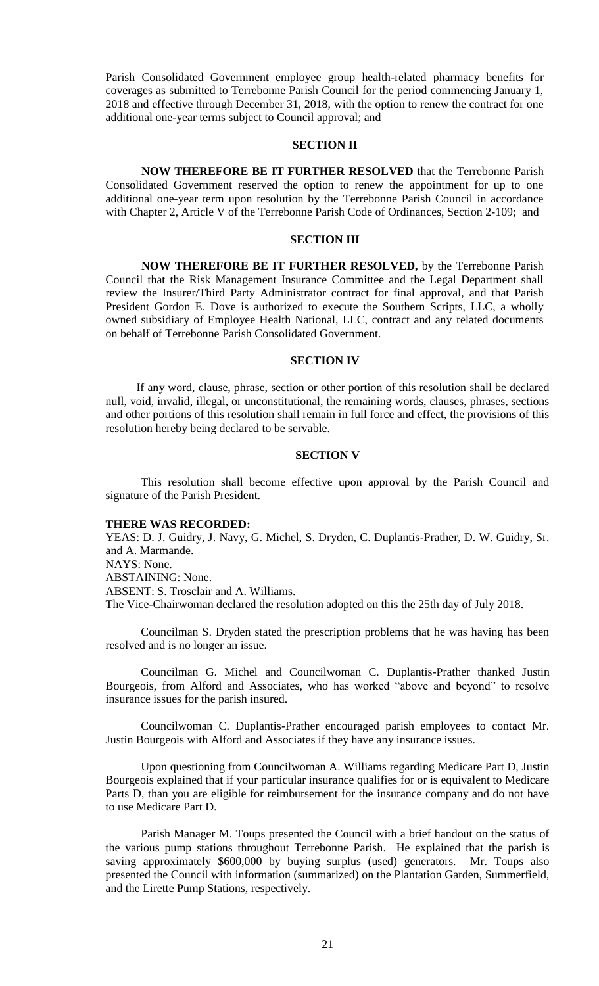Parish Consolidated Government employee group health-related pharmacy benefits for coverages as submitted to Terrebonne Parish Council for the period commencing January 1, 2018 and effective through December 31, 2018, with the option to renew the contract for one additional one-year terms subject to Council approval; and

## **SECTION II**

**NOW THEREFORE BE IT FURTHER RESOLVED** that the Terrebonne Parish Consolidated Government reserved the option to renew the appointment for up to one additional one-year term upon resolution by the Terrebonne Parish Council in accordance with Chapter 2, Article V of the Terrebonne Parish Code of Ordinances, Section 2-109; and

#### **SECTION III**

**NOW THEREFORE BE IT FURTHER RESOLVED,** by the Terrebonne Parish Council that the Risk Management Insurance Committee and the Legal Department shall review the Insurer/Third Party Administrator contract for final approval, and that Parish President Gordon E. Dove is authorized to execute the Southern Scripts, LLC, a wholly owned subsidiary of Employee Health National, LLC, contract and any related documents on behalf of Terrebonne Parish Consolidated Government.

## **SECTION IV**

If any word, clause, phrase, section or other portion of this resolution shall be declared null, void, invalid, illegal, or unconstitutional, the remaining words, clauses, phrases, sections and other portions of this resolution shall remain in full force and effect, the provisions of this resolution hereby being declared to be servable.

## **SECTION V**

This resolution shall become effective upon approval by the Parish Council and signature of the Parish President.

#### **THERE WAS RECORDED:**

YEAS: D. J. Guidry, J. Navy, G. Michel, S. Dryden, C. Duplantis-Prather, D. W. Guidry, Sr. and A. Marmande. NAYS: None. ABSTAINING: None. ABSENT: S. Trosclair and A. Williams. The Vice-Chairwoman declared the resolution adopted on this the 25th day of July 2018.

Councilman S. Dryden stated the prescription problems that he was having has been resolved and is no longer an issue.

Councilman G. Michel and Councilwoman C. Duplantis-Prather thanked Justin Bourgeois, from Alford and Associates, who has worked "above and beyond" to resolve insurance issues for the parish insured.

Councilwoman C. Duplantis-Prather encouraged parish employees to contact Mr. Justin Bourgeois with Alford and Associates if they have any insurance issues.

Upon questioning from Councilwoman A. Williams regarding Medicare Part D, Justin Bourgeois explained that if your particular insurance qualifies for or is equivalent to Medicare Parts D, than you are eligible for reimbursement for the insurance company and do not have to use Medicare Part D.

Parish Manager M. Toups presented the Council with a brief handout on the status of the various pump stations throughout Terrebonne Parish. He explained that the parish is saving approximately \$600,000 by buying surplus (used) generators. Mr. Toups also presented the Council with information (summarized) on the Plantation Garden, Summerfield, and the Lirette Pump Stations, respectively.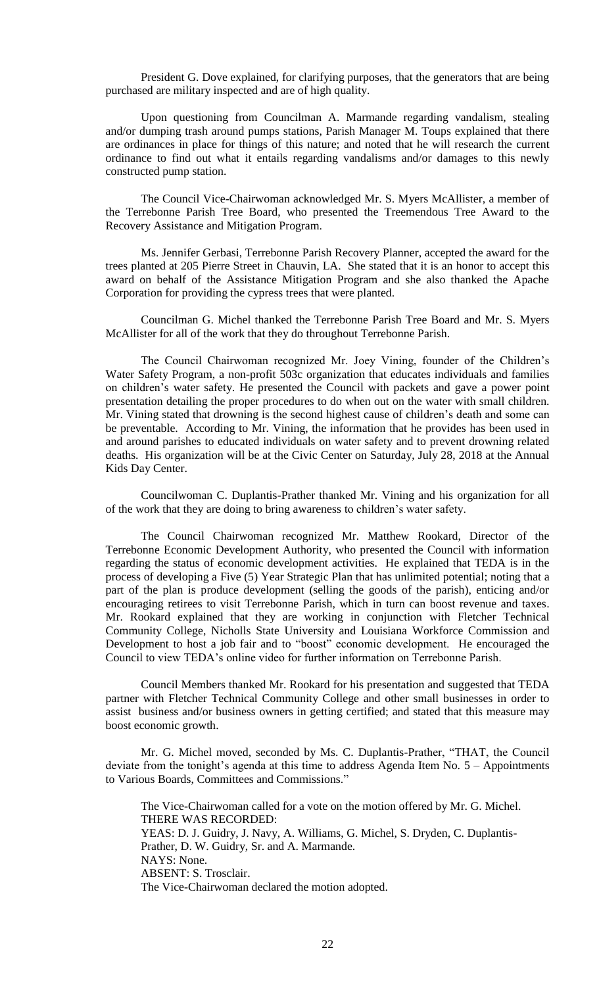President G. Dove explained, for clarifying purposes, that the generators that are being purchased are military inspected and are of high quality.

Upon questioning from Councilman A. Marmande regarding vandalism, stealing and/or dumping trash around pumps stations, Parish Manager M. Toups explained that there are ordinances in place for things of this nature; and noted that he will research the current ordinance to find out what it entails regarding vandalisms and/or damages to this newly constructed pump station.

The Council Vice-Chairwoman acknowledged Mr. S. Myers McAllister, a member of the Terrebonne Parish Tree Board, who presented the Treemendous Tree Award to the Recovery Assistance and Mitigation Program.

Ms. Jennifer Gerbasi, Terrebonne Parish Recovery Planner, accepted the award for the trees planted at 205 Pierre Street in Chauvin, LA. She stated that it is an honor to accept this award on behalf of the Assistance Mitigation Program and she also thanked the Apache Corporation for providing the cypress trees that were planted.

Councilman G. Michel thanked the Terrebonne Parish Tree Board and Mr. S. Myers McAllister for all of the work that they do throughout Terrebonne Parish.

The Council Chairwoman recognized Mr. Joey Vining, founder of the Children's Water Safety Program, a non-profit 503c organization that educates individuals and families on children's water safety. He presented the Council with packets and gave a power point presentation detailing the proper procedures to do when out on the water with small children. Mr. Vining stated that drowning is the second highest cause of children's death and some can be preventable. According to Mr. Vining, the information that he provides has been used in and around parishes to educated individuals on water safety and to prevent drowning related deaths. His organization will be at the Civic Center on Saturday, July 28, 2018 at the Annual Kids Day Center.

Councilwoman C. Duplantis-Prather thanked Mr. Vining and his organization for all of the work that they are doing to bring awareness to children's water safety.

The Council Chairwoman recognized Mr. Matthew Rookard, Director of the Terrebonne Economic Development Authority, who presented the Council with information regarding the status of economic development activities. He explained that TEDA is in the process of developing a Five (5) Year Strategic Plan that has unlimited potential; noting that a part of the plan is produce development (selling the goods of the parish), enticing and/or encouraging retirees to visit Terrebonne Parish, which in turn can boost revenue and taxes. Mr. Rookard explained that they are working in conjunction with Fletcher Technical Community College, Nicholls State University and Louisiana Workforce Commission and Development to host a job fair and to "boost" economic development. He encouraged the Council to view TEDA's online video for further information on Terrebonne Parish.

Council Members thanked Mr. Rookard for his presentation and suggested that TEDA partner with Fletcher Technical Community College and other small businesses in order to assist business and/or business owners in getting certified; and stated that this measure may boost economic growth.

Mr. G. Michel moved, seconded by Ms. C. Duplantis-Prather, "THAT, the Council deviate from the tonight's agenda at this time to address Agenda Item No. 5 – Appointments to Various Boards, Committees and Commissions."

The Vice-Chairwoman called for a vote on the motion offered by Mr. G. Michel. THERE WAS RECORDED: YEAS: D. J. Guidry, J. Navy, A. Williams, G. Michel, S. Dryden, C. Duplantis-Prather, D. W. Guidry, Sr. and A. Marmande. NAYS: None. ABSENT: S. Trosclair. The Vice-Chairwoman declared the motion adopted.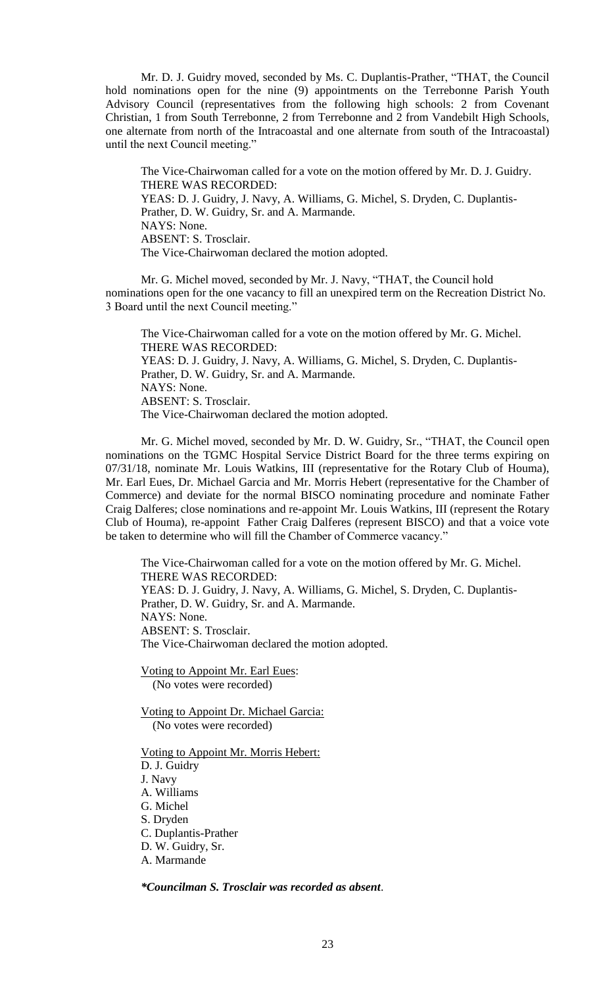Mr. D. J. Guidry moved, seconded by Ms. C. Duplantis-Prather, "THAT, the Council hold nominations open for the nine (9) appointments on the Terrebonne Parish Youth Advisory Council (representatives from the following high schools: 2 from Covenant Christian, 1 from South Terrebonne, 2 from Terrebonne and 2 from Vandebilt High Schools, one alternate from north of the Intracoastal and one alternate from south of the Intracoastal) until the next Council meeting."

The Vice-Chairwoman called for a vote on the motion offered by Mr. D. J. Guidry. THERE WAS RECORDED: YEAS: D. J. Guidry, J. Navy, A. Williams, G. Michel, S. Dryden, C. Duplantis-Prather, D. W. Guidry, Sr. and A. Marmande. NAYS: None. ABSENT: S. Trosclair. The Vice-Chairwoman declared the motion adopted.

Mr. G. Michel moved, seconded by Mr. J. Navy, "THAT, the Council hold nominations open for the one vacancy to fill an unexpired term on the Recreation District No. 3 Board until the next Council meeting."

The Vice-Chairwoman called for a vote on the motion offered by Mr. G. Michel. THERE WAS RECORDED: YEAS: D. J. Guidry, J. Navy, A. Williams, G. Michel, S. Dryden, C. Duplantis-Prather, D. W. Guidry, Sr. and A. Marmande. NAYS: None. ABSENT: S. Trosclair. The Vice-Chairwoman declared the motion adopted.

Mr. G. Michel moved, seconded by Mr. D. W. Guidry, Sr., "THAT, the Council open nominations on the TGMC Hospital Service District Board for the three terms expiring on 07/31/18, nominate Mr. Louis Watkins, III (representative for the Rotary Club of Houma), Mr. Earl Eues, Dr. Michael Garcia and Mr. Morris Hebert (representative for the Chamber of Commerce) and deviate for the normal BISCO nominating procedure and nominate Father Craig Dalferes; close nominations and re-appoint Mr. Louis Watkins, III (represent the Rotary Club of Houma), re-appoint Father Craig Dalferes (represent BISCO) and that a voice vote be taken to determine who will fill the Chamber of Commerce vacancy."

The Vice-Chairwoman called for a vote on the motion offered by Mr. G. Michel. THERE WAS RECORDED: YEAS: D. J. Guidry, J. Navy, A. Williams, G. Michel, S. Dryden, C. Duplantis-Prather, D. W. Guidry, Sr. and A. Marmande. NAYS: None. ABSENT: S. Trosclair. The Vice-Chairwoman declared the motion adopted.

Voting to Appoint Mr. Earl Eues: (No votes were recorded)

Voting to Appoint Dr. Michael Garcia: (No votes were recorded)

Voting to Appoint Mr. Morris Hebert: D. J. Guidry J. Navy A. Williams G. Michel S. Dryden C. Duplantis-Prather D. W. Guidry, Sr. A. Marmande

*\*Councilman S. Trosclair was recorded as absent*.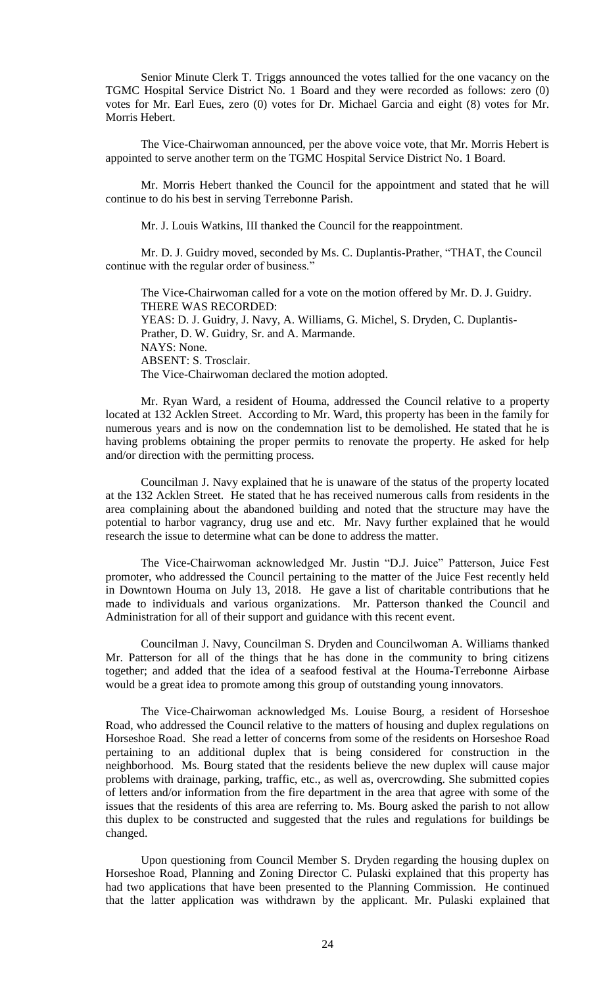Senior Minute Clerk T. Triggs announced the votes tallied for the one vacancy on the TGMC Hospital Service District No. 1 Board and they were recorded as follows: zero (0) votes for Mr. Earl Eues, zero (0) votes for Dr. Michael Garcia and eight (8) votes for Mr. Morris Hebert.

The Vice-Chairwoman announced, per the above voice vote, that Mr. Morris Hebert is appointed to serve another term on the TGMC Hospital Service District No. 1 Board.

Mr. Morris Hebert thanked the Council for the appointment and stated that he will continue to do his best in serving Terrebonne Parish.

Mr. J. Louis Watkins, III thanked the Council for the reappointment.

Mr. D. J. Guidry moved, seconded by Ms. C. Duplantis-Prather, "THAT, the Council continue with the regular order of business."

The Vice-Chairwoman called for a vote on the motion offered by Mr. D. J. Guidry. THERE WAS RECORDED: YEAS: D. J. Guidry, J. Navy, A. Williams, G. Michel, S. Dryden, C. Duplantis-Prather, D. W. Guidry, Sr. and A. Marmande. NAYS: None. ABSENT: S. Trosclair. The Vice-Chairwoman declared the motion adopted.

Mr. Ryan Ward, a resident of Houma, addressed the Council relative to a property located at 132 Acklen Street. According to Mr. Ward, this property has been in the family for numerous years and is now on the condemnation list to be demolished. He stated that he is having problems obtaining the proper permits to renovate the property. He asked for help and/or direction with the permitting process.

Councilman J. Navy explained that he is unaware of the status of the property located at the 132 Acklen Street. He stated that he has received numerous calls from residents in the area complaining about the abandoned building and noted that the structure may have the potential to harbor vagrancy, drug use and etc. Mr. Navy further explained that he would research the issue to determine what can be done to address the matter.

The Vice-Chairwoman acknowledged Mr. Justin "D.J. Juice" Patterson, Juice Fest promoter, who addressed the Council pertaining to the matter of the Juice Fest recently held in Downtown Houma on July 13, 2018. He gave a list of charitable contributions that he made to individuals and various organizations. Mr. Patterson thanked the Council and Administration for all of their support and guidance with this recent event.

Councilman J. Navy, Councilman S. Dryden and Councilwoman A. Williams thanked Mr. Patterson for all of the things that he has done in the community to bring citizens together; and added that the idea of a seafood festival at the Houma-Terrebonne Airbase would be a great idea to promote among this group of outstanding young innovators.

The Vice-Chairwoman acknowledged Ms. Louise Bourg, a resident of Horseshoe Road, who addressed the Council relative to the matters of housing and duplex regulations on Horseshoe Road. She read a letter of concerns from some of the residents on Horseshoe Road pertaining to an additional duplex that is being considered for construction in the neighborhood. Ms. Bourg stated that the residents believe the new duplex will cause major problems with drainage, parking, traffic, etc., as well as, overcrowding. She submitted copies of letters and/or information from the fire department in the area that agree with some of the issues that the residents of this area are referring to. Ms. Bourg asked the parish to not allow this duplex to be constructed and suggested that the rules and regulations for buildings be changed.

Upon questioning from Council Member S. Dryden regarding the housing duplex on Horseshoe Road, Planning and Zoning Director C. Pulaski explained that this property has had two applications that have been presented to the Planning Commission. He continued that the latter application was withdrawn by the applicant. Mr. Pulaski explained that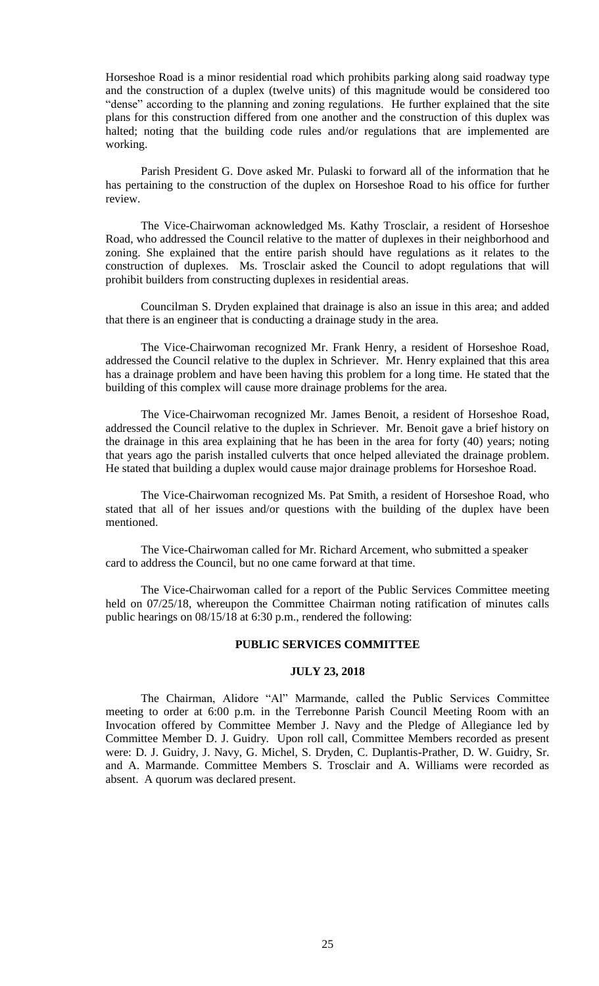Horseshoe Road is a minor residential road which prohibits parking along said roadway type and the construction of a duplex (twelve units) of this magnitude would be considered too "dense" according to the planning and zoning regulations. He further explained that the site plans for this construction differed from one another and the construction of this duplex was halted; noting that the building code rules and/or regulations that are implemented are working.

Parish President G. Dove asked Mr. Pulaski to forward all of the information that he has pertaining to the construction of the duplex on Horseshoe Road to his office for further review.

The Vice-Chairwoman acknowledged Ms. Kathy Trosclair, a resident of Horseshoe Road, who addressed the Council relative to the matter of duplexes in their neighborhood and zoning. She explained that the entire parish should have regulations as it relates to the construction of duplexes. Ms. Trosclair asked the Council to adopt regulations that will prohibit builders from constructing duplexes in residential areas.

Councilman S. Dryden explained that drainage is also an issue in this area; and added that there is an engineer that is conducting a drainage study in the area.

The Vice-Chairwoman recognized Mr. Frank Henry, a resident of Horseshoe Road, addressed the Council relative to the duplex in Schriever. Mr. Henry explained that this area has a drainage problem and have been having this problem for a long time. He stated that the building of this complex will cause more drainage problems for the area.

The Vice-Chairwoman recognized Mr. James Benoit, a resident of Horseshoe Road, addressed the Council relative to the duplex in Schriever. Mr. Benoit gave a brief history on the drainage in this area explaining that he has been in the area for forty (40) years; noting that years ago the parish installed culverts that once helped alleviated the drainage problem. He stated that building a duplex would cause major drainage problems for Horseshoe Road.

The Vice-Chairwoman recognized Ms. Pat Smith, a resident of Horseshoe Road, who stated that all of her issues and/or questions with the building of the duplex have been mentioned.

The Vice-Chairwoman called for Mr. Richard Arcement, who submitted a speaker card to address the Council, but no one came forward at that time.

The Vice-Chairwoman called for a report of the Public Services Committee meeting held on 07/25/18, whereupon the Committee Chairman noting ratification of minutes calls public hearings on 08/15/18 at 6:30 p.m., rendered the following:

#### **PUBLIC SERVICES COMMITTEE**

#### **JULY 23, 2018**

The Chairman, Alidore "Al" Marmande, called the Public Services Committee meeting to order at 6:00 p.m. in the Terrebonne Parish Council Meeting Room with an Invocation offered by Committee Member J. Navy and the Pledge of Allegiance led by Committee Member D. J. Guidry. Upon roll call, Committee Members recorded as present were: D. J. Guidry, J. Navy, G. Michel, S. Dryden, C. Duplantis-Prather, D. W. Guidry, Sr. and A. Marmande. Committee Members S. Trosclair and A. Williams were recorded as absent. A quorum was declared present.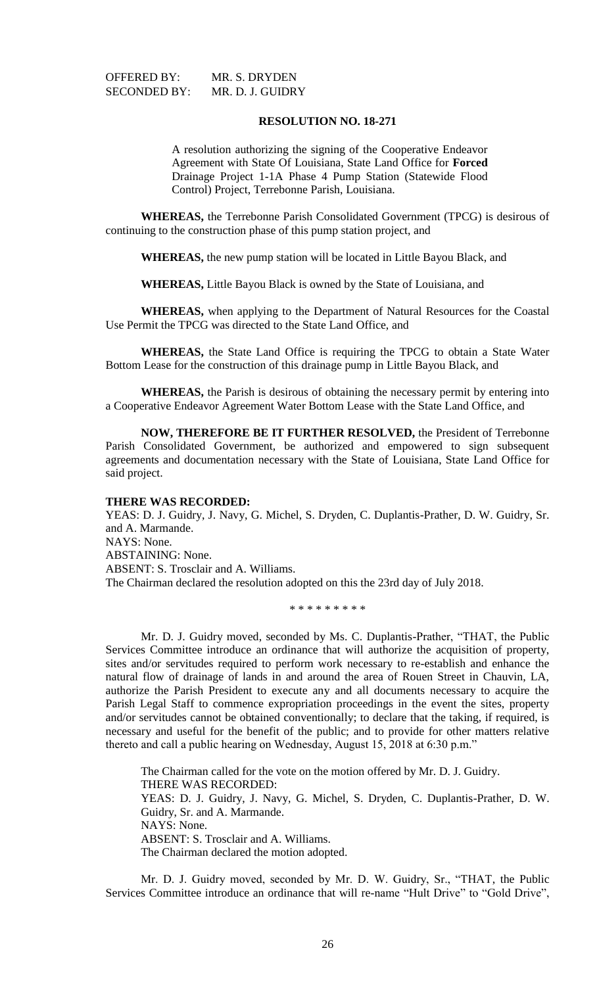OFFERED BY: MR. S. DRYDEN SECONDED BY: MR. D. J. GUIDRY

# **RESOLUTION NO. 18-271**

A resolution authorizing the signing of the Cooperative Endeavor Agreement with State Of Louisiana, State Land Office for **Forced**  Drainage Project 1-1A Phase 4 Pump Station (Statewide Flood Control) Project, Terrebonne Parish, Louisiana.

**WHEREAS,** the Terrebonne Parish Consolidated Government (TPCG) is desirous of continuing to the construction phase of this pump station project, and

**WHEREAS,** the new pump station will be located in Little Bayou Black, and

**WHEREAS,** Little Bayou Black is owned by the State of Louisiana, and

**WHEREAS,** when applying to the Department of Natural Resources for the Coastal Use Permit the TPCG was directed to the State Land Office, and

**WHEREAS,** the State Land Office is requiring the TPCG to obtain a State Water Bottom Lease for the construction of this drainage pump in Little Bayou Black, and

**WHEREAS,** the Parish is desirous of obtaining the necessary permit by entering into a Cooperative Endeavor Agreement Water Bottom Lease with the State Land Office, and

**NOW, THEREFORE BE IT FURTHER RESOLVED,** the President of Terrebonne Parish Consolidated Government, be authorized and empowered to sign subsequent agreements and documentation necessary with the State of Louisiana, State Land Office for said project.

#### **THERE WAS RECORDED:**

YEAS: D. J. Guidry, J. Navy, G. Michel, S. Dryden, C. Duplantis-Prather, D. W. Guidry, Sr. and A. Marmande. NAYS: None. ABSTAINING: None. ABSENT: S. Trosclair and A. Williams. The Chairman declared the resolution adopted on this the 23rd day of July 2018.

\* \* \* \* \* \* \* \* \*

Mr. D. J. Guidry moved, seconded by Ms. C. Duplantis-Prather, "THAT, the Public Services Committee introduce an ordinance that will authorize the acquisition of property, sites and/or servitudes required to perform work necessary to re-establish and enhance the natural flow of drainage of lands in and around the area of Rouen Street in Chauvin, LA, authorize the Parish President to execute any and all documents necessary to acquire the Parish Legal Staff to commence expropriation proceedings in the event the sites, property and/or servitudes cannot be obtained conventionally; to declare that the taking, if required, is necessary and useful for the benefit of the public; and to provide for other matters relative thereto and call a public hearing on Wednesday, August 15, 2018 at 6:30 p.m."

The Chairman called for the vote on the motion offered by Mr. D. J. Guidry. THERE WAS RECORDED: YEAS: D. J. Guidry, J. Navy, G. Michel, S. Dryden, C. Duplantis-Prather, D. W. Guidry, Sr. and A. Marmande. NAYS: None. ABSENT: S. Trosclair and A. Williams. The Chairman declared the motion adopted.

Mr. D. J. Guidry moved, seconded by Mr. D. W. Guidry, Sr., "THAT, the Public Services Committee introduce an ordinance that will re-name "Hult Drive" to "Gold Drive",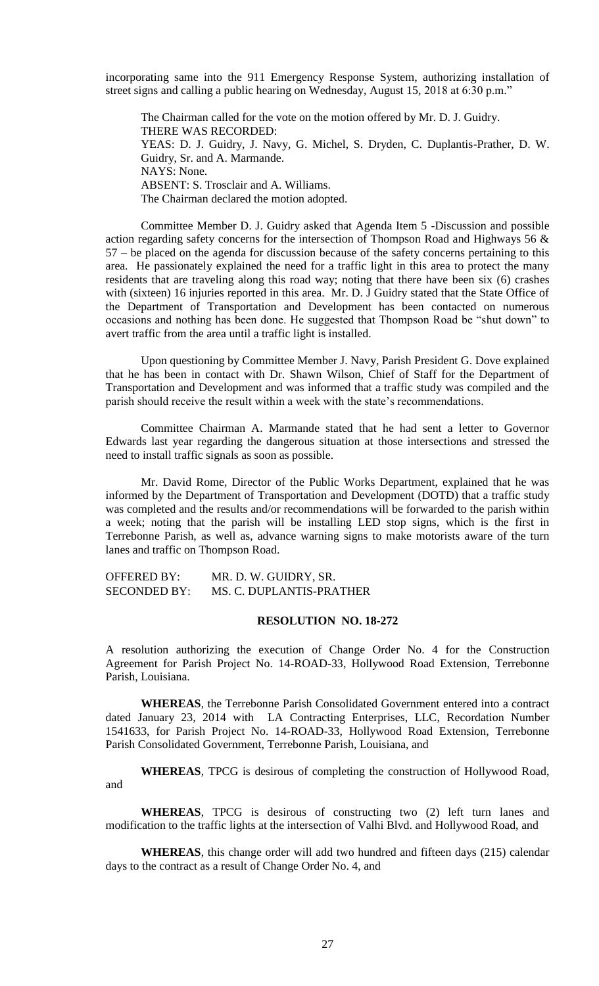incorporating same into the 911 Emergency Response System, authorizing installation of street signs and calling a public hearing on Wednesday, August 15, 2018 at 6:30 p.m."

The Chairman called for the vote on the motion offered by Mr. D. J. Guidry. THERE WAS RECORDED: YEAS: D. J. Guidry, J. Navy, G. Michel, S. Dryden, C. Duplantis-Prather, D. W. Guidry, Sr. and A. Marmande. NAYS: None. ABSENT: S. Trosclair and A. Williams. The Chairman declared the motion adopted.

Committee Member D. J. Guidry asked that Agenda Item 5 -Discussion and possible action regarding safety concerns for the intersection of Thompson Road and Highways 56 & 57 – be placed on the agenda for discussion because of the safety concerns pertaining to this area. He passionately explained the need for a traffic light in this area to protect the many residents that are traveling along this road way; noting that there have been six (6) crashes with (sixteen) 16 injuries reported in this area. Mr. D. J Guidry stated that the State Office of the Department of Transportation and Development has been contacted on numerous occasions and nothing has been done. He suggested that Thompson Road be "shut down" to avert traffic from the area until a traffic light is installed.

Upon questioning by Committee Member J. Navy, Parish President G. Dove explained that he has been in contact with Dr. Shawn Wilson, Chief of Staff for the Department of Transportation and Development and was informed that a traffic study was compiled and the parish should receive the result within a week with the state's recommendations.

Committee Chairman A. Marmande stated that he had sent a letter to Governor Edwards last year regarding the dangerous situation at those intersections and stressed the need to install traffic signals as soon as possible.

Mr. David Rome, Director of the Public Works Department, explained that he was informed by the Department of Transportation and Development (DOTD) that a traffic study was completed and the results and/or recommendations will be forwarded to the parish within a week; noting that the parish will be installing LED stop signs, which is the first in Terrebonne Parish, as well as, advance warning signs to make motorists aware of the turn lanes and traffic on Thompson Road.

OFFERED BY: MR. D. W. GUIDRY, SR. SECONDED BY: MS. C. DUPLANTIS-PRATHER

#### **RESOLUTION NO. 18-272**

A resolution authorizing the execution of Change Order No. 4 for the Construction Agreement for Parish Project No. 14-ROAD-33, Hollywood Road Extension, Terrebonne Parish, Louisiana.

**WHEREAS**, the Terrebonne Parish Consolidated Government entered into a contract dated January 23, 2014 with LA Contracting Enterprises, LLC, Recordation Number 1541633, for Parish Project No. 14-ROAD-33, Hollywood Road Extension, Terrebonne Parish Consolidated Government, Terrebonne Parish, Louisiana, and

**WHEREAS**, TPCG is desirous of completing the construction of Hollywood Road, and

**WHEREAS**, TPCG is desirous of constructing two (2) left turn lanes and modification to the traffic lights at the intersection of Valhi Blvd. and Hollywood Road, and

**WHEREAS**, this change order will add two hundred and fifteen days (215) calendar days to the contract as a result of Change Order No. 4, and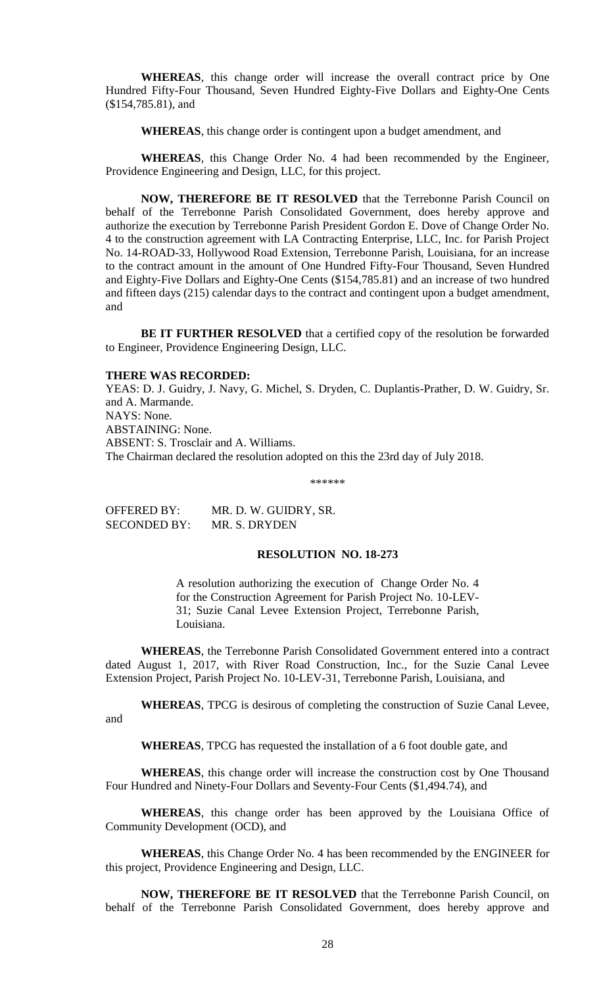**WHEREAS**, this change order will increase the overall contract price by One Hundred Fifty-Four Thousand, Seven Hundred Eighty-Five Dollars and Eighty-One Cents (\$154,785.81), and

**WHEREAS**, this change order is contingent upon a budget amendment, and

**WHEREAS**, this Change Order No. 4 had been recommended by the Engineer, Providence Engineering and Design, LLC, for this project.

**NOW, THEREFORE BE IT RESOLVED** that the Terrebonne Parish Council on behalf of the Terrebonne Parish Consolidated Government, does hereby approve and authorize the execution by Terrebonne Parish President Gordon E. Dove of Change Order No. 4 to the construction agreement with LA Contracting Enterprise, LLC, Inc. for Parish Project No. 14-ROAD-33, Hollywood Road Extension, Terrebonne Parish, Louisiana, for an increase to the contract amount in the amount of One Hundred Fifty-Four Thousand, Seven Hundred and Eighty-Five Dollars and Eighty-One Cents (\$154,785.81) and an increase of two hundred and fifteen days (215) calendar days to the contract and contingent upon a budget amendment, and

**BE IT FURTHER RESOLVED** that a certified copy of the resolution be forwarded to Engineer, Providence Engineering Design, LLC.

#### **THERE WAS RECORDED:**

YEAS: D. J. Guidry, J. Navy, G. Michel, S. Dryden, C. Duplantis-Prather, D. W. Guidry, Sr. and A. Marmande. NAYS: None. ABSTAINING: None. ABSENT: S. Trosclair and A. Williams. The Chairman declared the resolution adopted on this the 23rd day of July 2018.

\*\*\*\*\*\*

OFFERED BY: MR. D. W. GUIDRY, SR. SECONDED BY: MR. S. DRYDEN

## **RESOLUTION NO. 18-273**

A resolution authorizing the execution of Change Order No. 4 for the Construction Agreement for Parish Project No. 10-LEV-31; Suzie Canal Levee Extension Project, Terrebonne Parish, Louisiana.

**WHEREAS**, the Terrebonne Parish Consolidated Government entered into a contract dated August 1, 2017, with River Road Construction, Inc., for the Suzie Canal Levee Extension Project, Parish Project No. 10-LEV-31, Terrebonne Parish, Louisiana, and

**WHEREAS**, TPCG is desirous of completing the construction of Suzie Canal Levee, and

**WHEREAS**, TPCG has requested the installation of a 6 foot double gate, and

**WHEREAS**, this change order will increase the construction cost by One Thousand Four Hundred and Ninety-Four Dollars and Seventy-Four Cents (\$1,494.74), and

**WHEREAS**, this change order has been approved by the Louisiana Office of Community Development (OCD), and

**WHEREAS**, this Change Order No. 4 has been recommended by the ENGINEER for this project, Providence Engineering and Design, LLC.

**NOW, THEREFORE BE IT RESOLVED** that the Terrebonne Parish Council, on behalf of the Terrebonne Parish Consolidated Government, does hereby approve and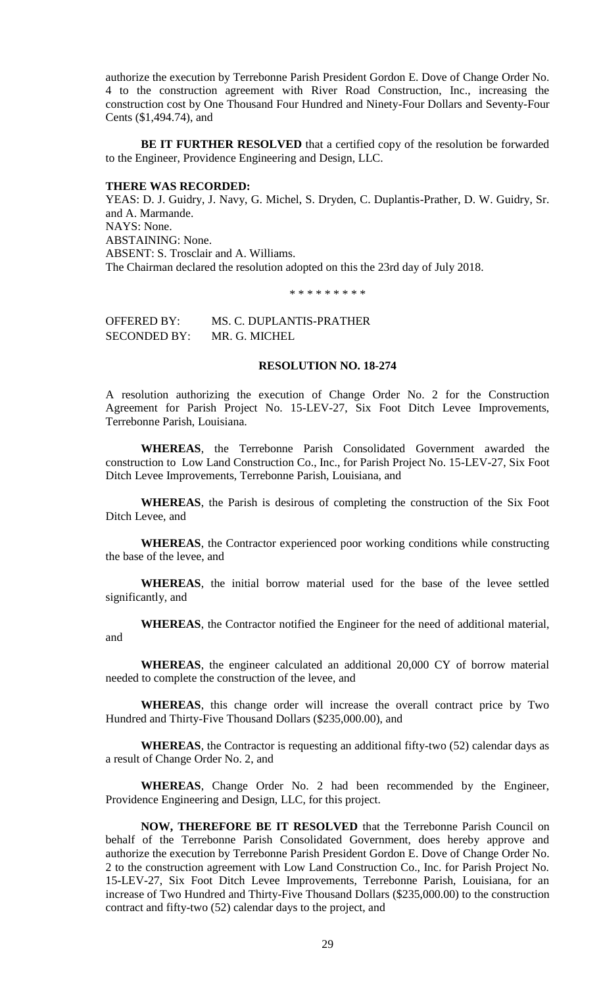authorize the execution by Terrebonne Parish President Gordon E. Dove of Change Order No. 4 to the construction agreement with River Road Construction, Inc., increasing the construction cost by One Thousand Four Hundred and Ninety-Four Dollars and Seventy-Four Cents (\$1,494.74), and

**BE IT FURTHER RESOLVED** that a certified copy of the resolution be forwarded to the Engineer, Providence Engineering and Design, LLC.

#### **THERE WAS RECORDED:**

YEAS: D. J. Guidry, J. Navy, G. Michel, S. Dryden, C. Duplantis-Prather, D. W. Guidry, Sr. and A. Marmande. NAYS: None. ABSTAINING: None. ABSENT: S. Trosclair and A. Williams. The Chairman declared the resolution adopted on this the 23rd day of July 2018.

\* \* \* \* \* \* \* \* \*

OFFERED BY: MS. C. DUPLANTIS-PRATHER SECONDED BY: MR. G. MICHEL

#### **RESOLUTION NO. 18-274**

A resolution authorizing the execution of Change Order No. 2 for the Construction Agreement for Parish Project No. 15-LEV-27, Six Foot Ditch Levee Improvements, Terrebonne Parish, Louisiana.

**WHEREAS**, the Terrebonne Parish Consolidated Government awarded the construction to Low Land Construction Co., Inc., for Parish Project No. 15-LEV-27, Six Foot Ditch Levee Improvements, Terrebonne Parish, Louisiana, and

**WHEREAS**, the Parish is desirous of completing the construction of the Six Foot Ditch Levee, and

**WHEREAS**, the Contractor experienced poor working conditions while constructing the base of the levee, and

**WHEREAS**, the initial borrow material used for the base of the levee settled significantly, and

**WHEREAS**, the Contractor notified the Engineer for the need of additional material, and

**WHEREAS**, the engineer calculated an additional 20,000 CY of borrow material needed to complete the construction of the levee, and

**WHEREAS**, this change order will increase the overall contract price by Two Hundred and Thirty-Five Thousand Dollars (\$235,000.00), and

**WHEREAS**, the Contractor is requesting an additional fifty-two (52) calendar days as a result of Change Order No. 2, and

**WHEREAS**, Change Order No. 2 had been recommended by the Engineer, Providence Engineering and Design, LLC, for this project.

**NOW, THEREFORE BE IT RESOLVED** that the Terrebonne Parish Council on behalf of the Terrebonne Parish Consolidated Government, does hereby approve and authorize the execution by Terrebonne Parish President Gordon E. Dove of Change Order No. 2 to the construction agreement with Low Land Construction Co., Inc. for Parish Project No. 15-LEV-27, Six Foot Ditch Levee Improvements, Terrebonne Parish, Louisiana, for an increase of Two Hundred and Thirty-Five Thousand Dollars (\$235,000.00) to the construction contract and fifty-two (52) calendar days to the project, and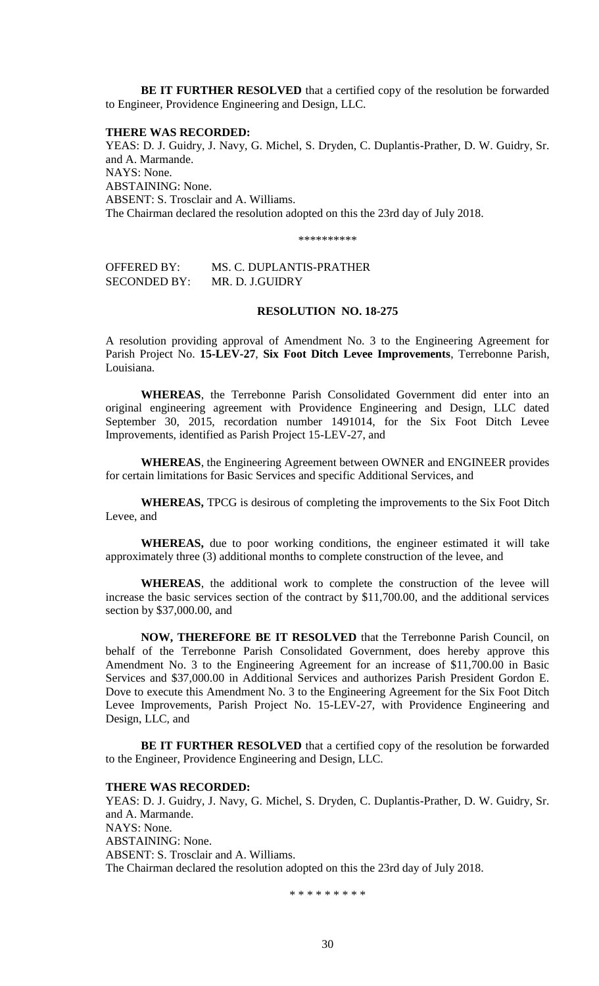**BE IT FURTHER RESOLVED** that a certified copy of the resolution be forwarded to Engineer, Providence Engineering and Design, LLC.

#### **THERE WAS RECORDED:**

YEAS: D. J. Guidry, J. Navy, G. Michel, S. Dryden, C. Duplantis-Prather, D. W. Guidry, Sr. and A. Marmande. NAYS: None. ABSTAINING: None. ABSENT: S. Trosclair and A. Williams. The Chairman declared the resolution adopted on this the 23rd day of July 2018.

\*\*\*\*\*\*\*\*\*\*

OFFERED BY: MS. C. DUPLANTIS-PRATHER SECONDED BY: MR. D. J.GUIDRY

## **RESOLUTION NO. 18-275**

A resolution providing approval of Amendment No. 3 to the Engineering Agreement for Parish Project No. **15-LEV-27**, **Six Foot Ditch Levee Improvements**, Terrebonne Parish, Louisiana.

**WHEREAS**, the Terrebonne Parish Consolidated Government did enter into an original engineering agreement with Providence Engineering and Design, LLC dated September 30, 2015, recordation number 1491014, for the Six Foot Ditch Levee Improvements, identified as Parish Project 15-LEV-27, and

**WHEREAS**, the Engineering Agreement between OWNER and ENGINEER provides for certain limitations for Basic Services and specific Additional Services, and

**WHEREAS,** TPCG is desirous of completing the improvements to the Six Foot Ditch Levee, and

**WHEREAS,** due to poor working conditions, the engineer estimated it will take approximately three (3) additional months to complete construction of the levee, and

**WHEREAS**, the additional work to complete the construction of the levee will increase the basic services section of the contract by \$11,700.00, and the additional services section by \$37,000.00, and

**NOW, THEREFORE BE IT RESOLVED** that the Terrebonne Parish Council, on behalf of the Terrebonne Parish Consolidated Government, does hereby approve this Amendment No. 3 to the Engineering Agreement for an increase of \$11,700.00 in Basic Services and \$37,000.00 in Additional Services and authorizes Parish President Gordon E. Dove to execute this Amendment No. 3 to the Engineering Agreement for the Six Foot Ditch Levee Improvements, Parish Project No. 15-LEV-27, with Providence Engineering and Design, LLC, and

**BE IT FURTHER RESOLVED** that a certified copy of the resolution be forwarded to the Engineer, Providence Engineering and Design, LLC.

#### **THERE WAS RECORDED:**

YEAS: D. J. Guidry, J. Navy, G. Michel, S. Dryden, C. Duplantis-Prather, D. W. Guidry, Sr. and A. Marmande. NAYS: None. ABSTAINING: None. ABSENT: S. Trosclair and A. Williams. The Chairman declared the resolution adopted on this the 23rd day of July 2018.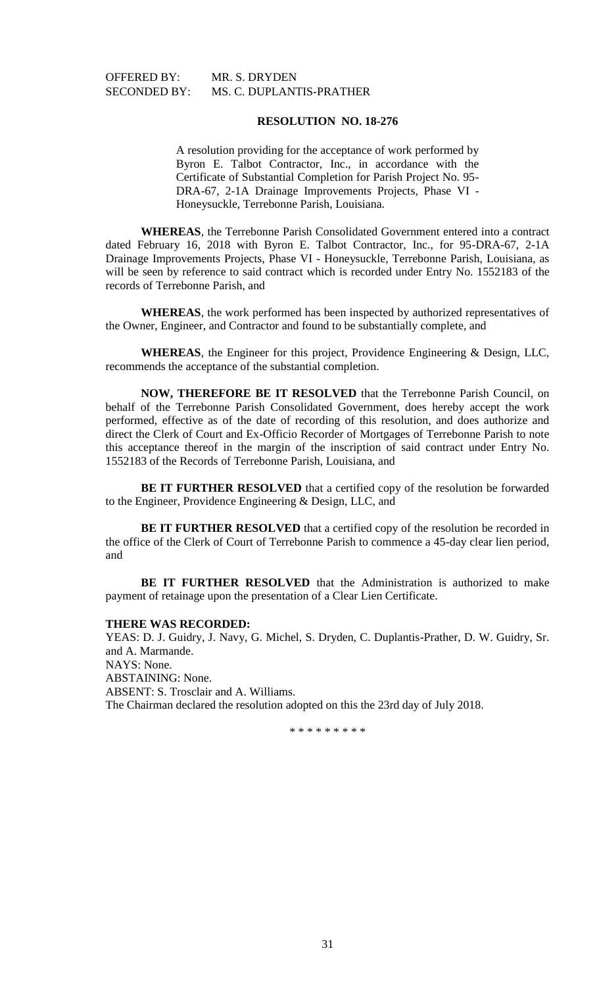OFFERED BY: MR. S. DRYDEN

SECONDED BY: MS. C. DUPLANTIS-PRATHER

# **RESOLUTION NO. 18-276**

A resolution providing for the acceptance of work performed by Byron E. Talbot Contractor, Inc., in accordance with the Certificate of Substantial Completion for Parish Project No. 95- DRA-67, 2-1A Drainage Improvements Projects, Phase VI - Honeysuckle, Terrebonne Parish, Louisiana.

**WHEREAS**, the Terrebonne Parish Consolidated Government entered into a contract dated February 16, 2018 with Byron E. Talbot Contractor, Inc., for 95-DRA-67, 2-1A Drainage Improvements Projects, Phase VI - Honeysuckle, Terrebonne Parish, Louisiana, as will be seen by reference to said contract which is recorded under Entry No. 1552183 of the records of Terrebonne Parish, and

**WHEREAS**, the work performed has been inspected by authorized representatives of the Owner, Engineer, and Contractor and found to be substantially complete, and

**WHEREAS**, the Engineer for this project, Providence Engineering & Design, LLC, recommends the acceptance of the substantial completion.

**NOW, THEREFORE BE IT RESOLVED** that the Terrebonne Parish Council, on behalf of the Terrebonne Parish Consolidated Government, does hereby accept the work performed, effective as of the date of recording of this resolution, and does authorize and direct the Clerk of Court and Ex-Officio Recorder of Mortgages of Terrebonne Parish to note this acceptance thereof in the margin of the inscription of said contract under Entry No. 1552183 of the Records of Terrebonne Parish, Louisiana, and

**BE IT FURTHER RESOLVED** that a certified copy of the resolution be forwarded to the Engineer, Providence Engineering & Design, LLC, and

**BE IT FURTHER RESOLVED** that a certified copy of the resolution be recorded in the office of the Clerk of Court of Terrebonne Parish to commence a 45-day clear lien period, and

**BE IT FURTHER RESOLVED** that the Administration is authorized to make payment of retainage upon the presentation of a Clear Lien Certificate.

#### **THERE WAS RECORDED:**

YEAS: D. J. Guidry, J. Navy, G. Michel, S. Dryden, C. Duplantis-Prather, D. W. Guidry, Sr. and A. Marmande. NAYS: None. ABSTAINING: None. ABSENT: S. Trosclair and A. Williams. The Chairman declared the resolution adopted on this the 23rd day of July 2018.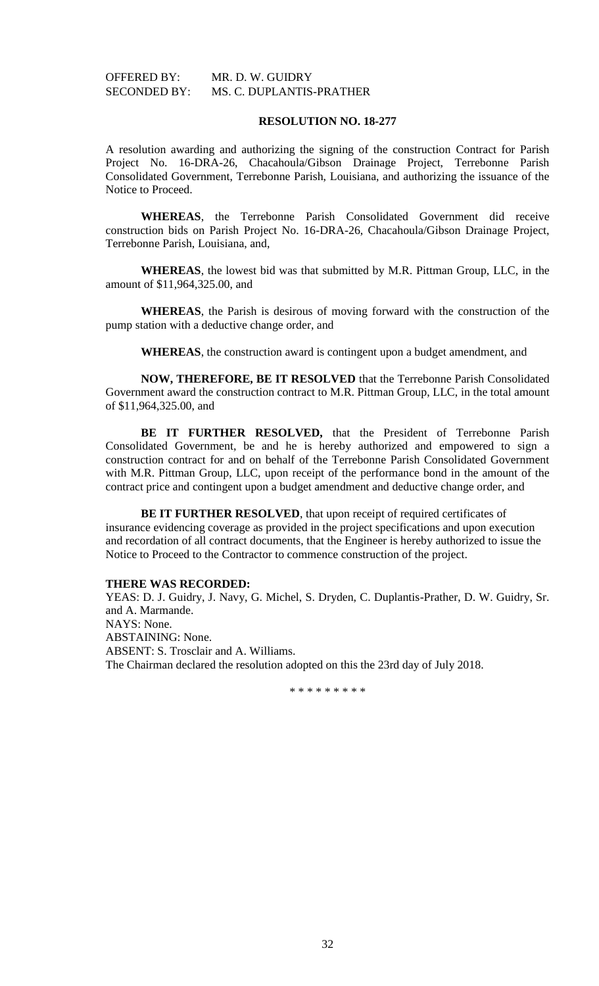# OFFERED BY: MR. D. W. GUIDRY SECONDED BY: MS. C. DUPLANTIS-PRATHER

#### **RESOLUTION NO. 18-277**

A resolution awarding and authorizing the signing of the construction Contract for Parish Project No. 16-DRA-26, Chacahoula/Gibson Drainage Project, Terrebonne Parish Consolidated Government, Terrebonne Parish, Louisiana, and authorizing the issuance of the Notice to Proceed.

**WHEREAS**, the Terrebonne Parish Consolidated Government did receive construction bids on Parish Project No. 16-DRA-26, Chacahoula/Gibson Drainage Project, Terrebonne Parish, Louisiana, and,

**WHEREAS**, the lowest bid was that submitted by M.R. Pittman Group, LLC, in the amount of \$11,964,325.00, and

**WHEREAS**, the Parish is desirous of moving forward with the construction of the pump station with a deductive change order, and

**WHEREAS**, the construction award is contingent upon a budget amendment, and

**NOW, THEREFORE, BE IT RESOLVED** that the Terrebonne Parish Consolidated Government award the construction contract to M.R. Pittman Group, LLC, in the total amount of \$11,964,325.00, and

**BE IT FURTHER RESOLVED,** that the President of Terrebonne Parish Consolidated Government, be and he is hereby authorized and empowered to sign a construction contract for and on behalf of the Terrebonne Parish Consolidated Government with M.R. Pittman Group, LLC, upon receipt of the performance bond in the amount of the contract price and contingent upon a budget amendment and deductive change order, and

**BE IT FURTHER RESOLVED**, that upon receipt of required certificates of insurance evidencing coverage as provided in the project specifications and upon execution and recordation of all contract documents, that the Engineer is hereby authorized to issue the Notice to Proceed to the Contractor to commence construction of the project.

## **THERE WAS RECORDED:**

YEAS: D. J. Guidry, J. Navy, G. Michel, S. Dryden, C. Duplantis-Prather, D. W. Guidry, Sr. and A. Marmande. NAYS: None. ABSTAINING: None. ABSENT: S. Trosclair and A. Williams. The Chairman declared the resolution adopted on this the 23rd day of July 2018.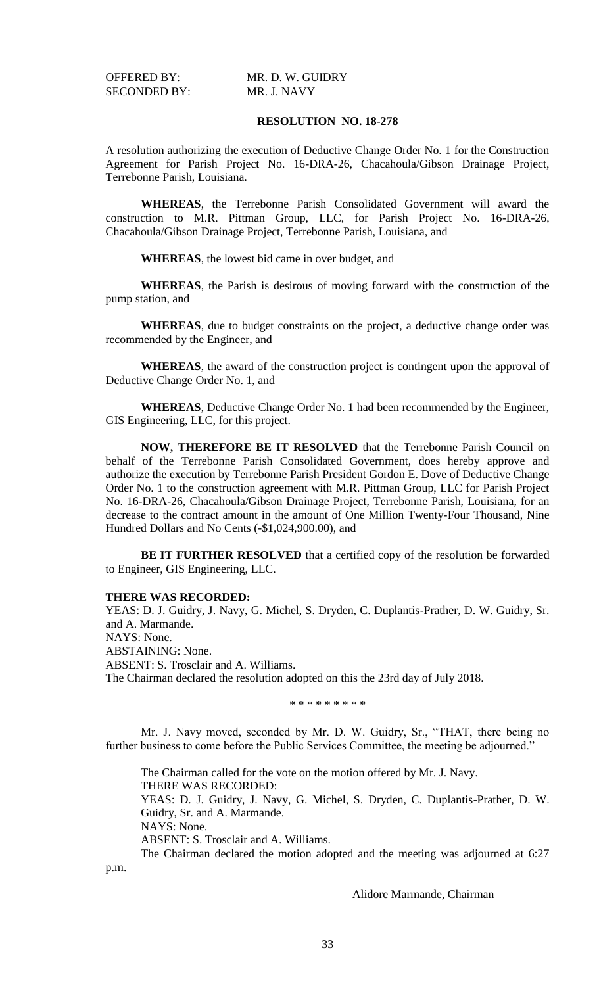SECONDED BY: MR. J. NAVY

OFFERED BY: MR. D. W. GUIDRY

## **RESOLUTION NO. 18-278**

A resolution authorizing the execution of Deductive Change Order No. 1 for the Construction Agreement for Parish Project No. 16-DRA-26, Chacahoula/Gibson Drainage Project, Terrebonne Parish, Louisiana.

**WHEREAS**, the Terrebonne Parish Consolidated Government will award the construction to M.R. Pittman Group, LLC, for Parish Project No. 16-DRA-26, Chacahoula/Gibson Drainage Project, Terrebonne Parish, Louisiana, and

**WHEREAS**, the lowest bid came in over budget, and

**WHEREAS**, the Parish is desirous of moving forward with the construction of the pump station, and

**WHEREAS**, due to budget constraints on the project, a deductive change order was recommended by the Engineer, and

**WHEREAS**, the award of the construction project is contingent upon the approval of Deductive Change Order No. 1, and

**WHEREAS**, Deductive Change Order No. 1 had been recommended by the Engineer, GIS Engineering, LLC, for this project.

**NOW, THEREFORE BE IT RESOLVED** that the Terrebonne Parish Council on behalf of the Terrebonne Parish Consolidated Government, does hereby approve and authorize the execution by Terrebonne Parish President Gordon E. Dove of Deductive Change Order No. 1 to the construction agreement with M.R. Pittman Group, LLC for Parish Project No. 16-DRA-26, Chacahoula/Gibson Drainage Project, Terrebonne Parish, Louisiana, for an decrease to the contract amount in the amount of One Million Twenty-Four Thousand, Nine Hundred Dollars and No Cents (-\$1,024,900.00), and

**BE IT FURTHER RESOLVED** that a certified copy of the resolution be forwarded to Engineer, GIS Engineering, LLC.

#### **THERE WAS RECORDED:**

YEAS: D. J. Guidry, J. Navy, G. Michel, S. Dryden, C. Duplantis-Prather, D. W. Guidry, Sr. and A. Marmande. NAYS: None. ABSTAINING: None. ABSENT: S. Trosclair and A. Williams. The Chairman declared the resolution adopted on this the 23rd day of July 2018.

\* \* \* \* \* \* \* \* \*

Mr. J. Navy moved, seconded by Mr. D. W. Guidry, Sr., "THAT, there being no further business to come before the Public Services Committee, the meeting be adjourned."

The Chairman called for the vote on the motion offered by Mr. J. Navy. THERE WAS RECORDED: YEAS: D. J. Guidry, J. Navy, G. Michel, S. Dryden, C. Duplantis-Prather, D. W.

Guidry, Sr. and A. Marmande. NAYS: None.

ABSENT: S. Trosclair and A. Williams.

The Chairman declared the motion adopted and the meeting was adjourned at 6:27 p.m.

Alidore Marmande, Chairman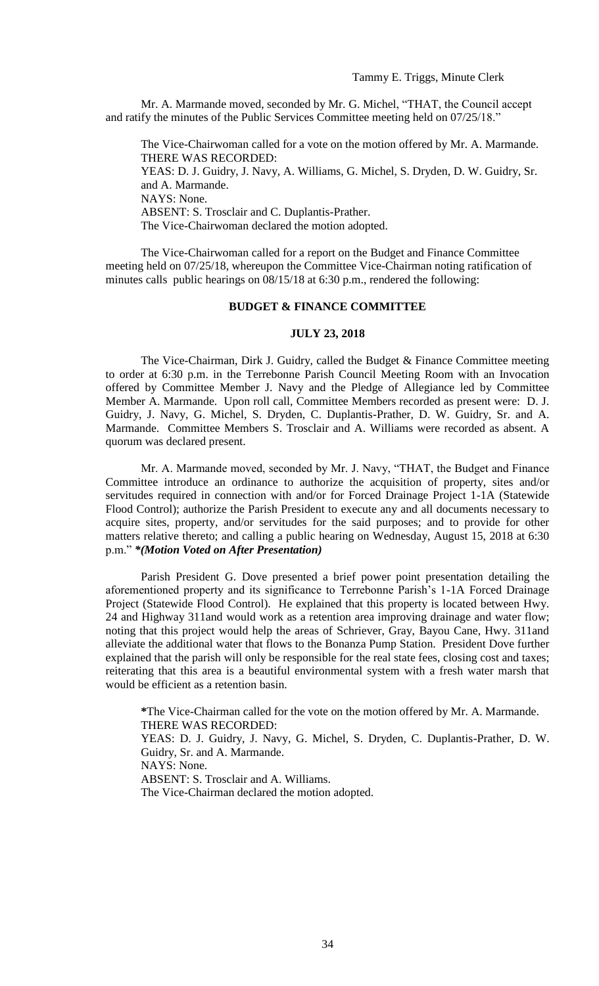Mr. A. Marmande moved, seconded by Mr. G. Michel, "THAT, the Council accept and ratify the minutes of the Public Services Committee meeting held on 07/25/18."

The Vice-Chairwoman called for a vote on the motion offered by Mr. A. Marmande. THERE WAS RECORDED: YEAS: D. J. Guidry, J. Navy, A. Williams, G. Michel, S. Dryden, D. W. Guidry, Sr. and A. Marmande. NAYS: None. ABSENT: S. Trosclair and C. Duplantis-Prather. The Vice-Chairwoman declared the motion adopted.

The Vice-Chairwoman called for a report on the Budget and Finance Committee meeting held on 07/25/18, whereupon the Committee Vice-Chairman noting ratification of minutes calls public hearings on 08/15/18 at 6:30 p.m., rendered the following:

## **BUDGET & FINANCE COMMITTEE**

#### **JULY 23, 2018**

The Vice-Chairman, Dirk J. Guidry, called the Budget & Finance Committee meeting to order at 6:30 p.m. in the Terrebonne Parish Council Meeting Room with an Invocation offered by Committee Member J. Navy and the Pledge of Allegiance led by Committee Member A. Marmande. Upon roll call, Committee Members recorded as present were: D. J. Guidry, J. Navy, G. Michel, S. Dryden, C. Duplantis-Prather, D. W. Guidry, Sr. and A. Marmande. Committee Members S. Trosclair and A. Williams were recorded as absent. A quorum was declared present.

Mr. A. Marmande moved, seconded by Mr. J. Navy, "THAT, the Budget and Finance Committee introduce an ordinance to authorize the acquisition of property, sites and/or servitudes required in connection with and/or for Forced Drainage Project 1-1A (Statewide Flood Control); authorize the Parish President to execute any and all documents necessary to acquire sites, property, and/or servitudes for the said purposes; and to provide for other matters relative thereto; and calling a public hearing on Wednesday, August 15, 2018 at 6:30 p.m." *\*(Motion Voted on After Presentation)*

Parish President G. Dove presented a brief power point presentation detailing the aforementioned property and its significance to Terrebonne Parish's 1-1A Forced Drainage Project (Statewide Flood Control). He explained that this property is located between Hwy. 24 and Highway 311and would work as a retention area improving drainage and water flow; noting that this project would help the areas of Schriever, Gray, Bayou Cane, Hwy. 311and alleviate the additional water that flows to the Bonanza Pump Station. President Dove further explained that the parish will only be responsible for the real state fees, closing cost and taxes; reiterating that this area is a beautiful environmental system with a fresh water marsh that would be efficient as a retention basin.

**\***The Vice-Chairman called for the vote on the motion offered by Mr. A. Marmande. THERE WAS RECORDED:

YEAS: D. J. Guidry, J. Navy, G. Michel, S. Dryden, C. Duplantis-Prather, D. W. Guidry, Sr. and A. Marmande.

NAYS: None.

ABSENT: S. Trosclair and A. Williams.

The Vice-Chairman declared the motion adopted.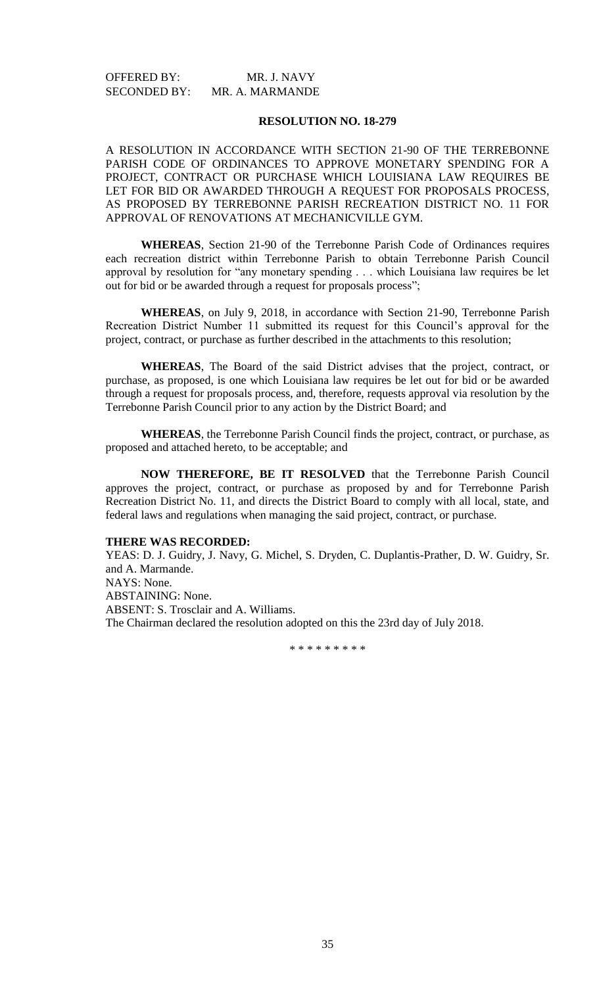| <b>OFFERED BY:</b>  | MR. J. NAVY     |
|---------------------|-----------------|
| <b>SECONDED BY:</b> | MR. A. MARMANDE |

#### **RESOLUTION NO. 18-279**

A RESOLUTION IN ACCORDANCE WITH SECTION 21-90 OF THE TERREBONNE PARISH CODE OF ORDINANCES TO APPROVE MONETARY SPENDING FOR A PROJECT, CONTRACT OR PURCHASE WHICH LOUISIANA LAW REQUIRES BE LET FOR BID OR AWARDED THROUGH A REQUEST FOR PROPOSALS PROCESS, AS PROPOSED BY TERREBONNE PARISH RECREATION DISTRICT NO. 11 FOR APPROVAL OF RENOVATIONS AT MECHANICVILLE GYM.

**WHEREAS**, Section 21-90 of the Terrebonne Parish Code of Ordinances requires each recreation district within Terrebonne Parish to obtain Terrebonne Parish Council approval by resolution for "any monetary spending . . . which Louisiana law requires be let out for bid or be awarded through a request for proposals process";

**WHEREAS**, on July 9, 2018, in accordance with Section 21-90, Terrebonne Parish Recreation District Number 11 submitted its request for this Council's approval for the project, contract, or purchase as further described in the attachments to this resolution;

**WHEREAS**, The Board of the said District advises that the project, contract, or purchase, as proposed, is one which Louisiana law requires be let out for bid or be awarded through a request for proposals process, and, therefore, requests approval via resolution by the Terrebonne Parish Council prior to any action by the District Board; and

**WHEREAS**, the Terrebonne Parish Council finds the project, contract, or purchase, as proposed and attached hereto, to be acceptable; and

**NOW THEREFORE, BE IT RESOLVED** that the Terrebonne Parish Council approves the project, contract, or purchase as proposed by and for Terrebonne Parish Recreation District No. 11, and directs the District Board to comply with all local, state, and federal laws and regulations when managing the said project, contract, or purchase.

#### **THERE WAS RECORDED:**

YEAS: D. J. Guidry, J. Navy, G. Michel, S. Dryden, C. Duplantis-Prather, D. W. Guidry, Sr. and A. Marmande. NAYS: None. ABSTAINING: None. ABSENT: S. Trosclair and A. Williams. The Chairman declared the resolution adopted on this the 23rd day of July 2018.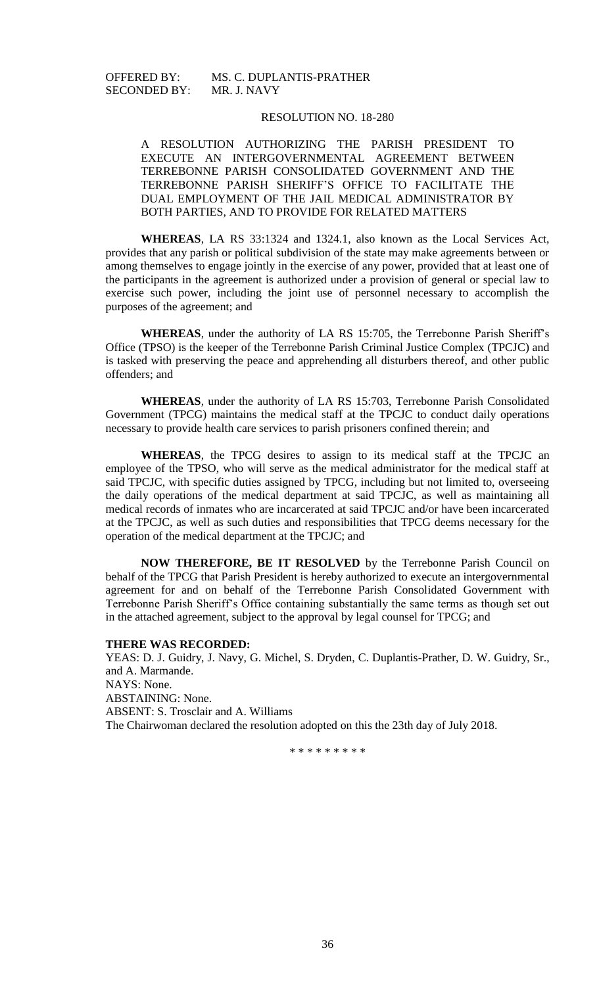# SECONDED BY: MR. J. NAVY

# OFFERED BY: MS. C. DUPLANTIS-PRATHER

## RESOLUTION NO. 18-280

A RESOLUTION AUTHORIZING THE PARISH PRESIDENT TO EXECUTE AN INTERGOVERNMENTAL AGREEMENT BETWEEN TERREBONNE PARISH CONSOLIDATED GOVERNMENT AND THE TERREBONNE PARISH SHERIFF'S OFFICE TO FACILITATE THE DUAL EMPLOYMENT OF THE JAIL MEDICAL ADMINISTRATOR BY BOTH PARTIES, AND TO PROVIDE FOR RELATED MATTERS

**WHEREAS**, LA RS 33:1324 and 1324.1, also known as the Local Services Act, provides that any parish or political subdivision of the state may make agreements between or among themselves to engage jointly in the exercise of any power, provided that at least one of the participants in the agreement is authorized under a provision of general or special law to exercise such power, including the joint use of personnel necessary to accomplish the purposes of the agreement; and

**WHEREAS**, under the authority of LA RS 15:705, the Terrebonne Parish Sheriff's Office (TPSO) is the keeper of the Terrebonne Parish Criminal Justice Complex (TPCJC) and is tasked with preserving the peace and apprehending all disturbers thereof, and other public offenders; and

**WHEREAS**, under the authority of LA RS 15:703, Terrebonne Parish Consolidated Government (TPCG) maintains the medical staff at the TPCJC to conduct daily operations necessary to provide health care services to parish prisoners confined therein; and

**WHEREAS**, the TPCG desires to assign to its medical staff at the TPCJC an employee of the TPSO, who will serve as the medical administrator for the medical staff at said TPCJC, with specific duties assigned by TPCG, including but not limited to, overseeing the daily operations of the medical department at said TPCJC, as well as maintaining all medical records of inmates who are incarcerated at said TPCJC and/or have been incarcerated at the TPCJC, as well as such duties and responsibilities that TPCG deems necessary for the operation of the medical department at the TPCJC; and

**NOW THEREFORE, BE IT RESOLVED** by the Terrebonne Parish Council on behalf of the TPCG that Parish President is hereby authorized to execute an intergovernmental agreement for and on behalf of the Terrebonne Parish Consolidated Government with Terrebonne Parish Sheriff's Office containing substantially the same terms as though set out in the attached agreement, subject to the approval by legal counsel for TPCG; and

#### **THERE WAS RECORDED:**

YEAS: D. J. Guidry, J. Navy, G. Michel, S. Dryden, C. Duplantis-Prather, D. W. Guidry, Sr., and A. Marmande. NAYS: None. ABSTAINING: None. ABSENT: S. Trosclair and A. Williams The Chairwoman declared the resolution adopted on this the 23th day of July 2018.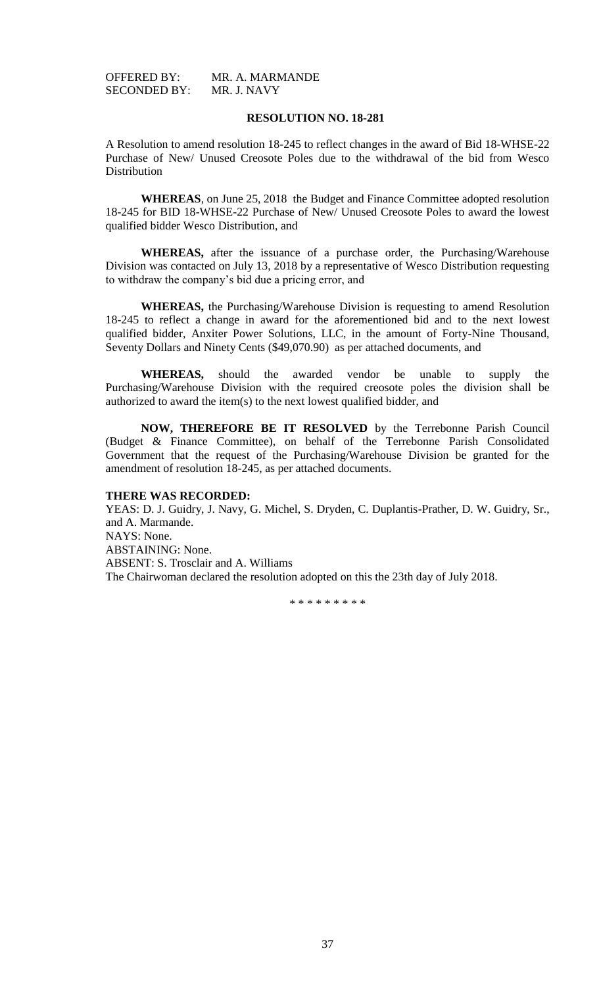OFFERED BY: MR. A. MARMANDE<br>SECONDED BY: MR. J. NAVY SECONDED BY:

## **RESOLUTION NO. 18-281**

A Resolution to amend resolution 18-245 to reflect changes in the award of Bid 18-WHSE-22 Purchase of New/ Unused Creosote Poles due to the withdrawal of the bid from Wesco **Distribution** 

**WHEREAS**, on June 25, 2018 the Budget and Finance Committee adopted resolution 18-245 for BID 18-WHSE-22 Purchase of New/ Unused Creosote Poles to award the lowest qualified bidder Wesco Distribution, and

**WHEREAS,** after the issuance of a purchase order, the Purchasing/Warehouse Division was contacted on July 13, 2018 by a representative of Wesco Distribution requesting to withdraw the company's bid due a pricing error, and

**WHEREAS,** the Purchasing/Warehouse Division is requesting to amend Resolution 18-245 to reflect a change in award for the aforementioned bid and to the next lowest qualified bidder, Anxiter Power Solutions, LLC, in the amount of Forty-Nine Thousand, Seventy Dollars and Ninety Cents (\$49,070.90) as per attached documents, and

**WHEREAS,** should the awarded vendor be unable to supply the Purchasing/Warehouse Division with the required creosote poles the division shall be authorized to award the item(s) to the next lowest qualified bidder, and

**NOW, THEREFORE BE IT RESOLVED** by the Terrebonne Parish Council (Budget & Finance Committee), on behalf of the Terrebonne Parish Consolidated Government that the request of the Purchasing/Warehouse Division be granted for the amendment of resolution 18-245, as per attached documents.

#### **THERE WAS RECORDED:**

YEAS: D. J. Guidry, J. Navy, G. Michel, S. Dryden, C. Duplantis-Prather, D. W. Guidry, Sr., and A. Marmande. NAYS: None. ABSTAINING: None. ABSENT: S. Trosclair and A. Williams The Chairwoman declared the resolution adopted on this the 23th day of July 2018.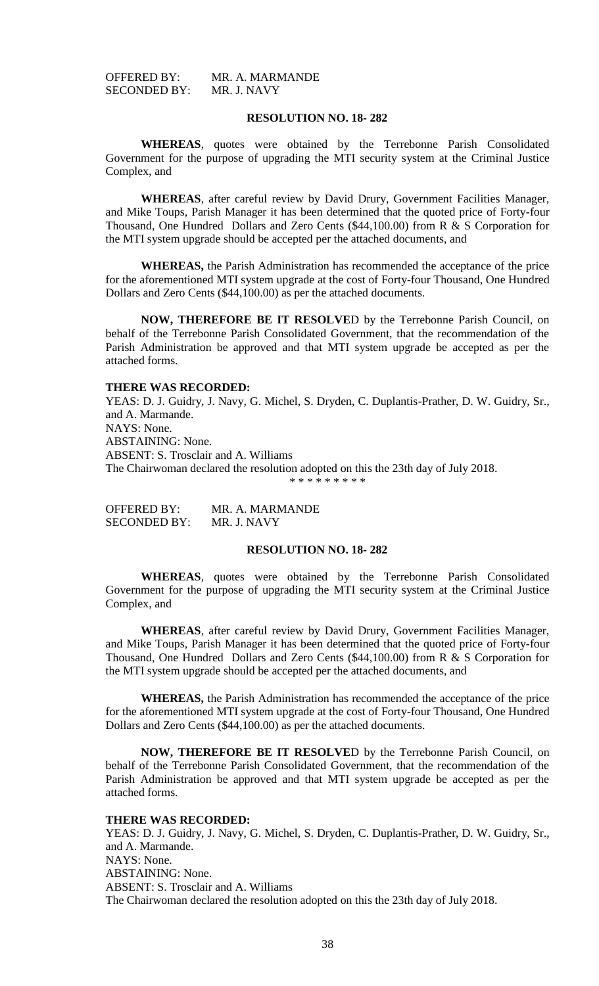OFFERED BY: MR. A. MARMANDE<br>SECONDED BY: MR. J. NAVY SECONDED BY:

## **RESOLUTION NO. 18- 282**

**WHEREAS**, quotes were obtained by the Terrebonne Parish Consolidated Government for the purpose of upgrading the MTI security system at the Criminal Justice Complex, and

**WHEREAS**, after careful review by David Drury, Government Facilities Manager, and Mike Toups, Parish Manager it has been determined that the quoted price of Forty-four Thousand, One Hundred Dollars and Zero Cents (\$44,100.00) from R & S Corporation for the MTI system upgrade should be accepted per the attached documents, and

**WHEREAS,** the Parish Administration has recommended the acceptance of the price for the aforementioned MTI system upgrade at the cost of Forty-four Thousand, One Hundred Dollars and Zero Cents (\$44,100.00) as per the attached documents.

**NOW, THEREFORE BE IT RESOLVE**D by the Terrebonne Parish Council, on behalf of the Terrebonne Parish Consolidated Government, that the recommendation of the Parish Administration be approved and that MTI system upgrade be accepted as per the attached forms.

#### **THERE WAS RECORDED:**

YEAS: D. J. Guidry, J. Navy, G. Michel, S. Dryden, C. Duplantis-Prather, D. W. Guidry, Sr., and A. Marmande. NAYS: None. ABSTAINING: None. ABSENT: S. Trosclair and A. Williams The Chairwoman declared the resolution adopted on this the 23th day of July 2018. \* \* \* \* \* \* \* \* \*

OFFERED BY: MR. A. MARMANDE SECONDED BY: MR. J. NAVY

### **RESOLUTION NO. 18- 282**

**WHEREAS**, quotes were obtained by the Terrebonne Parish Consolidated Government for the purpose of upgrading the MTI security system at the Criminal Justice Complex, and

**WHEREAS**, after careful review by David Drury, Government Facilities Manager, and Mike Toups, Parish Manager it has been determined that the quoted price of Forty-four Thousand, One Hundred Dollars and Zero Cents (\$44,100.00) from R & S Corporation for the MTI system upgrade should be accepted per the attached documents, and

**WHEREAS,** the Parish Administration has recommended the acceptance of the price for the aforementioned MTI system upgrade at the cost of Forty-four Thousand, One Hundred Dollars and Zero Cents (\$44,100.00) as per the attached documents.

**NOW, THEREFORE BE IT RESOLVE**D by the Terrebonne Parish Council, on behalf of the Terrebonne Parish Consolidated Government, that the recommendation of the Parish Administration be approved and that MTI system upgrade be accepted as per the attached forms.

#### **THERE WAS RECORDED:**

YEAS: D. J. Guidry, J. Navy, G. Michel, S. Dryden, C. Duplantis-Prather, D. W. Guidry, Sr., and A. Marmande. NAYS: None. ABSTAINING: None. ABSENT: S. Trosclair and A. Williams The Chairwoman declared the resolution adopted on this the 23th day of July 2018.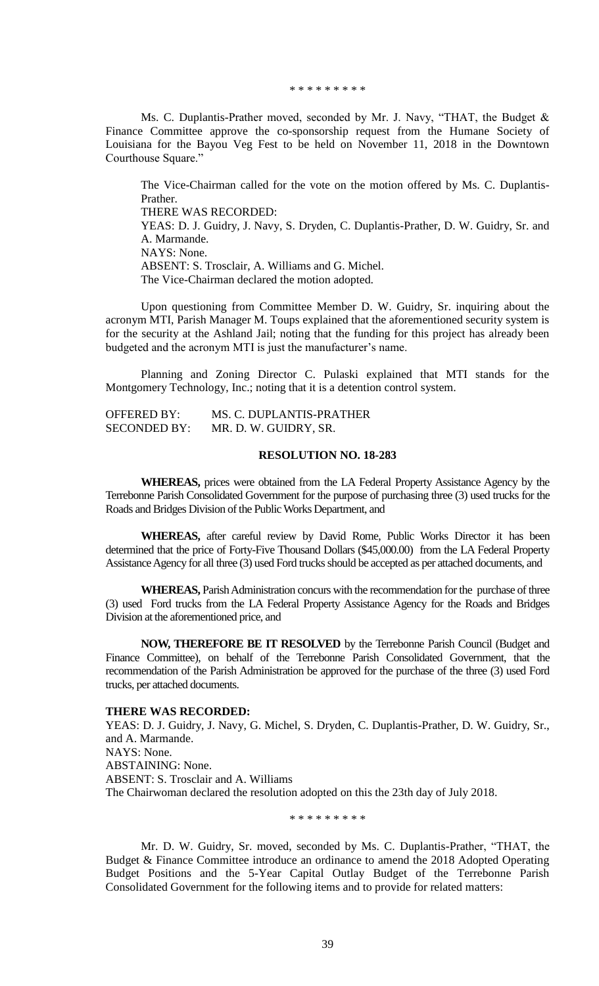\* \* \* \* \* \* \* \* \*

Ms. C. Duplantis-Prather moved, seconded by Mr. J. Navy, "THAT, the Budget & Finance Committee approve the co-sponsorship request from the Humane Society of Louisiana for the Bayou Veg Fest to be held on November 11, 2018 in the Downtown Courthouse Square."

The Vice-Chairman called for the vote on the motion offered by Ms. C. Duplantis-Prather. THERE WAS RECORDED: YEAS: D. J. Guidry, J. Navy, S. Dryden, C. Duplantis-Prather, D. W. Guidry, Sr. and A. Marmande. NAYS: None. ABSENT: S. Trosclair, A. Williams and G. Michel. The Vice-Chairman declared the motion adopted.

Upon questioning from Committee Member D. W. Guidry, Sr. inquiring about the acronym MTI, Parish Manager M. Toups explained that the aforementioned security system is for the security at the Ashland Jail; noting that the funding for this project has already been budgeted and the acronym MTI is just the manufacturer's name.

Planning and Zoning Director C. Pulaski explained that MTI stands for the Montgomery Technology, Inc.; noting that it is a detention control system.

| <b>OFFERED BY:</b>  | MS. C. DUPLANTIS-PRATHER |
|---------------------|--------------------------|
| <b>SECONDED BY:</b> | MR. D. W. GUIDRY, SR.    |

# **RESOLUTION NO. 18-283**

**WHEREAS,** prices were obtained from the LA Federal Property Assistance Agency by the Terrebonne Parish Consolidated Government for the purpose of purchasing three (3) used trucks for the Roads and Bridges Division of the Public Works Department, and

**WHEREAS,** after careful review by David Rome, Public Works Director it has been determined that the price of Forty-Five Thousand Dollars (\$45,000.00) from the LA Federal Property Assistance Agency for all three (3) used Ford trucks should be accepted as per attached documents, and

**WHEREAS,** Parish Administration concurs with the recommendation for the purchase of three (3) used Ford trucks from the LA Federal Property Assistance Agency for the Roads and Bridges Division at the aforementioned price, and

**NOW, THEREFORE BE IT RESOLVED** by the Terrebonne Parish Council (Budget and Finance Committee), on behalf of the Terrebonne Parish Consolidated Government, that the recommendation of the Parish Administration be approved for the purchase of the three (3) used Ford trucks, per attached documents.

#### **THERE WAS RECORDED:**

YEAS: D. J. Guidry, J. Navy, G. Michel, S. Dryden, C. Duplantis-Prather, D. W. Guidry, Sr., and A. Marmande. NAYS: None. ABSTAINING: None. ABSENT: S. Trosclair and A. Williams The Chairwoman declared the resolution adopted on this the 23th day of July 2018.

\* \* \* \* \* \* \* \* \*

Mr. D. W. Guidry, Sr. moved, seconded by Ms. C. Duplantis-Prather, "THAT, the Budget & Finance Committee introduce an ordinance to amend the 2018 Adopted Operating Budget Positions and the 5-Year Capital Outlay Budget of the Terrebonne Parish Consolidated Government for the following items and to provide for related matters: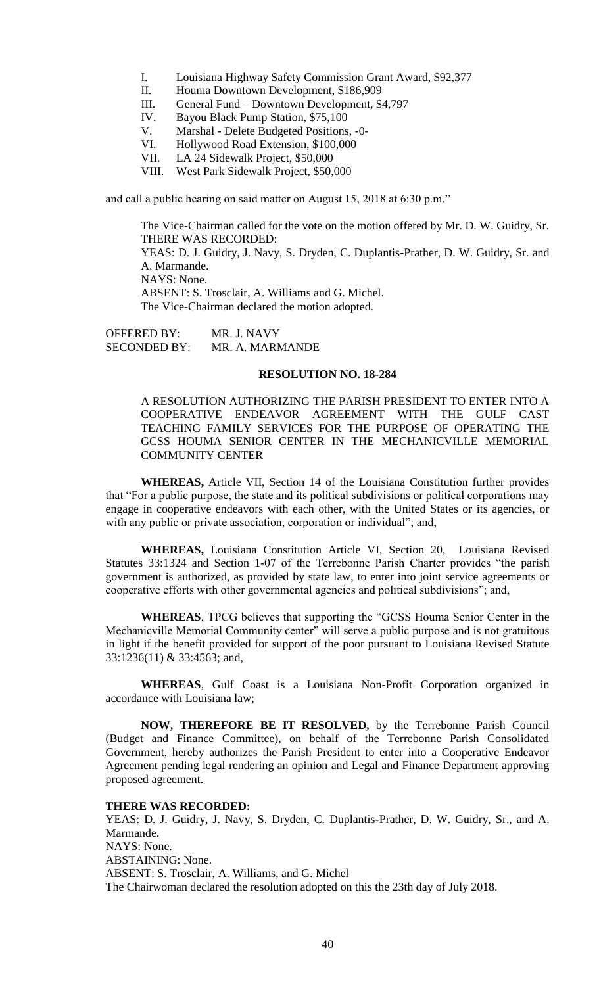- I. Louisiana Highway Safety Commission Grant Award, \$92,377
- II. Houma Downtown Development, \$186,909
- III. General Fund Downtown Development, \$4,797
- IV. Bayou Black Pump Station, \$75,100
- V. Marshal Delete Budgeted Positions, -0-
- VI. Hollywood Road Extension, \$100,000
- VII. LA 24 Sidewalk Project, \$50,000
- VIII. West Park Sidewalk Project, \$50,000

and call a public hearing on said matter on August 15, 2018 at 6:30 p.m."

The Vice-Chairman called for the vote on the motion offered by Mr. D. W. Guidry, Sr. THERE WAS RECORDED: YEAS: D. J. Guidry, J. Navy, S. Dryden, C. Duplantis-Prather, D. W. Guidry, Sr. and A. Marmande. NAYS: None. ABSENT: S. Trosclair, A. Williams and G. Michel. The Vice-Chairman declared the motion adopted.

OFFERED BY: MR. J. NAVY<br>SECONDED BY: MR. A. MARN MR. A. MARMANDE

#### **RESOLUTION NO. 18-284**

A RESOLUTION AUTHORIZING THE PARISH PRESIDENT TO ENTER INTO A COOPERATIVE ENDEAVOR AGREEMENT WITH THE GULF CAST TEACHING FAMILY SERVICES FOR THE PURPOSE OF OPERATING THE GCSS HOUMA SENIOR CENTER IN THE MECHANICVILLE MEMORIAL COMMUNITY CENTER

**WHEREAS,** Article VII, Section 14 of the Louisiana Constitution further provides that "For a public purpose, the state and its political subdivisions or political corporations may engage in cooperative endeavors with each other, with the United States or its agencies, or with any public or private association, corporation or individual"; and,

**WHEREAS,** Louisiana Constitution Article VI, Section 20, Louisiana Revised Statutes 33:1324 and Section 1-07 of the Terrebonne Parish Charter provides "the parish government is authorized, as provided by state law, to enter into joint service agreements or cooperative efforts with other governmental agencies and political subdivisions"; and,

**WHEREAS**, TPCG believes that supporting the "GCSS Houma Senior Center in the Mechanicville Memorial Community center" will serve a public purpose and is not gratuitous in light if the benefit provided for support of the poor pursuant to Louisiana Revised Statute 33:1236(11) & 33:4563; and,

**WHEREAS**, Gulf Coast is a Louisiana Non-Profit Corporation organized in accordance with Louisiana law;

**NOW, THEREFORE BE IT RESOLVED,** by the Terrebonne Parish Council (Budget and Finance Committee), on behalf of the Terrebonne Parish Consolidated Government, hereby authorizes the Parish President to enter into a Cooperative Endeavor Agreement pending legal rendering an opinion and Legal and Finance Department approving proposed agreement.

## **THERE WAS RECORDED:**

YEAS: D. J. Guidry, J. Navy, S. Dryden, C. Duplantis-Prather, D. W. Guidry, Sr., and A. Marmande. NAYS: None. ABSTAINING: None. ABSENT: S. Trosclair, A. Williams, and G. Michel The Chairwoman declared the resolution adopted on this the 23th day of July 2018.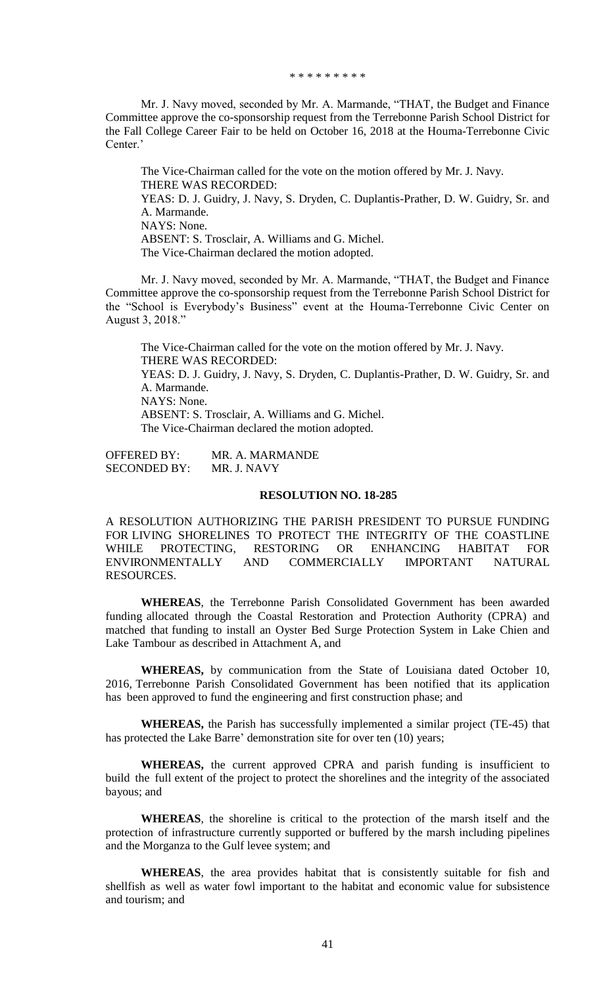\* \* \* \* \* \* \* \* \*

Mr. J. Navy moved, seconded by Mr. A. Marmande, "THAT, the Budget and Finance Committee approve the co-sponsorship request from the Terrebonne Parish School District for the Fall College Career Fair to be held on October 16, 2018 at the Houma-Terrebonne Civic Center.'

The Vice-Chairman called for the vote on the motion offered by Mr. J. Navy. THERE WAS RECORDED: YEAS: D. J. Guidry, J. Navy, S. Dryden, C. Duplantis-Prather, D. W. Guidry, Sr. and A. Marmande. NAYS: None. ABSENT: S. Trosclair, A. Williams and G. Michel. The Vice-Chairman declared the motion adopted.

Mr. J. Navy moved, seconded by Mr. A. Marmande, "THAT, the Budget and Finance Committee approve the co-sponsorship request from the Terrebonne Parish School District for the "School is Everybody's Business" event at the Houma-Terrebonne Civic Center on August 3, 2018."

The Vice-Chairman called for the vote on the motion offered by Mr. J. Navy. THERE WAS RECORDED: YEAS: D. J. Guidry, J. Navy, S. Dryden, C. Duplantis-Prather, D. W. Guidry, Sr. and A. Marmande. NAYS: None. ABSENT: S. Trosclair, A. Williams and G. Michel. The Vice-Chairman declared the motion adopted.

OFFERED BY: MR. A. MARMANDE SECONDED BY: MR. J. NAVY

## **RESOLUTION NO. 18-285**

A RESOLUTION AUTHORIZING THE PARISH PRESIDENT TO PURSUE FUNDING FOR LIVING SHORELINES TO PROTECT THE INTEGRITY OF THE COASTLINE WHILE PROTECTING, RESTORING OR ENHANCING HABITAT FOR ENVIRONMENTALLY AND COMMERCIALLY IMPORTANT NATURAL RESOURCES.

**WHEREAS**, the Terrebonne Parish Consolidated Government has been awarded funding allocated through the Coastal Restoration and Protection Authority (CPRA) and matched that funding to install an Oyster Bed Surge Protection System in Lake Chien and Lake Tambour as described in Attachment A, and

**WHEREAS,** by communication from the State of Louisiana dated October 10, 2016, Terrebonne Parish Consolidated Government has been notified that its application has been approved to fund the engineering and first construction phase; and

**WHEREAS,** the Parish has successfully implemented a similar project (TE-45) that has protected the Lake Barre' demonstration site for over ten (10) years;

**WHEREAS,** the current approved CPRA and parish funding is insufficient to build the full extent of the project to protect the shorelines and the integrity of the associated bayous; and

**WHEREAS**, the shoreline is critical to the protection of the marsh itself and the protection of infrastructure currently supported or buffered by the marsh including pipelines and the Morganza to the Gulf levee system; and

**WHEREAS**, the area provides habitat that is consistently suitable for fish and shellfish as well as water fowl important to the habitat and economic value for subsistence and tourism; and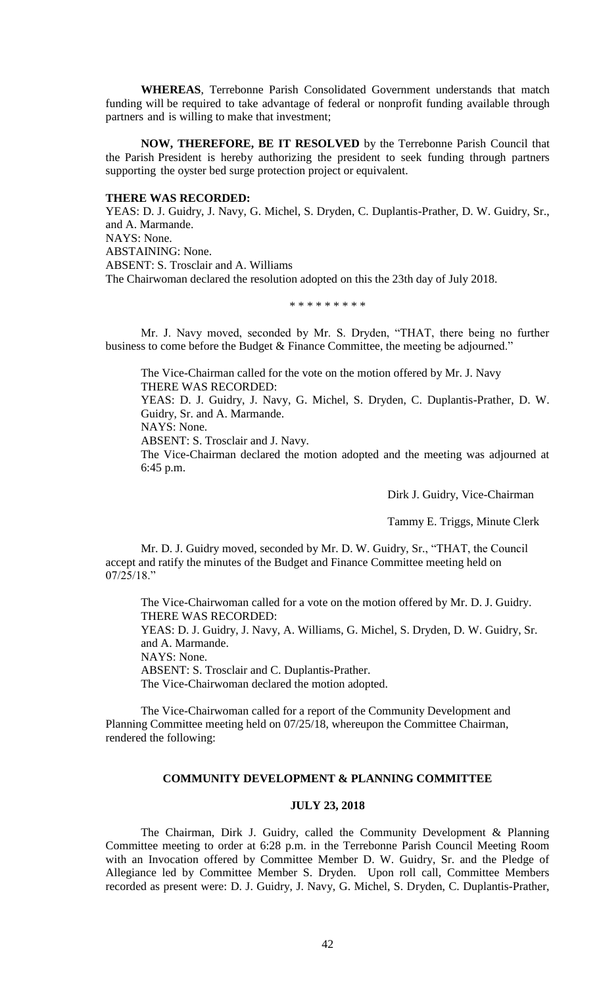**WHEREAS**, Terrebonne Parish Consolidated Government understands that match funding will be required to take advantage of federal or nonprofit funding available through partners and is willing to make that investment;

**NOW, THEREFORE, BE IT RESOLVED** by the Terrebonne Parish Council that the Parish President is hereby authorizing the president to seek funding through partners supporting the oyster bed surge protection project or equivalent.

#### **THERE WAS RECORDED:**

YEAS: D. J. Guidry, J. Navy, G. Michel, S. Dryden, C. Duplantis-Prather, D. W. Guidry, Sr., and A. Marmande. NAYS: None. ABSTAINING: None. ABSENT: S. Trosclair and A. Williams The Chairwoman declared the resolution adopted on this the 23th day of July 2018.

\* \* \* \* \* \* \* \* \*

Mr. J. Navy moved, seconded by Mr. S. Dryden, "THAT, there being no further business to come before the Budget & Finance Committee, the meeting be adjourned."

The Vice-Chairman called for the vote on the motion offered by Mr. J. Navy THERE WAS RECORDED: YEAS: D. J. Guidry, J. Navy, G. Michel, S. Dryden, C. Duplantis-Prather, D. W.

Guidry, Sr. and A. Marmande.

NAYS: None.

ABSENT: S. Trosclair and J. Navy.

The Vice-Chairman declared the motion adopted and the meeting was adjourned at 6:45 p.m.

Dirk J. Guidry, Vice-Chairman

Tammy E. Triggs, Minute Clerk

Mr. D. J. Guidry moved, seconded by Mr. D. W. Guidry, Sr., "THAT, the Council accept and ratify the minutes of the Budget and Finance Committee meeting held on 07/25/18."

The Vice-Chairwoman called for a vote on the motion offered by Mr. D. J. Guidry. THERE WAS RECORDED:

YEAS: D. J. Guidry, J. Navy, A. Williams, G. Michel, S. Dryden, D. W. Guidry, Sr. and A. Marmande.

NAYS: None.

ABSENT: S. Trosclair and C. Duplantis-Prather.

The Vice-Chairwoman declared the motion adopted.

The Vice-Chairwoman called for a report of the Community Development and Planning Committee meeting held on 07/25/18, whereupon the Committee Chairman, rendered the following:

## **COMMUNITY DEVELOPMENT & PLANNING COMMITTEE**

## **JULY 23, 2018**

The Chairman, Dirk J. Guidry, called the Community Development & Planning Committee meeting to order at 6:28 p.m. in the Terrebonne Parish Council Meeting Room with an Invocation offered by Committee Member D. W. Guidry, Sr. and the Pledge of Allegiance led by Committee Member S. Dryden. Upon roll call, Committee Members recorded as present were: D. J. Guidry, J. Navy, G. Michel, S. Dryden, C. Duplantis-Prather,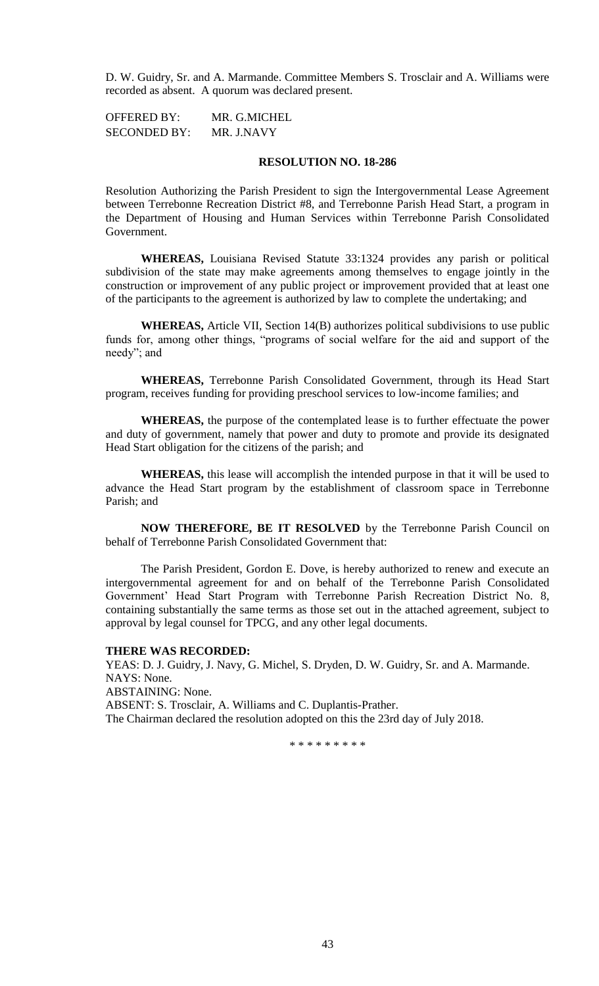D. W. Guidry, Sr. and A. Marmande. Committee Members S. Trosclair and A. Williams were recorded as absent. A quorum was declared present.

OFFERED BY: MR. G.MICHEL SECONDED BY: MR. J.NAVY

# **RESOLUTION NO. 18-286**

Resolution Authorizing the Parish President to sign the Intergovernmental Lease Agreement between Terrebonne Recreation District #8, and Terrebonne Parish Head Start, a program in the Department of Housing and Human Services within Terrebonne Parish Consolidated Government.

**WHEREAS,** Louisiana Revised Statute 33:1324 provides any parish or political subdivision of the state may make agreements among themselves to engage jointly in the construction or improvement of any public project or improvement provided that at least one of the participants to the agreement is authorized by law to complete the undertaking; and

**WHEREAS,** Article VII, Section 14(B) authorizes political subdivisions to use public funds for, among other things, "programs of social welfare for the aid and support of the needy"; and

**WHEREAS,** Terrebonne Parish Consolidated Government, through its Head Start program, receives funding for providing preschool services to low-income families; and

**WHEREAS,** the purpose of the contemplated lease is to further effectuate the power and duty of government, namely that power and duty to promote and provide its designated Head Start obligation for the citizens of the parish; and

**WHEREAS,** this lease will accomplish the intended purpose in that it will be used to advance the Head Start program by the establishment of classroom space in Terrebonne Parish; and

**NOW THEREFORE, BE IT RESOLVED** by the Terrebonne Parish Council on behalf of Terrebonne Parish Consolidated Government that:

The Parish President, Gordon E. Dove, is hereby authorized to renew and execute an intergovernmental agreement for and on behalf of the Terrebonne Parish Consolidated Government' Head Start Program with Terrebonne Parish Recreation District No. 8, containing substantially the same terms as those set out in the attached agreement, subject to approval by legal counsel for TPCG, and any other legal documents.

#### **THERE WAS RECORDED:**

YEAS: D. J. Guidry, J. Navy, G. Michel, S. Dryden, D. W. Guidry, Sr. and A. Marmande. NAYS: None. ABSTAINING: None. ABSENT: S. Trosclair, A. Williams and C. Duplantis-Prather. The Chairman declared the resolution adopted on this the 23rd day of July 2018.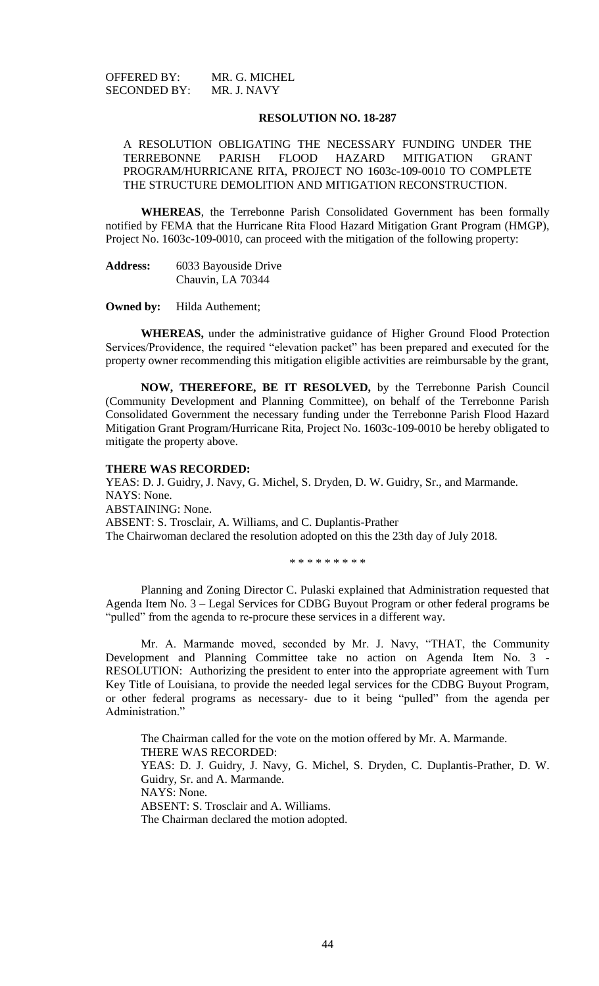| <b>OFFERED BY:</b>  | MR. G. MICHEL |
|---------------------|---------------|
| <b>SECONDED BY:</b> | MR. J. NAVY   |

#### **RESOLUTION NO. 18-287**

A RESOLUTION OBLIGATING THE NECESSARY FUNDING UNDER THE TERREBONNE PARISH FLOOD HAZARD MITIGATION GRANT PROGRAM/HURRICANE RITA, PROJECT NO 1603c-109-0010 TO COMPLETE THE STRUCTURE DEMOLITION AND MITIGATION RECONSTRUCTION.

**WHEREAS**, the Terrebonne Parish Consolidated Government has been formally notified by FEMA that the Hurricane Rita Flood Hazard Mitigation Grant Program (HMGP), Project No. 1603c-109-0010, can proceed with the mitigation of the following property:

**Address:** 6033 Bayouside Drive Chauvin, LA 70344

**Owned by:** Hilda Authement;

**WHEREAS,** under the administrative guidance of Higher Ground Flood Protection Services/Providence, the required "elevation packet" has been prepared and executed for the property owner recommending this mitigation eligible activities are reimbursable by the grant,

**NOW, THEREFORE, BE IT RESOLVED,** by the Terrebonne Parish Council (Community Development and Planning Committee), on behalf of the Terrebonne Parish Consolidated Government the necessary funding under the Terrebonne Parish Flood Hazard Mitigation Grant Program/Hurricane Rita, Project No. 1603c-109-0010 be hereby obligated to mitigate the property above.

#### **THERE WAS RECORDED:**

YEAS: D. J. Guidry, J. Navy, G. Michel, S. Dryden, D. W. Guidry, Sr., and Marmande. NAYS: None. ABSTAINING: None. ABSENT: S. Trosclair, A. Williams, and C. Duplantis-Prather The Chairwoman declared the resolution adopted on this the 23th day of July 2018.

\* \* \* \* \* \* \* \* \*

Planning and Zoning Director C. Pulaski explained that Administration requested that Agenda Item No. 3 – Legal Services for CDBG Buyout Program or other federal programs be "pulled" from the agenda to re-procure these services in a different way.

Mr. A. Marmande moved, seconded by Mr. J. Navy, "THAT, the Community Development and Planning Committee take no action on Agenda Item No. 3 - RESOLUTION: Authorizing the president to enter into the appropriate agreement with Turn Key Title of Louisiana, to provide the needed legal services for the CDBG Buyout Program, or other federal programs as necessary- due to it being "pulled" from the agenda per Administration."

The Chairman called for the vote on the motion offered by Mr. A. Marmande. THERE WAS RECORDED: YEAS: D. J. Guidry, J. Navy, G. Michel, S. Dryden, C. Duplantis-Prather, D. W. Guidry, Sr. and A. Marmande. NAYS: None. ABSENT: S. Trosclair and A. Williams. The Chairman declared the motion adopted.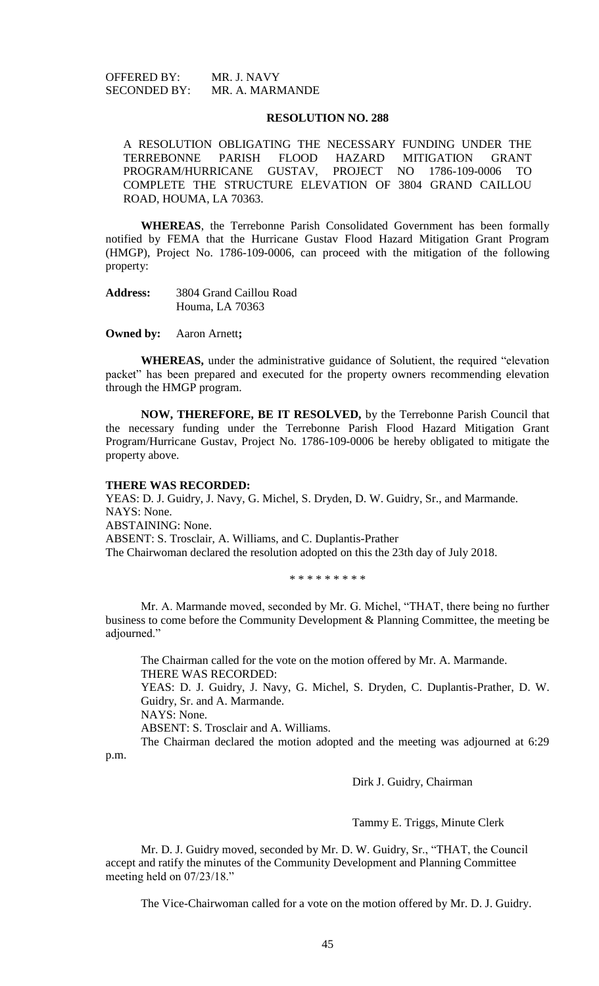OFFERED BY: MR. J. NAVY SECONDED BY: MR. A. MARMANDE

### **RESOLUTION NO. 288**

A RESOLUTION OBLIGATING THE NECESSARY FUNDING UNDER THE TERREBONNE PARISH FLOOD HAZARD MITIGATION GRANT PROGRAM/HURRICANE GUSTAV, PROJECT NO 1786-109-0006 TO COMPLETE THE STRUCTURE ELEVATION OF 3804 GRAND CAILLOU ROAD, HOUMA, LA 70363.

**WHEREAS**, the Terrebonne Parish Consolidated Government has been formally notified by FEMA that the Hurricane Gustav Flood Hazard Mitigation Grant Program (HMGP), Project No. 1786-109-0006, can proceed with the mitigation of the following property:

**Address:** 3804 Grand Caillou Road Houma, LA 70363

**Owned by:** Aaron Arnett**;**

**WHEREAS,** under the administrative guidance of Solutient, the required "elevation packet" has been prepared and executed for the property owners recommending elevation through the HMGP program.

**NOW, THEREFORE, BE IT RESOLVED,** by the Terrebonne Parish Council that the necessary funding under the Terrebonne Parish Flood Hazard Mitigation Grant Program/Hurricane Gustav, Project No. 1786-109-0006 be hereby obligated to mitigate the property above.

# **THERE WAS RECORDED:**

YEAS: D. J. Guidry, J. Navy, G. Michel, S. Dryden, D. W. Guidry, Sr., and Marmande. NAYS: None. ABSTAINING: None. ABSENT: S. Trosclair, A. Williams, and C. Duplantis-Prather The Chairwoman declared the resolution adopted on this the 23th day of July 2018.

\* \* \* \* \* \* \* \* \*

Mr. A. Marmande moved, seconded by Mr. G. Michel, "THAT, there being no further business to come before the Community Development & Planning Committee, the meeting be adjourned."

The Chairman called for the vote on the motion offered by Mr. A. Marmande. THERE WAS RECORDED:

YEAS: D. J. Guidry, J. Navy, G. Michel, S. Dryden, C. Duplantis-Prather, D. W. Guidry, Sr. and A. Marmande.

NAYS: None.

ABSENT: S. Trosclair and A. Williams.

The Chairman declared the motion adopted and the meeting was adjourned at 6:29 p.m.

Dirk J. Guidry, Chairman

Tammy E. Triggs, Minute Clerk

Mr. D. J. Guidry moved, seconded by Mr. D. W. Guidry, Sr., "THAT, the Council accept and ratify the minutes of the Community Development and Planning Committee meeting held on 07/23/18."

The Vice-Chairwoman called for a vote on the motion offered by Mr. D. J. Guidry.